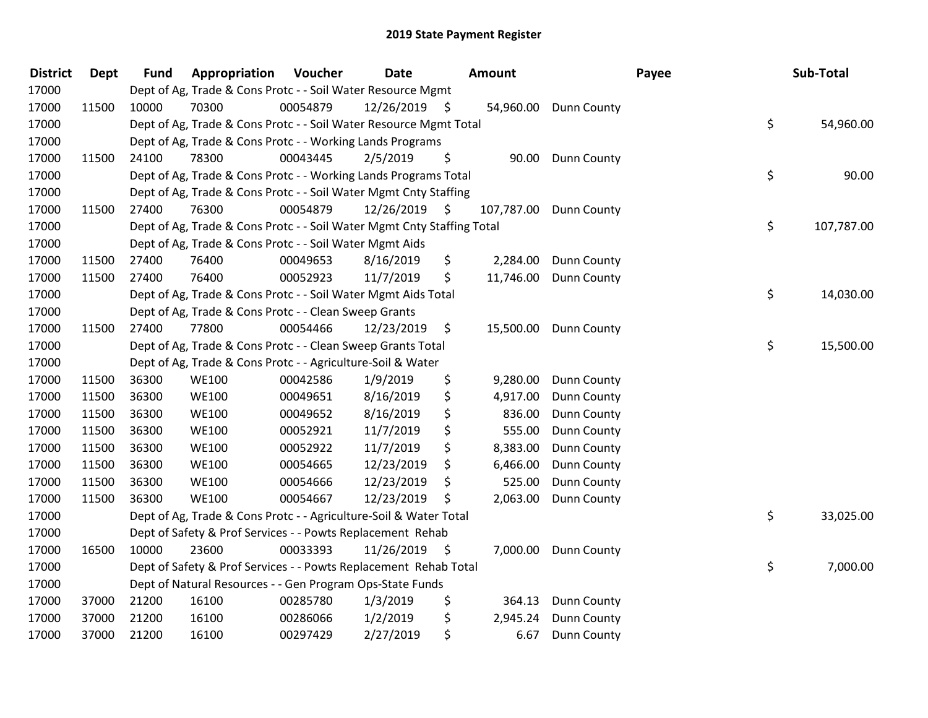| <b>District</b> | <b>Dept</b> | <b>Fund</b> | Appropriation                                                          | Voucher  | Date       | <b>Amount</b> |            |                    | Payee |  | Sub-Total  |  |
|-----------------|-------------|-------------|------------------------------------------------------------------------|----------|------------|---------------|------------|--------------------|-------|--|------------|--|
| 17000           |             |             | Dept of Ag, Trade & Cons Protc - - Soil Water Resource Mgmt            |          |            |               |            |                    |       |  |            |  |
| 17000           | 11500       | 10000       | 70300                                                                  | 00054879 | 12/26/2019 | - \$          | 54,960.00  | <b>Dunn County</b> |       |  |            |  |
| 17000           |             |             | Dept of Ag, Trade & Cons Protc - - Soil Water Resource Mgmt Total      |          |            |               |            |                    | \$    |  | 54,960.00  |  |
| 17000           |             |             | Dept of Ag, Trade & Cons Protc - - Working Lands Programs              |          |            |               |            |                    |       |  |            |  |
| 17000           | 11500       | 24100       | 78300                                                                  | 00043445 | 2/5/2019   | \$            | 90.00      | Dunn County        |       |  |            |  |
| 17000           |             |             | Dept of Ag, Trade & Cons Protc - - Working Lands Programs Total        |          |            |               |            |                    | \$    |  | 90.00      |  |
| 17000           |             |             | Dept of Ag, Trade & Cons Protc - - Soil Water Mgmt Cnty Staffing       |          |            |               |            |                    |       |  |            |  |
| 17000           | 11500       | 27400       | 76300                                                                  | 00054879 | 12/26/2019 | - \$          | 107,787.00 | <b>Dunn County</b> |       |  |            |  |
| 17000           |             |             | Dept of Ag, Trade & Cons Protc - - Soil Water Mgmt Cnty Staffing Total |          |            |               |            |                    | \$    |  | 107,787.00 |  |
| 17000           |             |             | Dept of Ag, Trade & Cons Protc - - Soil Water Mgmt Aids                |          |            |               |            |                    |       |  |            |  |
| 17000           | 11500       | 27400       | 76400                                                                  | 00049653 | 8/16/2019  | \$            | 2,284.00   | Dunn County        |       |  |            |  |
| 17000           | 11500       | 27400       | 76400                                                                  | 00052923 | 11/7/2019  | \$            | 11,746.00  | <b>Dunn County</b> |       |  |            |  |
| 17000           |             |             | Dept of Ag, Trade & Cons Protc - - Soil Water Mgmt Aids Total          |          |            |               |            |                    | \$    |  | 14,030.00  |  |
| 17000           |             |             | Dept of Ag, Trade & Cons Protc - - Clean Sweep Grants                  |          |            |               |            |                    |       |  |            |  |
| 17000           | 11500       | 27400       | 77800                                                                  | 00054466 | 12/23/2019 | \$            | 15,500.00  | <b>Dunn County</b> |       |  |            |  |
| 17000           |             |             | Dept of Ag, Trade & Cons Protc - - Clean Sweep Grants Total            |          |            |               |            |                    | \$    |  | 15,500.00  |  |
| 17000           |             |             | Dept of Ag, Trade & Cons Protc - - Agriculture-Soil & Water            |          |            |               |            |                    |       |  |            |  |
| 17000           | 11500       | 36300       | <b>WE100</b>                                                           | 00042586 | 1/9/2019   | \$            | 9,280.00   | Dunn County        |       |  |            |  |
| 17000           | 11500       | 36300       | <b>WE100</b>                                                           | 00049651 | 8/16/2019  | \$            | 4,917.00   | <b>Dunn County</b> |       |  |            |  |
| 17000           | 11500       | 36300       | <b>WE100</b>                                                           | 00049652 | 8/16/2019  | \$            | 836.00     | Dunn County        |       |  |            |  |
| 17000           | 11500       | 36300       | <b>WE100</b>                                                           | 00052921 | 11/7/2019  | \$            | 555.00     | Dunn County        |       |  |            |  |
| 17000           | 11500       | 36300       | <b>WE100</b>                                                           | 00052922 | 11/7/2019  | \$            | 8,383.00   | Dunn County        |       |  |            |  |
| 17000           | 11500       | 36300       | <b>WE100</b>                                                           | 00054665 | 12/23/2019 | \$            | 6,466.00   | Dunn County        |       |  |            |  |
| 17000           | 11500       | 36300       | <b>WE100</b>                                                           | 00054666 | 12/23/2019 | \$            | 525.00     | Dunn County        |       |  |            |  |
| 17000           | 11500       | 36300       | <b>WE100</b>                                                           | 00054667 | 12/23/2019 | \$            | 2,063.00   | Dunn County        |       |  |            |  |
| 17000           |             |             | Dept of Ag, Trade & Cons Protc - - Agriculture-Soil & Water Total      |          |            |               |            |                    | \$    |  | 33,025.00  |  |
| 17000           |             |             | Dept of Safety & Prof Services - - Powts Replacement Rehab             |          |            |               |            |                    |       |  |            |  |
| 17000           | 16500       | 10000       | 23600                                                                  | 00033393 | 11/26/2019 | - \$          | 7,000.00   | <b>Dunn County</b> |       |  |            |  |
| 17000           |             |             | Dept of Safety & Prof Services - - Powts Replacement Rehab Total       |          |            |               |            |                    | \$    |  | 7,000.00   |  |
| 17000           |             |             | Dept of Natural Resources - - Gen Program Ops-State Funds              |          |            |               |            |                    |       |  |            |  |
| 17000           | 37000       | 21200       | 16100                                                                  | 00285780 | 1/3/2019   | \$            | 364.13     | Dunn County        |       |  |            |  |
| 17000           | 37000       | 21200       | 16100                                                                  | 00286066 | 1/2/2019   | \$            | 2,945.24   | Dunn County        |       |  |            |  |
| 17000           | 37000       | 21200       | 16100                                                                  | 00297429 | 2/27/2019  | \$            | 6.67       | <b>Dunn County</b> |       |  |            |  |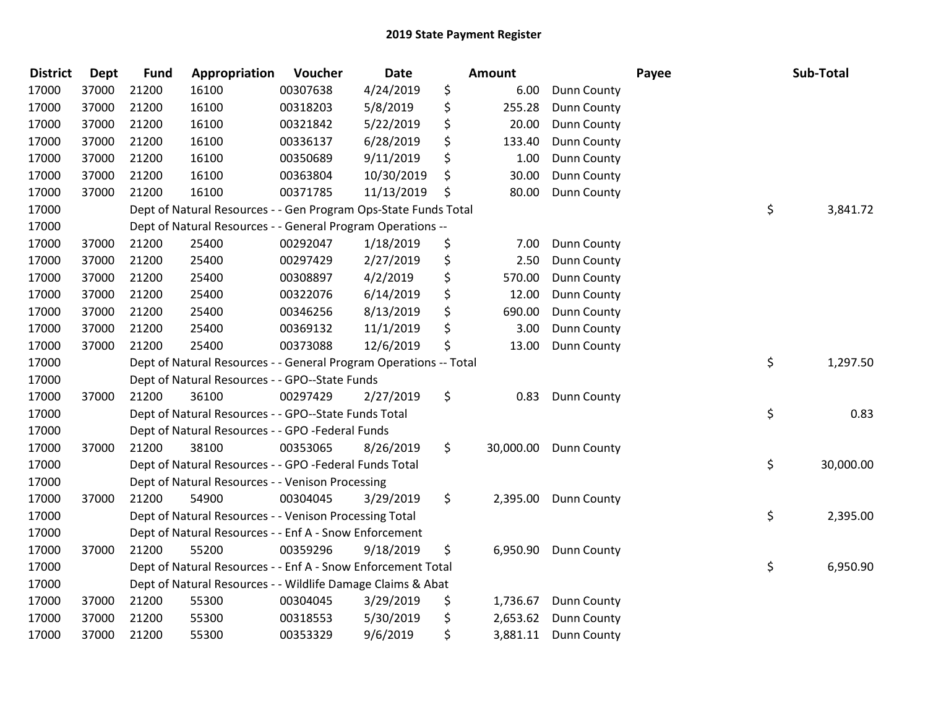| <b>District</b> | Dept  | <b>Fund</b> | Appropriation                                                     | Voucher  | <b>Date</b> |     | Amount    |                    | Payee | Sub-Total       |
|-----------------|-------|-------------|-------------------------------------------------------------------|----------|-------------|-----|-----------|--------------------|-------|-----------------|
| 17000           | 37000 | 21200       | 16100                                                             | 00307638 | 4/24/2019   | \$  | 6.00      | <b>Dunn County</b> |       |                 |
| 17000           | 37000 | 21200       | 16100                                                             | 00318203 | 5/8/2019    | \$  | 255.28    | <b>Dunn County</b> |       |                 |
| 17000           | 37000 | 21200       | 16100                                                             | 00321842 | 5/22/2019   | \$  | 20.00     | Dunn County        |       |                 |
| 17000           | 37000 | 21200       | 16100                                                             | 00336137 | 6/28/2019   | \$  | 133.40    | Dunn County        |       |                 |
| 17000           | 37000 | 21200       | 16100                                                             | 00350689 | 9/11/2019   | \$  | 1.00      | Dunn County        |       |                 |
| 17000           | 37000 | 21200       | 16100                                                             | 00363804 | 10/30/2019  | \$  | 30.00     | Dunn County        |       |                 |
| 17000           | 37000 | 21200       | 16100                                                             | 00371785 | 11/13/2019  | \$  | 80.00     | Dunn County        |       |                 |
| 17000           |       |             | Dept of Natural Resources - - Gen Program Ops-State Funds Total   |          |             |     |           |                    |       | \$<br>3,841.72  |
| 17000           |       |             | Dept of Natural Resources - - General Program Operations --       |          |             |     |           |                    |       |                 |
| 17000           | 37000 | 21200       | 25400                                                             | 00292047 | 1/18/2019   | \$  | 7.00      | Dunn County        |       |                 |
| 17000           | 37000 | 21200       | 25400                                                             | 00297429 | 2/27/2019   | \$  | 2.50      | Dunn County        |       |                 |
| 17000           | 37000 | 21200       | 25400                                                             | 00308897 | 4/2/2019    | \$  | 570.00    | Dunn County        |       |                 |
| 17000           | 37000 | 21200       | 25400                                                             | 00322076 | 6/14/2019   | \$  | 12.00     | <b>Dunn County</b> |       |                 |
| 17000           | 37000 | 21200       | 25400                                                             | 00346256 | 8/13/2019   | \$  | 690.00    | Dunn County        |       |                 |
| 17000           | 37000 | 21200       | 25400                                                             | 00369132 | 11/1/2019   | \$  | 3.00      | Dunn County        |       |                 |
| 17000           | 37000 | 21200       | 25400                                                             | 00373088 | 12/6/2019   | \$  | 13.00     | Dunn County        |       |                 |
| 17000           |       |             | Dept of Natural Resources - - General Program Operations -- Total |          |             |     |           |                    |       | \$<br>1,297.50  |
| 17000           |       |             | Dept of Natural Resources - - GPO--State Funds                    |          |             |     |           |                    |       |                 |
| 17000           | 37000 | 21200       | 36100                                                             | 00297429 | 2/27/2019   | \$  | 0.83      | <b>Dunn County</b> |       |                 |
| 17000           |       |             | Dept of Natural Resources - - GPO--State Funds Total              |          |             |     |           |                    |       | \$<br>0.83      |
| 17000           |       |             | Dept of Natural Resources - - GPO -Federal Funds                  |          |             |     |           |                    |       |                 |
| 17000           | 37000 | 21200       | 38100                                                             | 00353065 | 8/26/2019   | \$. | 30,000.00 | <b>Dunn County</b> |       |                 |
| 17000           |       |             | Dept of Natural Resources - - GPO -Federal Funds Total            |          |             |     |           |                    |       | \$<br>30,000.00 |
| 17000           |       |             | Dept of Natural Resources - - Venison Processing                  |          |             |     |           |                    |       |                 |
| 17000           | 37000 | 21200       | 54900                                                             | 00304045 | 3/29/2019   | \$  | 2,395.00  | <b>Dunn County</b> |       |                 |
| 17000           |       |             | Dept of Natural Resources - - Venison Processing Total            |          |             |     |           |                    |       | \$<br>2,395.00  |
| 17000           |       |             | Dept of Natural Resources - - Enf A - Snow Enforcement            |          |             |     |           |                    |       |                 |
| 17000           | 37000 | 21200       | 55200                                                             | 00359296 | 9/18/2019   | \$  | 6,950.90  | <b>Dunn County</b> |       |                 |
| 17000           |       |             | Dept of Natural Resources - - Enf A - Snow Enforcement Total      |          |             |     |           |                    |       | \$<br>6,950.90  |
| 17000           |       |             | Dept of Natural Resources - - Wildlife Damage Claims & Abat       |          |             |     |           |                    |       |                 |
| 17000           | 37000 | 21200       | 55300                                                             | 00304045 | 3/29/2019   | \$  | 1,736.67  | Dunn County        |       |                 |
| 17000           | 37000 | 21200       | 55300                                                             | 00318553 | 5/30/2019   | \$  | 2,653.62  | <b>Dunn County</b> |       |                 |
| 17000           | 37000 | 21200       | 55300                                                             | 00353329 | 9/6/2019    | \$  | 3,881.11  | <b>Dunn County</b> |       |                 |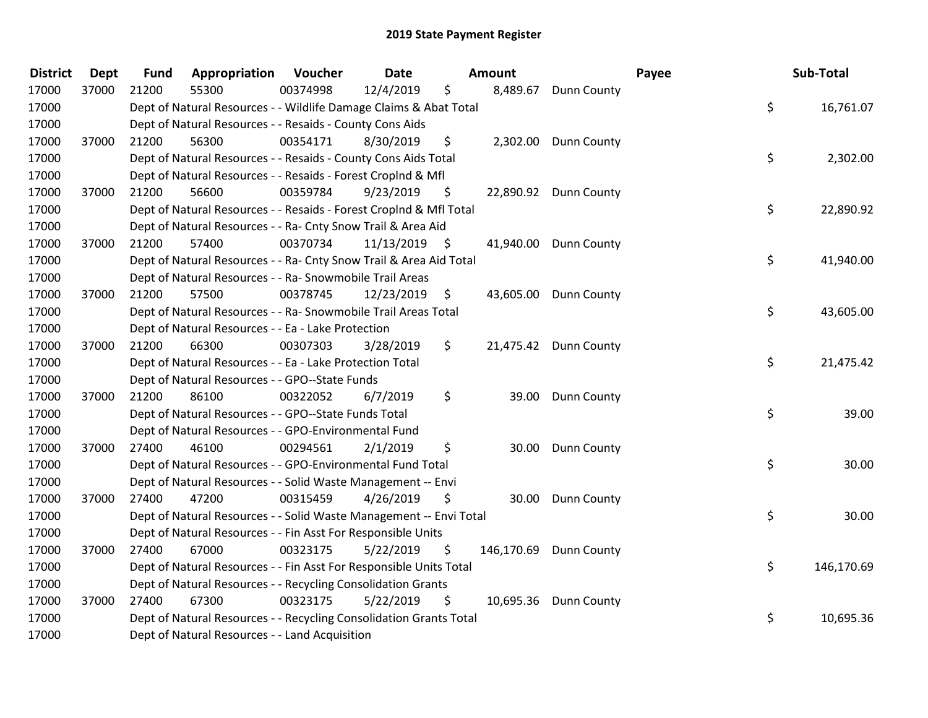| <b>District</b> | <b>Dept</b> | <b>Fund</b> | Appropriation                                                      | Voucher  | <b>Date</b> |      | Amount |                        | Payee | Sub-Total  |
|-----------------|-------------|-------------|--------------------------------------------------------------------|----------|-------------|------|--------|------------------------|-------|------------|
| 17000           | 37000       | 21200       | 55300                                                              | 00374998 | 12/4/2019   | \$   |        | 8,489.67 Dunn County   |       |            |
| 17000           |             |             | Dept of Natural Resources - - Wildlife Damage Claims & Abat Total  |          |             |      |        |                        | \$    | 16,761.07  |
| 17000           |             |             | Dept of Natural Resources - - Resaids - County Cons Aids           |          |             |      |        |                        |       |            |
| 17000           | 37000       | 21200       | 56300                                                              | 00354171 | 8/30/2019   | \$   |        | 2,302.00 Dunn County   |       |            |
| 17000           |             |             | Dept of Natural Resources - - Resaids - County Cons Aids Total     |          |             |      |        |                        | \$    | 2,302.00   |
| 17000           |             |             | Dept of Natural Resources - - Resaids - Forest Croplnd & Mfl       |          |             |      |        |                        |       |            |
| 17000           | 37000       | 21200       | 56600                                                              | 00359784 | 9/23/2019   | \$   |        | 22,890.92 Dunn County  |       |            |
| 17000           |             |             | Dept of Natural Resources - - Resaids - Forest Croplnd & Mfl Total |          |             |      |        |                        | \$    | 22,890.92  |
| 17000           |             |             | Dept of Natural Resources - - Ra- Cnty Snow Trail & Area Aid       |          |             |      |        |                        |       |            |
| 17000           | 37000       | 21200       | 57400                                                              | 00370734 | 11/13/2019  | - \$ |        | 41,940.00 Dunn County  |       |            |
| 17000           |             |             | Dept of Natural Resources - - Ra- Cnty Snow Trail & Area Aid Total |          |             |      |        |                        | \$    | 41,940.00  |
| 17000           |             |             | Dept of Natural Resources - - Ra- Snowmobile Trail Areas           |          |             |      |        |                        |       |            |
| 17000           | 37000       | 21200       | 57500                                                              | 00378745 | 12/23/2019  | \$   |        | 43,605.00 Dunn County  |       |            |
| 17000           |             |             | Dept of Natural Resources - - Ra- Snowmobile Trail Areas Total     |          |             |      |        |                        | \$    | 43,605.00  |
| 17000           |             |             | Dept of Natural Resources - - Ea - Lake Protection                 |          |             |      |        |                        |       |            |
| 17000           | 37000       | 21200       | 66300                                                              | 00307303 | 3/28/2019   | \$.  |        | 21,475.42 Dunn County  |       |            |
| 17000           |             |             | Dept of Natural Resources - - Ea - Lake Protection Total           |          |             |      |        |                        | \$    | 21,475.42  |
| 17000           |             |             | Dept of Natural Resources - - GPO--State Funds                     |          |             |      |        |                        |       |            |
| 17000           | 37000       | 21200       | 86100                                                              | 00322052 | 6/7/2019    | \$   |        | 39.00 Dunn County      |       |            |
| 17000           |             |             | Dept of Natural Resources - - GPO--State Funds Total               |          |             |      |        |                        | \$    | 39.00      |
| 17000           |             |             | Dept of Natural Resources - - GPO-Environmental Fund               |          |             |      |        |                        |       |            |
| 17000           | 37000       | 27400       | 46100                                                              | 00294561 | 2/1/2019    | \$   | 30.00  | Dunn County            |       |            |
| 17000           |             |             | Dept of Natural Resources - - GPO-Environmental Fund Total         |          |             |      |        |                        | \$    | 30.00      |
| 17000           |             |             | Dept of Natural Resources - - Solid Waste Management -- Envi       |          |             |      |        |                        |       |            |
| 17000           | 37000       | 27400       | 47200                                                              | 00315459 | 4/26/2019   | \$   | 30.00  | <b>Dunn County</b>     |       |            |
| 17000           |             |             | Dept of Natural Resources - - Solid Waste Management -- Envi Total |          |             |      |        |                        | \$    | 30.00      |
| 17000           |             |             | Dept of Natural Resources - - Fin Asst For Responsible Units       |          |             |      |        |                        |       |            |
| 17000           | 37000       | 27400       | 67000                                                              | 00323175 | 5/22/2019   | \$   |        | 146,170.69 Dunn County |       |            |
| 17000           |             |             | Dept of Natural Resources - - Fin Asst For Responsible Units Total |          |             |      |        |                        | \$    | 146,170.69 |
| 17000           |             |             | Dept of Natural Resources - - Recycling Consolidation Grants       |          |             |      |        |                        |       |            |
| 17000           | 37000       | 27400       | 67300                                                              | 00323175 | 5/22/2019   | \$   |        | 10,695.36 Dunn County  |       |            |
| 17000           |             |             | Dept of Natural Resources - - Recycling Consolidation Grants Total |          |             |      |        |                        | \$    | 10,695.36  |
| 17000           |             |             | Dept of Natural Resources - - Land Acquisition                     |          |             |      |        |                        |       |            |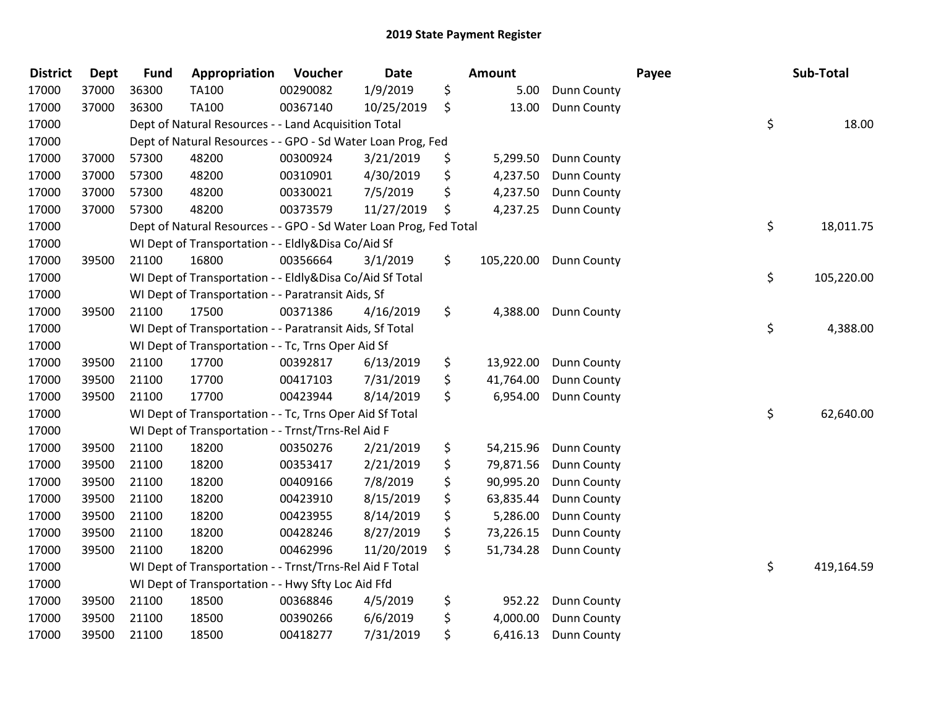| <b>District</b> | <b>Dept</b> | <b>Fund</b> | Appropriation                                                     | Voucher  | <b>Date</b> | Amount |            |                    | Payee | Sub-Total        |
|-----------------|-------------|-------------|-------------------------------------------------------------------|----------|-------------|--------|------------|--------------------|-------|------------------|
| 17000           | 37000       | 36300       | TA100                                                             | 00290082 | 1/9/2019    | \$     | 5.00       | <b>Dunn County</b> |       |                  |
| 17000           | 37000       | 36300       | TA100                                                             | 00367140 | 10/25/2019  | \$     | 13.00      | Dunn County        |       |                  |
| 17000           |             |             | Dept of Natural Resources - - Land Acquisition Total              |          |             |        |            |                    |       | \$<br>18.00      |
| 17000           |             |             | Dept of Natural Resources - - GPO - Sd Water Loan Prog, Fed       |          |             |        |            |                    |       |                  |
| 17000           | 37000       | 57300       | 48200                                                             | 00300924 | 3/21/2019   | \$     | 5,299.50   | Dunn County        |       |                  |
| 17000           | 37000       | 57300       | 48200                                                             | 00310901 | 4/30/2019   | \$     | 4,237.50   | Dunn County        |       |                  |
| 17000           | 37000       | 57300       | 48200                                                             | 00330021 | 7/5/2019    | \$     | 4,237.50   | Dunn County        |       |                  |
| 17000           | 37000       | 57300       | 48200                                                             | 00373579 | 11/27/2019  | \$     | 4,237.25   | <b>Dunn County</b> |       |                  |
| 17000           |             |             | Dept of Natural Resources - - GPO - Sd Water Loan Prog, Fed Total |          |             |        |            |                    |       | \$<br>18,011.75  |
| 17000           |             |             | WI Dept of Transportation - - Eldly&Disa Co/Aid Sf                |          |             |        |            |                    |       |                  |
| 17000           | 39500       | 21100       | 16800                                                             | 00356664 | 3/1/2019    | \$     | 105,220.00 | <b>Dunn County</b> |       |                  |
| 17000           |             |             | WI Dept of Transportation - - Eldly&Disa Co/Aid Sf Total          |          |             |        |            |                    |       | \$<br>105,220.00 |
| 17000           |             |             | WI Dept of Transportation - - Paratransit Aids, Sf                |          |             |        |            |                    |       |                  |
| 17000           | 39500       | 21100       | 17500                                                             | 00371386 | 4/16/2019   | \$     | 4,388.00   | <b>Dunn County</b> |       |                  |
| 17000           |             |             | WI Dept of Transportation - - Paratransit Aids, Sf Total          |          |             |        |            |                    |       | \$<br>4,388.00   |
| 17000           |             |             | WI Dept of Transportation - - Tc, Trns Oper Aid Sf                |          |             |        |            |                    |       |                  |
| 17000           | 39500       | 21100       | 17700                                                             | 00392817 | 6/13/2019   | \$     | 13,922.00  | Dunn County        |       |                  |
| 17000           | 39500       | 21100       | 17700                                                             | 00417103 | 7/31/2019   | \$     | 41,764.00  | Dunn County        |       |                  |
| 17000           | 39500       | 21100       | 17700                                                             | 00423944 | 8/14/2019   | \$     | 6,954.00   | <b>Dunn County</b> |       |                  |
| 17000           |             |             | WI Dept of Transportation - - Tc, Trns Oper Aid Sf Total          |          |             |        |            |                    |       | \$<br>62,640.00  |
| 17000           |             |             | WI Dept of Transportation - - Trnst/Trns-Rel Aid F                |          |             |        |            |                    |       |                  |
| 17000           | 39500       | 21100       | 18200                                                             | 00350276 | 2/21/2019   | \$     | 54,215.96  | <b>Dunn County</b> |       |                  |
| 17000           | 39500       | 21100       | 18200                                                             | 00353417 | 2/21/2019   | \$     | 79,871.56  | Dunn County        |       |                  |
| 17000           | 39500       | 21100       | 18200                                                             | 00409166 | 7/8/2019    | \$     | 90,995.20  | <b>Dunn County</b> |       |                  |
| 17000           | 39500       | 21100       | 18200                                                             | 00423910 | 8/15/2019   | \$     | 63,835.44  | Dunn County        |       |                  |
| 17000           | 39500       | 21100       | 18200                                                             | 00423955 | 8/14/2019   | \$     | 5,286.00   | Dunn County        |       |                  |
| 17000           | 39500       | 21100       | 18200                                                             | 00428246 | 8/27/2019   | \$     | 73,226.15  | Dunn County        |       |                  |
| 17000           | 39500       | 21100       | 18200                                                             | 00462996 | 11/20/2019  | \$     | 51,734.28  | Dunn County        |       |                  |
| 17000           |             |             | WI Dept of Transportation - - Trnst/Trns-Rel Aid F Total          |          |             |        |            |                    |       | \$<br>419,164.59 |
| 17000           |             |             | WI Dept of Transportation - - Hwy Sfty Loc Aid Ffd                |          |             |        |            |                    |       |                  |
| 17000           | 39500       | 21100       | 18500                                                             | 00368846 | 4/5/2019    | \$     | 952.22     | Dunn County        |       |                  |
| 17000           | 39500       | 21100       | 18500                                                             | 00390266 | 6/6/2019    | \$     | 4,000.00   | Dunn County        |       |                  |
| 17000           | 39500       | 21100       | 18500                                                             | 00418277 | 7/31/2019   | \$     | 6,416.13   | Dunn County        |       |                  |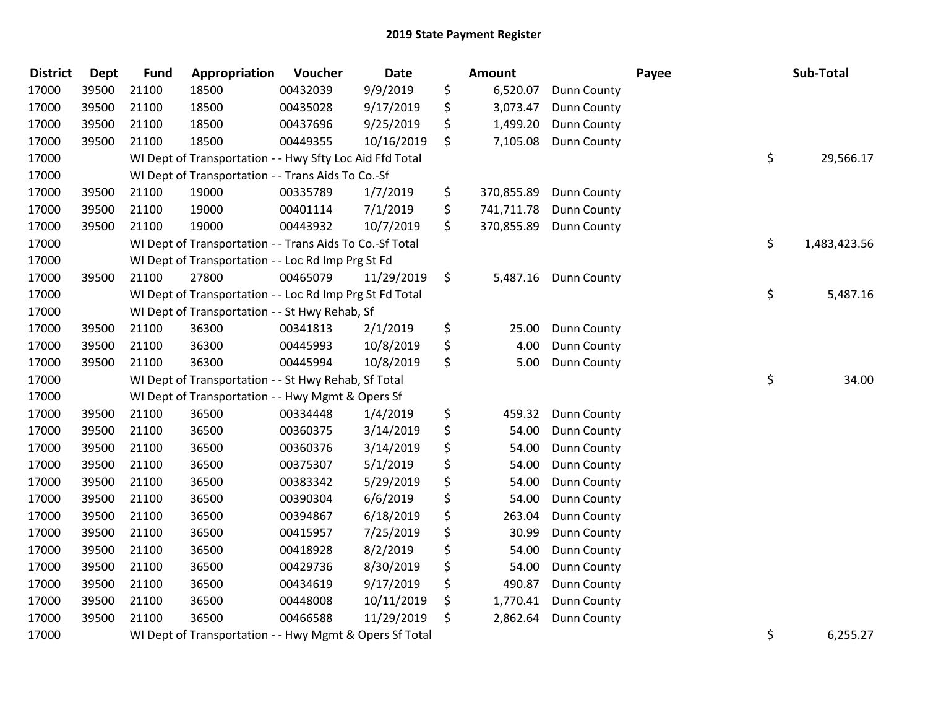| <b>District</b> | <b>Dept</b> | <b>Fund</b> | Appropriation                                            | Voucher  | Date       | Amount           |                      | Payee | Sub-Total          |
|-----------------|-------------|-------------|----------------------------------------------------------|----------|------------|------------------|----------------------|-------|--------------------|
| 17000           | 39500       | 21100       | 18500                                                    | 00432039 | 9/9/2019   | \$<br>6,520.07   | <b>Dunn County</b>   |       |                    |
| 17000           | 39500       | 21100       | 18500                                                    | 00435028 | 9/17/2019  | \$<br>3,073.47   | <b>Dunn County</b>   |       |                    |
| 17000           | 39500       | 21100       | 18500                                                    | 00437696 | 9/25/2019  | \$<br>1,499.20   | Dunn County          |       |                    |
| 17000           | 39500       | 21100       | 18500                                                    | 00449355 | 10/16/2019 | \$<br>7,105.08   | <b>Dunn County</b>   |       |                    |
| 17000           |             |             | WI Dept of Transportation - - Hwy Sfty Loc Aid Ffd Total |          |            |                  |                      |       | \$<br>29,566.17    |
| 17000           |             |             | WI Dept of Transportation - - Trans Aids To Co.-Sf       |          |            |                  |                      |       |                    |
| 17000           | 39500       | 21100       | 19000                                                    | 00335789 | 1/7/2019   | \$<br>370,855.89 | Dunn County          |       |                    |
| 17000           | 39500       | 21100       | 19000                                                    | 00401114 | 7/1/2019   | \$<br>741,711.78 | <b>Dunn County</b>   |       |                    |
| 17000           | 39500       | 21100       | 19000                                                    | 00443932 | 10/7/2019  | \$<br>370,855.89 | Dunn County          |       |                    |
| 17000           |             |             | WI Dept of Transportation - - Trans Aids To Co.-Sf Total |          |            |                  |                      |       | \$<br>1,483,423.56 |
| 17000           |             |             | WI Dept of Transportation - - Loc Rd Imp Prg St Fd       |          |            |                  |                      |       |                    |
| 17000           | 39500       | 21100       | 27800                                                    | 00465079 | 11/29/2019 | \$               | 5,487.16 Dunn County |       |                    |
| 17000           |             |             | WI Dept of Transportation - - Loc Rd Imp Prg St Fd Total |          |            |                  |                      |       | \$<br>5,487.16     |
| 17000           |             |             | WI Dept of Transportation - - St Hwy Rehab, Sf           |          |            |                  |                      |       |                    |
| 17000           | 39500       | 21100       | 36300                                                    | 00341813 | 2/1/2019   | \$<br>25.00      | Dunn County          |       |                    |
| 17000           | 39500       | 21100       | 36300                                                    | 00445993 | 10/8/2019  | \$<br>4.00       | Dunn County          |       |                    |
| 17000           | 39500       | 21100       | 36300                                                    | 00445994 | 10/8/2019  | \$<br>5.00       | Dunn County          |       |                    |
| 17000           |             |             | WI Dept of Transportation - - St Hwy Rehab, Sf Total     |          |            |                  |                      |       | \$<br>34.00        |
| 17000           |             |             | WI Dept of Transportation - - Hwy Mgmt & Opers Sf        |          |            |                  |                      |       |                    |
| 17000           | 39500       | 21100       | 36500                                                    | 00334448 | 1/4/2019   | \$<br>459.32     | Dunn County          |       |                    |
| 17000           | 39500       | 21100       | 36500                                                    | 00360375 | 3/14/2019  | \$<br>54.00      | Dunn County          |       |                    |
| 17000           | 39500       | 21100       | 36500                                                    | 00360376 | 3/14/2019  | \$<br>54.00      | Dunn County          |       |                    |
| 17000           | 39500       | 21100       | 36500                                                    | 00375307 | 5/1/2019   | \$<br>54.00      | Dunn County          |       |                    |
| 17000           | 39500       | 21100       | 36500                                                    | 00383342 | 5/29/2019  | \$<br>54.00      | Dunn County          |       |                    |
| 17000           | 39500       | 21100       | 36500                                                    | 00390304 | 6/6/2019   | \$<br>54.00      | Dunn County          |       |                    |
| 17000           | 39500       | 21100       | 36500                                                    | 00394867 | 6/18/2019  | \$<br>263.04     | Dunn County          |       |                    |
| 17000           | 39500       | 21100       | 36500                                                    | 00415957 | 7/25/2019  | \$<br>30.99      | Dunn County          |       |                    |
| 17000           | 39500       | 21100       | 36500                                                    | 00418928 | 8/2/2019   | \$<br>54.00      | Dunn County          |       |                    |
| 17000           | 39500       | 21100       | 36500                                                    | 00429736 | 8/30/2019  | \$<br>54.00      | Dunn County          |       |                    |
| 17000           | 39500       | 21100       | 36500                                                    | 00434619 | 9/17/2019  | \$<br>490.87     | Dunn County          |       |                    |
| 17000           | 39500       | 21100       | 36500                                                    | 00448008 | 10/11/2019 | \$<br>1,770.41   | <b>Dunn County</b>   |       |                    |
| 17000           | 39500       | 21100       | 36500                                                    | 00466588 | 11/29/2019 | \$<br>2,862.64   | <b>Dunn County</b>   |       |                    |
| 17000           |             |             | WI Dept of Transportation - - Hwy Mgmt & Opers Sf Total  |          |            |                  |                      |       | \$<br>6,255.27     |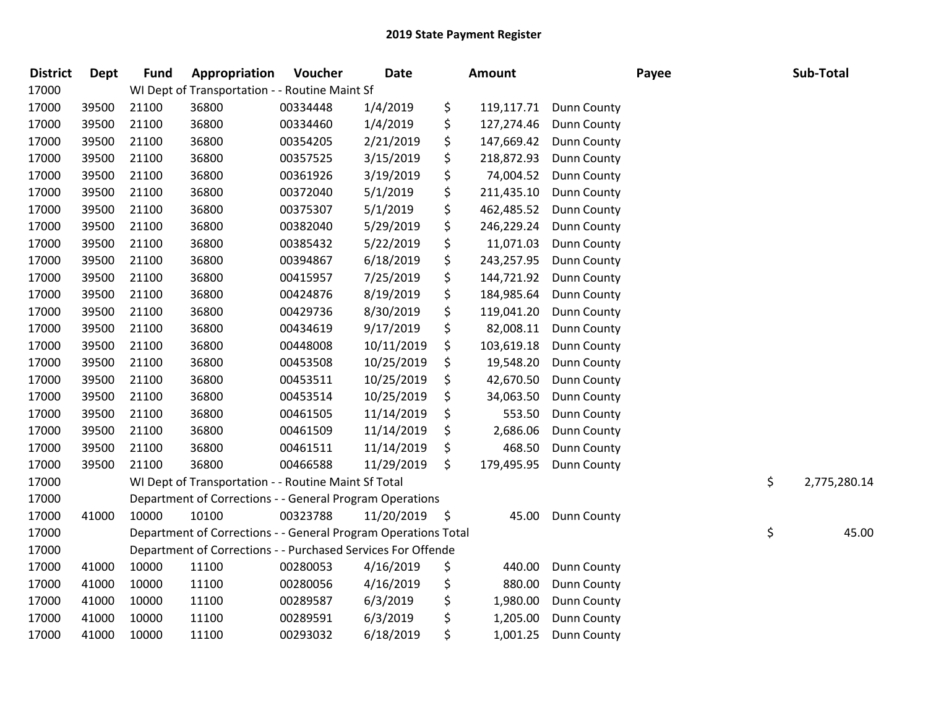| <b>District</b> | Dept  | <b>Fund</b> | Appropriation                                                  | Voucher  | <b>Date</b> | Amount |            |             | Payee | Sub-Total          |
|-----------------|-------|-------------|----------------------------------------------------------------|----------|-------------|--------|------------|-------------|-------|--------------------|
| 17000           |       |             | WI Dept of Transportation - - Routine Maint Sf                 |          |             |        |            |             |       |                    |
| 17000           | 39500 | 21100       | 36800                                                          | 00334448 | 1/4/2019    | \$     | 119,117.71 | Dunn County |       |                    |
| 17000           | 39500 | 21100       | 36800                                                          | 00334460 | 1/4/2019    | \$     | 127,274.46 | Dunn County |       |                    |
| 17000           | 39500 | 21100       | 36800                                                          | 00354205 | 2/21/2019   | \$     | 147,669.42 | Dunn County |       |                    |
| 17000           | 39500 | 21100       | 36800                                                          | 00357525 | 3/15/2019   | \$     | 218,872.93 | Dunn County |       |                    |
| 17000           | 39500 | 21100       | 36800                                                          | 00361926 | 3/19/2019   | \$     | 74,004.52  | Dunn County |       |                    |
| 17000           | 39500 | 21100       | 36800                                                          | 00372040 | 5/1/2019    | \$     | 211,435.10 | Dunn County |       |                    |
| 17000           | 39500 | 21100       | 36800                                                          | 00375307 | 5/1/2019    | \$     | 462,485.52 | Dunn County |       |                    |
| 17000           | 39500 | 21100       | 36800                                                          | 00382040 | 5/29/2019   | \$     | 246,229.24 | Dunn County |       |                    |
| 17000           | 39500 | 21100       | 36800                                                          | 00385432 | 5/22/2019   | \$     | 11,071.03  | Dunn County |       |                    |
| 17000           | 39500 | 21100       | 36800                                                          | 00394867 | 6/18/2019   | \$     | 243,257.95 | Dunn County |       |                    |
| 17000           | 39500 | 21100       | 36800                                                          | 00415957 | 7/25/2019   | \$     | 144,721.92 | Dunn County |       |                    |
| 17000           | 39500 | 21100       | 36800                                                          | 00424876 | 8/19/2019   | \$     | 184,985.64 | Dunn County |       |                    |
| 17000           | 39500 | 21100       | 36800                                                          | 00429736 | 8/30/2019   | \$     | 119,041.20 | Dunn County |       |                    |
| 17000           | 39500 | 21100       | 36800                                                          | 00434619 | 9/17/2019   | \$     | 82,008.11  | Dunn County |       |                    |
| 17000           | 39500 | 21100       | 36800                                                          | 00448008 | 10/11/2019  | \$     | 103,619.18 | Dunn County |       |                    |
| 17000           | 39500 | 21100       | 36800                                                          | 00453508 | 10/25/2019  | \$     | 19,548.20  | Dunn County |       |                    |
| 17000           | 39500 | 21100       | 36800                                                          | 00453511 | 10/25/2019  | \$     | 42,670.50  | Dunn County |       |                    |
| 17000           | 39500 | 21100       | 36800                                                          | 00453514 | 10/25/2019  | \$     | 34,063.50  | Dunn County |       |                    |
| 17000           | 39500 | 21100       | 36800                                                          | 00461505 | 11/14/2019  | \$     | 553.50     | Dunn County |       |                    |
| 17000           | 39500 | 21100       | 36800                                                          | 00461509 | 11/14/2019  | \$     | 2,686.06   | Dunn County |       |                    |
| 17000           | 39500 | 21100       | 36800                                                          | 00461511 | 11/14/2019  | \$     | 468.50     | Dunn County |       |                    |
| 17000           | 39500 | 21100       | 36800                                                          | 00466588 | 11/29/2019  | \$     | 179,495.95 | Dunn County |       |                    |
| 17000           |       |             | WI Dept of Transportation - - Routine Maint Sf Total           |          |             |        |            |             |       | \$<br>2,775,280.14 |
| 17000           |       |             | Department of Corrections - - General Program Operations       |          |             |        |            |             |       |                    |
| 17000           | 41000 | 10000       | 10100                                                          | 00323788 | 11/20/2019  | -\$    | 45.00      | Dunn County |       |                    |
| 17000           |       |             | Department of Corrections - - General Program Operations Total |          |             |        |            |             |       | \$<br>45.00        |
| 17000           |       |             | Department of Corrections - - Purchased Services For Offende   |          |             |        |            |             |       |                    |
| 17000           | 41000 | 10000       | 11100                                                          | 00280053 | 4/16/2019   | \$     | 440.00     | Dunn County |       |                    |
| 17000           | 41000 | 10000       | 11100                                                          | 00280056 | 4/16/2019   | \$     | 880.00     | Dunn County |       |                    |
| 17000           | 41000 | 10000       | 11100                                                          | 00289587 | 6/3/2019    | \$     | 1,980.00   | Dunn County |       |                    |
| 17000           | 41000 | 10000       | 11100                                                          | 00289591 | 6/3/2019    | \$     | 1,205.00   | Dunn County |       |                    |
| 17000           | 41000 | 10000       | 11100                                                          | 00293032 | 6/18/2019   | \$     | 1,001.25   | Dunn County |       |                    |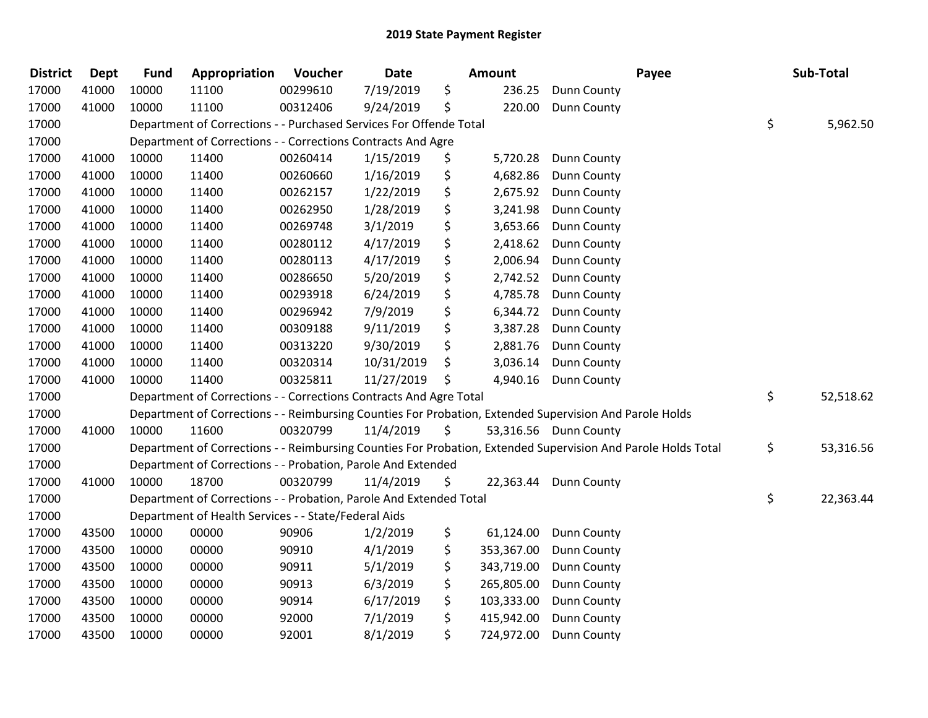| <b>District</b> | <b>Dept</b> | <b>Fund</b> | Appropriation                                                      | Voucher  | <b>Date</b> | Amount |            | Payee                                                                                                         | Sub-Total       |
|-----------------|-------------|-------------|--------------------------------------------------------------------|----------|-------------|--------|------------|---------------------------------------------------------------------------------------------------------------|-----------------|
| 17000           | 41000       | 10000       | 11100                                                              | 00299610 | 7/19/2019   | \$     | 236.25     | Dunn County                                                                                                   |                 |
| 17000           | 41000       | 10000       | 11100                                                              | 00312406 | 9/24/2019   | \$     | 220.00     | Dunn County                                                                                                   |                 |
| 17000           |             |             | Department of Corrections - - Purchased Services For Offende Total |          |             |        |            |                                                                                                               | \$<br>5,962.50  |
| 17000           |             |             | Department of Corrections - - Corrections Contracts And Agre       |          |             |        |            |                                                                                                               |                 |
| 17000           | 41000       | 10000       | 11400                                                              | 00260414 | 1/15/2019   | \$     | 5,720.28   | Dunn County                                                                                                   |                 |
| 17000           | 41000       | 10000       | 11400                                                              | 00260660 | 1/16/2019   | \$     | 4,682.86   | Dunn County                                                                                                   |                 |
| 17000           | 41000       | 10000       | 11400                                                              | 00262157 | 1/22/2019   | \$     | 2,675.92   | Dunn County                                                                                                   |                 |
| 17000           | 41000       | 10000       | 11400                                                              | 00262950 | 1/28/2019   | \$     | 3,241.98   | Dunn County                                                                                                   |                 |
| 17000           | 41000       | 10000       | 11400                                                              | 00269748 | 3/1/2019    | \$     | 3,653.66   | Dunn County                                                                                                   |                 |
| 17000           | 41000       | 10000       | 11400                                                              | 00280112 | 4/17/2019   | \$     | 2,418.62   | Dunn County                                                                                                   |                 |
| 17000           | 41000       | 10000       | 11400                                                              | 00280113 | 4/17/2019   | \$     | 2,006.94   | Dunn County                                                                                                   |                 |
| 17000           | 41000       | 10000       | 11400                                                              | 00286650 | 5/20/2019   | \$     | 2,742.52   | Dunn County                                                                                                   |                 |
| 17000           | 41000       | 10000       | 11400                                                              | 00293918 | 6/24/2019   | \$     | 4,785.78   | Dunn County                                                                                                   |                 |
| 17000           | 41000       | 10000       | 11400                                                              | 00296942 | 7/9/2019    | \$     | 6,344.72   | Dunn County                                                                                                   |                 |
| 17000           | 41000       | 10000       | 11400                                                              | 00309188 | 9/11/2019   | \$     | 3,387.28   | Dunn County                                                                                                   |                 |
| 17000           | 41000       | 10000       | 11400                                                              | 00313220 | 9/30/2019   | \$     | 2,881.76   | Dunn County                                                                                                   |                 |
| 17000           | 41000       | 10000       | 11400                                                              | 00320314 | 10/31/2019  | \$     | 3,036.14   | Dunn County                                                                                                   |                 |
| 17000           | 41000       | 10000       | 11400                                                              | 00325811 | 11/27/2019  | \$     | 4,940.16   | Dunn County                                                                                                   |                 |
| 17000           |             |             | Department of Corrections - - Corrections Contracts And Agre Total |          |             |        |            |                                                                                                               | \$<br>52,518.62 |
| 17000           |             |             |                                                                    |          |             |        |            | Department of Corrections - - Reimbursing Counties For Probation, Extended Supervision And Parole Holds       |                 |
| 17000           | 41000       | 10000       | 11600                                                              | 00320799 | 11/4/2019   | \$     |            | 53,316.56 Dunn County                                                                                         |                 |
| 17000           |             |             |                                                                    |          |             |        |            | Department of Corrections - - Reimbursing Counties For Probation, Extended Supervision And Parole Holds Total | \$<br>53,316.56 |
| 17000           |             |             | Department of Corrections - - Probation, Parole And Extended       |          |             |        |            |                                                                                                               |                 |
| 17000           | 41000       | 10000       | 18700                                                              | 00320799 | 11/4/2019   | \$     |            | 22,363.44 Dunn County                                                                                         |                 |
| 17000           |             |             | Department of Corrections - - Probation, Parole And Extended Total |          |             |        |            |                                                                                                               | \$<br>22,363.44 |
| 17000           |             |             | Department of Health Services - - State/Federal Aids               |          |             |        |            |                                                                                                               |                 |
| 17000           | 43500       | 10000       | 00000                                                              | 90906    | 1/2/2019    | \$     | 61,124.00  | Dunn County                                                                                                   |                 |
| 17000           | 43500       | 10000       | 00000                                                              | 90910    | 4/1/2019    | \$     | 353,367.00 | Dunn County                                                                                                   |                 |
| 17000           | 43500       | 10000       | 00000                                                              | 90911    | 5/1/2019    | \$     | 343,719.00 | Dunn County                                                                                                   |                 |
| 17000           | 43500       | 10000       | 00000                                                              | 90913    | 6/3/2019    | \$     | 265,805.00 | Dunn County                                                                                                   |                 |
| 17000           | 43500       | 10000       | 00000                                                              | 90914    | 6/17/2019   | \$     | 103,333.00 | Dunn County                                                                                                   |                 |
| 17000           | 43500       | 10000       | 00000                                                              | 92000    | 7/1/2019    | \$     | 415,942.00 | Dunn County                                                                                                   |                 |
| 17000           | 43500       | 10000       | 00000                                                              | 92001    | 8/1/2019    | \$     | 724,972.00 | Dunn County                                                                                                   |                 |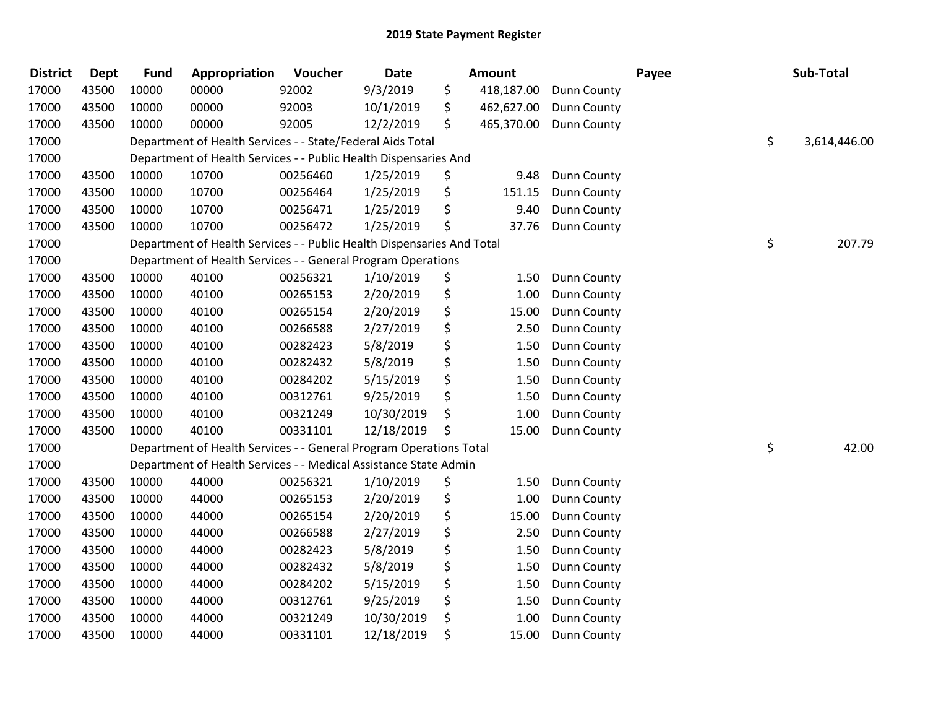| <b>District</b> | <b>Dept</b> | <b>Fund</b> | Appropriation                                                          | Voucher  | <b>Date</b> | <b>Amount</b>    |             | Payee | Sub-Total          |
|-----------------|-------------|-------------|------------------------------------------------------------------------|----------|-------------|------------------|-------------|-------|--------------------|
| 17000           | 43500       | 10000       | 00000                                                                  | 92002    | 9/3/2019    | \$<br>418,187.00 | Dunn County |       |                    |
| 17000           | 43500       | 10000       | 00000                                                                  | 92003    | 10/1/2019   | \$<br>462,627.00 | Dunn County |       |                    |
| 17000           | 43500       | 10000       | 00000                                                                  | 92005    | 12/2/2019   | \$<br>465,370.00 | Dunn County |       |                    |
| 17000           |             |             | Department of Health Services - - State/Federal Aids Total             |          |             |                  |             |       | \$<br>3,614,446.00 |
| 17000           |             |             | Department of Health Services - - Public Health Dispensaries And       |          |             |                  |             |       |                    |
| 17000           | 43500       | 10000       | 10700                                                                  | 00256460 | 1/25/2019   | \$<br>9.48       | Dunn County |       |                    |
| 17000           | 43500       | 10000       | 10700                                                                  | 00256464 | 1/25/2019   | \$<br>151.15     | Dunn County |       |                    |
| 17000           | 43500       | 10000       | 10700                                                                  | 00256471 | 1/25/2019   | \$<br>9.40       | Dunn County |       |                    |
| 17000           | 43500       | 10000       | 10700                                                                  | 00256472 | 1/25/2019   | \$<br>37.76      | Dunn County |       |                    |
| 17000           |             |             | Department of Health Services - - Public Health Dispensaries And Total |          |             |                  |             |       | \$<br>207.79       |
| 17000           |             |             | Department of Health Services - - General Program Operations           |          |             |                  |             |       |                    |
| 17000           | 43500       | 10000       | 40100                                                                  | 00256321 | 1/10/2019   | \$<br>1.50       | Dunn County |       |                    |
| 17000           | 43500       | 10000       | 40100                                                                  | 00265153 | 2/20/2019   | \$<br>1.00       | Dunn County |       |                    |
| 17000           | 43500       | 10000       | 40100                                                                  | 00265154 | 2/20/2019   | \$<br>15.00      | Dunn County |       |                    |
| 17000           | 43500       | 10000       | 40100                                                                  | 00266588 | 2/27/2019   | \$<br>2.50       | Dunn County |       |                    |
| 17000           | 43500       | 10000       | 40100                                                                  | 00282423 | 5/8/2019    | \$<br>1.50       | Dunn County |       |                    |
| 17000           | 43500       | 10000       | 40100                                                                  | 00282432 | 5/8/2019    | \$<br>1.50       | Dunn County |       |                    |
| 17000           | 43500       | 10000       | 40100                                                                  | 00284202 | 5/15/2019   | \$<br>1.50       | Dunn County |       |                    |
| 17000           | 43500       | 10000       | 40100                                                                  | 00312761 | 9/25/2019   | \$<br>1.50       | Dunn County |       |                    |
| 17000           | 43500       | 10000       | 40100                                                                  | 00321249 | 10/30/2019  | \$<br>1.00       | Dunn County |       |                    |
| 17000           | 43500       | 10000       | 40100                                                                  | 00331101 | 12/18/2019  | \$<br>15.00      | Dunn County |       |                    |
| 17000           |             |             | Department of Health Services - - General Program Operations Total     |          |             |                  |             |       | \$<br>42.00        |
| 17000           |             |             | Department of Health Services - - Medical Assistance State Admin       |          |             |                  |             |       |                    |
| 17000           | 43500       | 10000       | 44000                                                                  | 00256321 | 1/10/2019   | \$<br>1.50       | Dunn County |       |                    |
| 17000           | 43500       | 10000       | 44000                                                                  | 00265153 | 2/20/2019   | \$<br>1.00       | Dunn County |       |                    |
| 17000           | 43500       | 10000       | 44000                                                                  | 00265154 | 2/20/2019   | \$<br>15.00      | Dunn County |       |                    |
| 17000           | 43500       | 10000       | 44000                                                                  | 00266588 | 2/27/2019   | \$<br>2.50       | Dunn County |       |                    |
| 17000           | 43500       | 10000       | 44000                                                                  | 00282423 | 5/8/2019    | \$<br>1.50       | Dunn County |       |                    |
| 17000           | 43500       | 10000       | 44000                                                                  | 00282432 | 5/8/2019    | \$<br>1.50       | Dunn County |       |                    |
| 17000           | 43500       | 10000       | 44000                                                                  | 00284202 | 5/15/2019   | \$<br>1.50       | Dunn County |       |                    |
| 17000           | 43500       | 10000       | 44000                                                                  | 00312761 | 9/25/2019   | \$<br>1.50       | Dunn County |       |                    |
| 17000           | 43500       | 10000       | 44000                                                                  | 00321249 | 10/30/2019  | \$<br>1.00       | Dunn County |       |                    |
| 17000           | 43500       | 10000       | 44000                                                                  | 00331101 | 12/18/2019  | \$<br>15.00      | Dunn County |       |                    |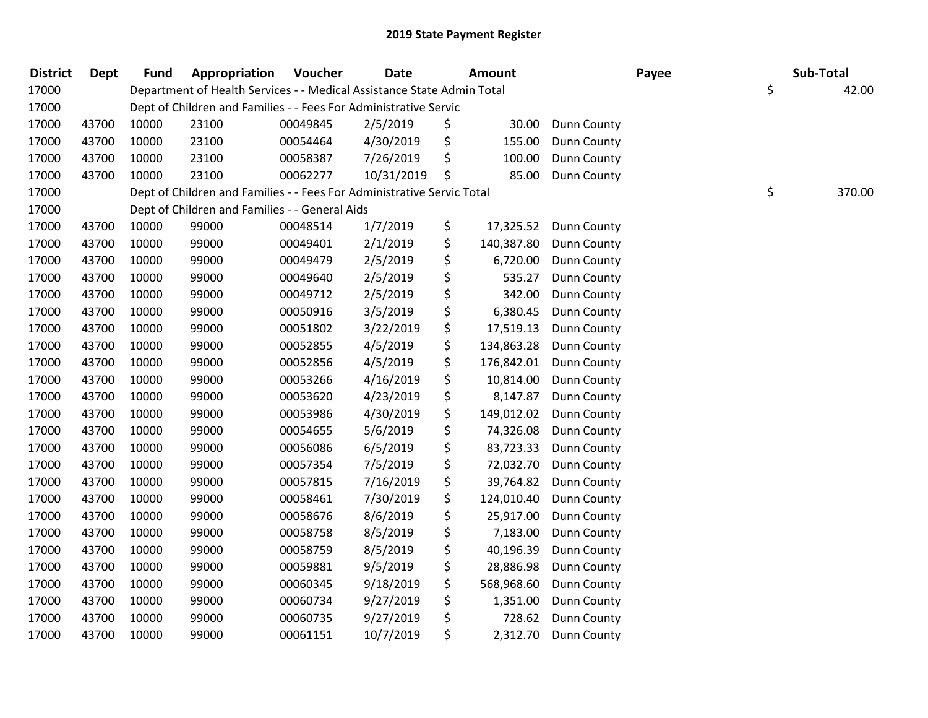| <b>District</b> | <b>Dept</b> | <b>Fund</b> | Appropriation                                                          | Voucher  | <b>Date</b> | <b>Amount</b>    |                    | Payee | Sub-Total    |
|-----------------|-------------|-------------|------------------------------------------------------------------------|----------|-------------|------------------|--------------------|-------|--------------|
| 17000           |             |             | Department of Health Services - - Medical Assistance State Admin Total |          |             |                  |                    |       | \$<br>42.00  |
| 17000           |             |             | Dept of Children and Families - - Fees For Administrative Servic       |          |             |                  |                    |       |              |
| 17000           | 43700       | 10000       | 23100                                                                  | 00049845 | 2/5/2019    | \$<br>30.00      | Dunn County        |       |              |
| 17000           | 43700       | 10000       | 23100                                                                  | 00054464 | 4/30/2019   | \$<br>155.00     | Dunn County        |       |              |
| 17000           | 43700       | 10000       | 23100                                                                  | 00058387 | 7/26/2019   | \$<br>100.00     | Dunn County        |       |              |
| 17000           | 43700       | 10000       | 23100                                                                  | 00062277 | 10/31/2019  | \$<br>85.00      | Dunn County        |       |              |
| 17000           |             |             | Dept of Children and Families - - Fees For Administrative Servic Total |          |             |                  |                    |       | \$<br>370.00 |
| 17000           |             |             | Dept of Children and Families - - General Aids                         |          |             |                  |                    |       |              |
| 17000           | 43700       | 10000       | 99000                                                                  | 00048514 | 1/7/2019    | \$<br>17,325.52  | Dunn County        |       |              |
| 17000           | 43700       | 10000       | 99000                                                                  | 00049401 | 2/1/2019    | \$<br>140,387.80 | Dunn County        |       |              |
| 17000           | 43700       | 10000       | 99000                                                                  | 00049479 | 2/5/2019    | \$<br>6,720.00   | Dunn County        |       |              |
| 17000           | 43700       | 10000       | 99000                                                                  | 00049640 | 2/5/2019    | \$<br>535.27     | Dunn County        |       |              |
| 17000           | 43700       | 10000       | 99000                                                                  | 00049712 | 2/5/2019    | \$<br>342.00     | Dunn County        |       |              |
| 17000           | 43700       | 10000       | 99000                                                                  | 00050916 | 3/5/2019    | \$<br>6,380.45   | <b>Dunn County</b> |       |              |
| 17000           | 43700       | 10000       | 99000                                                                  | 00051802 | 3/22/2019   | \$<br>17,519.13  | Dunn County        |       |              |
| 17000           | 43700       | 10000       | 99000                                                                  | 00052855 | 4/5/2019    | \$<br>134,863.28 | Dunn County        |       |              |
| 17000           | 43700       | 10000       | 99000                                                                  | 00052856 | 4/5/2019    | \$<br>176,842.01 | Dunn County        |       |              |
| 17000           | 43700       | 10000       | 99000                                                                  | 00053266 | 4/16/2019   | \$<br>10,814.00  | Dunn County        |       |              |
| 17000           | 43700       | 10000       | 99000                                                                  | 00053620 | 4/23/2019   | \$<br>8,147.87   | Dunn County        |       |              |
| 17000           | 43700       | 10000       | 99000                                                                  | 00053986 | 4/30/2019   | \$<br>149,012.02 | Dunn County        |       |              |
| 17000           | 43700       | 10000       | 99000                                                                  | 00054655 | 5/6/2019    | \$<br>74,326.08  | Dunn County        |       |              |
| 17000           | 43700       | 10000       | 99000                                                                  | 00056086 | 6/5/2019    | \$<br>83,723.33  | Dunn County        |       |              |
| 17000           | 43700       | 10000       | 99000                                                                  | 00057354 | 7/5/2019    | \$<br>72,032.70  | <b>Dunn County</b> |       |              |
| 17000           | 43700       | 10000       | 99000                                                                  | 00057815 | 7/16/2019   | \$<br>39,764.82  | Dunn County        |       |              |
| 17000           | 43700       | 10000       | 99000                                                                  | 00058461 | 7/30/2019   | \$<br>124,010.40 | Dunn County        |       |              |
| 17000           | 43700       | 10000       | 99000                                                                  | 00058676 | 8/6/2019    | \$<br>25,917.00  | Dunn County        |       |              |
| 17000           | 43700       | 10000       | 99000                                                                  | 00058758 | 8/5/2019    | \$<br>7,183.00   | Dunn County        |       |              |
| 17000           | 43700       | 10000       | 99000                                                                  | 00058759 | 8/5/2019    | \$<br>40,196.39  | Dunn County        |       |              |
| 17000           | 43700       | 10000       | 99000                                                                  | 00059881 | 9/5/2019    | \$<br>28,886.98  | Dunn County        |       |              |
| 17000           | 43700       | 10000       | 99000                                                                  | 00060345 | 9/18/2019   | \$<br>568,968.60 | Dunn County        |       |              |
| 17000           | 43700       | 10000       | 99000                                                                  | 00060734 | 9/27/2019   | \$<br>1,351.00   | Dunn County        |       |              |
| 17000           | 43700       | 10000       | 99000                                                                  | 00060735 | 9/27/2019   | \$<br>728.62     | Dunn County        |       |              |
| 17000           | 43700       | 10000       | 99000                                                                  | 00061151 | 10/7/2019   | \$<br>2,312.70   | <b>Dunn County</b> |       |              |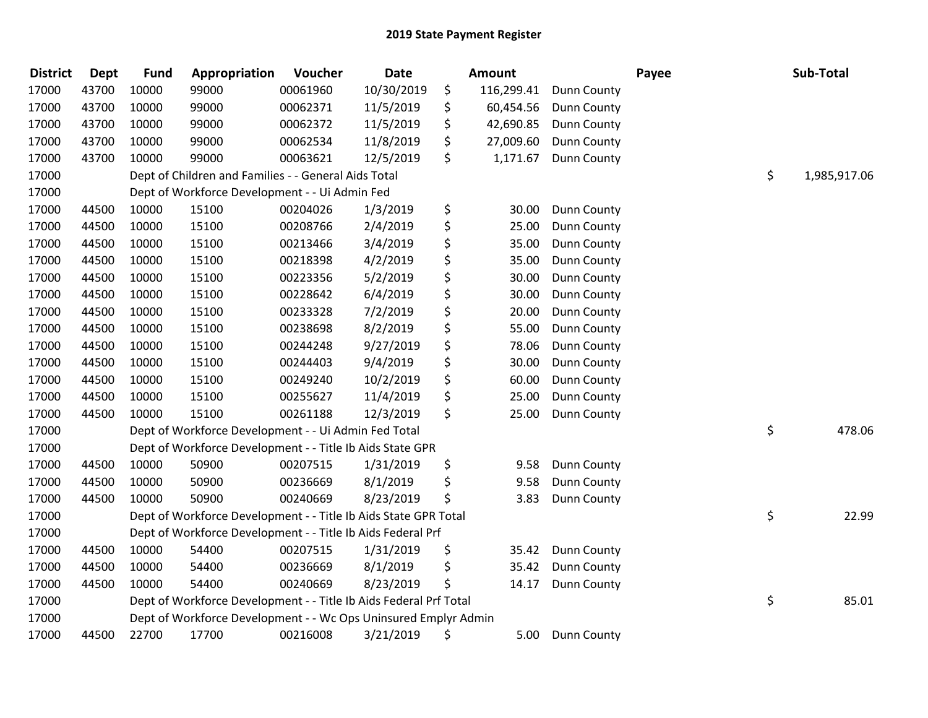| <b>District</b> | <b>Dept</b> | <b>Fund</b> | Appropriation                                                     | Voucher  | <b>Date</b> | Amount           |             | Payee | Sub-Total          |
|-----------------|-------------|-------------|-------------------------------------------------------------------|----------|-------------|------------------|-------------|-------|--------------------|
| 17000           | 43700       | 10000       | 99000                                                             | 00061960 | 10/30/2019  | \$<br>116,299.41 | Dunn County |       |                    |
| 17000           | 43700       | 10000       | 99000                                                             | 00062371 | 11/5/2019   | \$<br>60,454.56  | Dunn County |       |                    |
| 17000           | 43700       | 10000       | 99000                                                             | 00062372 | 11/5/2019   | \$<br>42,690.85  | Dunn County |       |                    |
| 17000           | 43700       | 10000       | 99000                                                             | 00062534 | 11/8/2019   | \$<br>27,009.60  | Dunn County |       |                    |
| 17000           | 43700       | 10000       | 99000                                                             | 00063621 | 12/5/2019   | \$<br>1,171.67   | Dunn County |       |                    |
| 17000           |             |             | Dept of Children and Families - - General Aids Total              |          |             |                  |             |       | \$<br>1,985,917.06 |
| 17000           |             |             | Dept of Workforce Development - - Ui Admin Fed                    |          |             |                  |             |       |                    |
| 17000           | 44500       | 10000       | 15100                                                             | 00204026 | 1/3/2019    | \$<br>30.00      | Dunn County |       |                    |
| 17000           | 44500       | 10000       | 15100                                                             | 00208766 | 2/4/2019    | \$<br>25.00      | Dunn County |       |                    |
| 17000           | 44500       | 10000       | 15100                                                             | 00213466 | 3/4/2019    | \$<br>35.00      | Dunn County |       |                    |
| 17000           | 44500       | 10000       | 15100                                                             | 00218398 | 4/2/2019    | \$<br>35.00      | Dunn County |       |                    |
| 17000           | 44500       | 10000       | 15100                                                             | 00223356 | 5/2/2019    | \$<br>30.00      | Dunn County |       |                    |
| 17000           | 44500       | 10000       | 15100                                                             | 00228642 | 6/4/2019    | \$<br>30.00      | Dunn County |       |                    |
| 17000           | 44500       | 10000       | 15100                                                             | 00233328 | 7/2/2019    | \$<br>20.00      | Dunn County |       |                    |
| 17000           | 44500       | 10000       | 15100                                                             | 00238698 | 8/2/2019    | \$<br>55.00      | Dunn County |       |                    |
| 17000           | 44500       | 10000       | 15100                                                             | 00244248 | 9/27/2019   | \$<br>78.06      | Dunn County |       |                    |
| 17000           | 44500       | 10000       | 15100                                                             | 00244403 | 9/4/2019    | \$<br>30.00      | Dunn County |       |                    |
| 17000           | 44500       | 10000       | 15100                                                             | 00249240 | 10/2/2019   | \$<br>60.00      | Dunn County |       |                    |
| 17000           | 44500       | 10000       | 15100                                                             | 00255627 | 11/4/2019   | \$<br>25.00      | Dunn County |       |                    |
| 17000           | 44500       | 10000       | 15100                                                             | 00261188 | 12/3/2019   | \$<br>25.00      | Dunn County |       |                    |
| 17000           |             |             | Dept of Workforce Development - - Ui Admin Fed Total              |          |             |                  |             |       | \$<br>478.06       |
| 17000           |             |             | Dept of Workforce Development - - Title Ib Aids State GPR         |          |             |                  |             |       |                    |
| 17000           | 44500       | 10000       | 50900                                                             | 00207515 | 1/31/2019   | \$<br>9.58       | Dunn County |       |                    |
| 17000           | 44500       | 10000       | 50900                                                             | 00236669 | 8/1/2019    | \$<br>9.58       | Dunn County |       |                    |
| 17000           | 44500       | 10000       | 50900                                                             | 00240669 | 8/23/2019   | \$<br>3.83       | Dunn County |       |                    |
| 17000           |             |             | Dept of Workforce Development - - Title Ib Aids State GPR Total   |          |             |                  |             |       | \$<br>22.99        |
| 17000           |             |             | Dept of Workforce Development - - Title Ib Aids Federal Prf       |          |             |                  |             |       |                    |
| 17000           | 44500       | 10000       | 54400                                                             | 00207515 | 1/31/2019   | \$<br>35.42      | Dunn County |       |                    |
| 17000           | 44500       | 10000       | 54400                                                             | 00236669 | 8/1/2019    | \$<br>35.42      | Dunn County |       |                    |
| 17000           | 44500       | 10000       | 54400                                                             | 00240669 | 8/23/2019   | \$<br>14.17      | Dunn County |       |                    |
| 17000           |             |             | Dept of Workforce Development - - Title Ib Aids Federal Prf Total |          |             |                  |             |       | \$<br>85.01        |
| 17000           |             |             | Dept of Workforce Development - - Wc Ops Uninsured Emplyr Admin   |          |             |                  |             |       |                    |
| 17000           | 44500       | 22700       | 17700                                                             | 00216008 | 3/21/2019   | \$<br>5.00       | Dunn County |       |                    |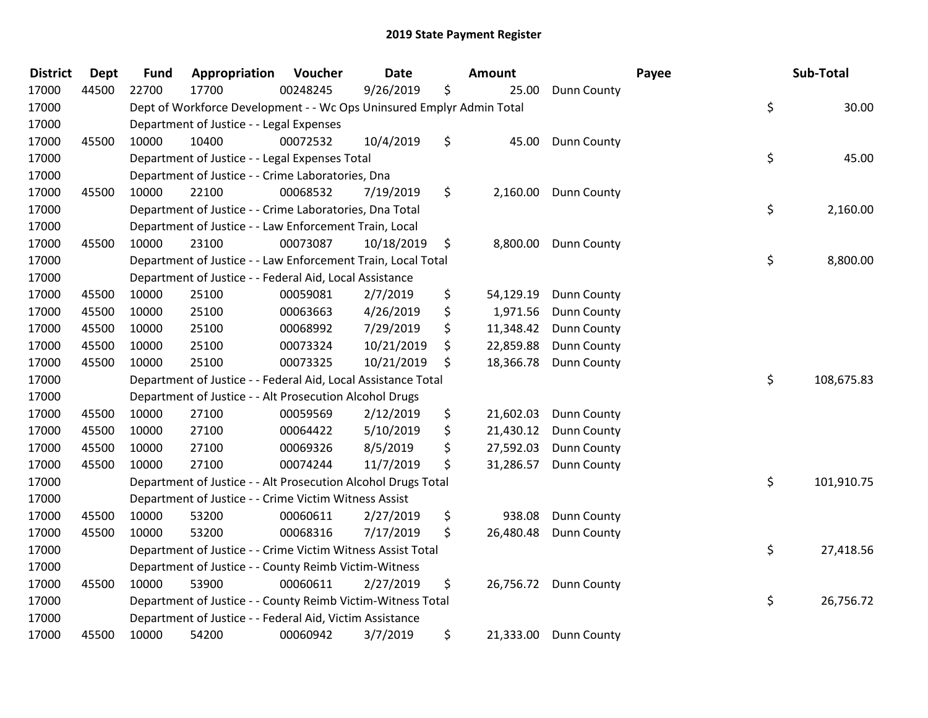| <b>District</b> | <b>Dept</b> | <b>Fund</b> | Appropriation                                                         | Voucher  | <b>Date</b> | Amount          |                       | Payee | Sub-Total  |
|-----------------|-------------|-------------|-----------------------------------------------------------------------|----------|-------------|-----------------|-----------------------|-------|------------|
| 17000           | 44500       | 22700       | 17700                                                                 | 00248245 | 9/26/2019   | \$<br>25.00     | <b>Dunn County</b>    |       |            |
| 17000           |             |             | Dept of Workforce Development - - Wc Ops Uninsured Emplyr Admin Total |          |             |                 |                       | \$    | 30.00      |
| 17000           |             |             | Department of Justice - - Legal Expenses                              |          |             |                 |                       |       |            |
| 17000           | 45500       | 10000       | 10400                                                                 | 00072532 | 10/4/2019   | \$              | 45.00 Dunn County     |       |            |
| 17000           |             |             | Department of Justice - - Legal Expenses Total                        |          |             |                 |                       | \$    | 45.00      |
| 17000           |             |             | Department of Justice - - Crime Laboratories, Dna                     |          |             |                 |                       |       |            |
| 17000           | 45500       | 10000       | 22100                                                                 | 00068532 | 7/19/2019   | \$<br>2,160.00  | <b>Dunn County</b>    |       |            |
| 17000           |             |             | Department of Justice - - Crime Laboratories, Dna Total               |          |             |                 |                       | \$    | 2,160.00   |
| 17000           |             |             | Department of Justice - - Law Enforcement Train, Local                |          |             |                 |                       |       |            |
| 17000           | 45500       | 10000       | 23100                                                                 | 00073087 | 10/18/2019  | \$              | 8,800.00 Dunn County  |       |            |
| 17000           |             |             | Department of Justice - - Law Enforcement Train, Local Total          |          |             |                 |                       | \$    | 8,800.00   |
| 17000           |             |             | Department of Justice - - Federal Aid, Local Assistance               |          |             |                 |                       |       |            |
| 17000           | 45500       | 10000       | 25100                                                                 | 00059081 | 2/7/2019    | \$<br>54,129.19 | Dunn County           |       |            |
| 17000           | 45500       | 10000       | 25100                                                                 | 00063663 | 4/26/2019   | \$<br>1,971.56  | <b>Dunn County</b>    |       |            |
| 17000           | 45500       | 10000       | 25100                                                                 | 00068992 | 7/29/2019   | \$<br>11,348.42 | Dunn County           |       |            |
| 17000           | 45500       | 10000       | 25100                                                                 | 00073324 | 10/21/2019  | \$<br>22,859.88 | <b>Dunn County</b>    |       |            |
| 17000           | 45500       | 10000       | 25100                                                                 | 00073325 | 10/21/2019  | \$<br>18,366.78 | <b>Dunn County</b>    |       |            |
| 17000           |             |             | Department of Justice - - Federal Aid, Local Assistance Total         |          |             |                 |                       | \$    | 108,675.83 |
| 17000           |             |             | Department of Justice - - Alt Prosecution Alcohol Drugs               |          |             |                 |                       |       |            |
| 17000           | 45500       | 10000       | 27100                                                                 | 00059569 | 2/12/2019   | \$<br>21,602.03 | Dunn County           |       |            |
| 17000           | 45500       | 10000       | 27100                                                                 | 00064422 | 5/10/2019   | \$<br>21,430.12 | <b>Dunn County</b>    |       |            |
| 17000           | 45500       | 10000       | 27100                                                                 | 00069326 | 8/5/2019    | \$<br>27,592.03 | <b>Dunn County</b>    |       |            |
| 17000           | 45500       | 10000       | 27100                                                                 | 00074244 | 11/7/2019   | \$<br>31,286.57 | <b>Dunn County</b>    |       |            |
| 17000           |             |             | Department of Justice - - Alt Prosecution Alcohol Drugs Total         |          |             |                 |                       | \$    | 101,910.75 |
| 17000           |             |             | Department of Justice - - Crime Victim Witness Assist                 |          |             |                 |                       |       |            |
| 17000           | 45500       | 10000       | 53200                                                                 | 00060611 | 2/27/2019   | \$<br>938.08    | Dunn County           |       |            |
| 17000           | 45500       | 10000       | 53200                                                                 | 00068316 | 7/17/2019   | \$<br>26,480.48 | Dunn County           |       |            |
| 17000           |             |             | Department of Justice - - Crime Victim Witness Assist Total           |          |             |                 |                       | \$    | 27,418.56  |
| 17000           |             |             | Department of Justice - - County Reimb Victim-Witness                 |          |             |                 |                       |       |            |
| 17000           | 45500       | 10000       | 53900                                                                 | 00060611 | 2/27/2019   | \$              | 26,756.72 Dunn County |       |            |
| 17000           |             |             | Department of Justice - - County Reimb Victim-Witness Total           |          |             |                 |                       | \$    | 26,756.72  |
| 17000           |             |             | Department of Justice - - Federal Aid, Victim Assistance              |          |             |                 |                       |       |            |
| 17000           | 45500       | 10000       | 54200                                                                 | 00060942 | 3/7/2019    | \$              | 21,333.00 Dunn County |       |            |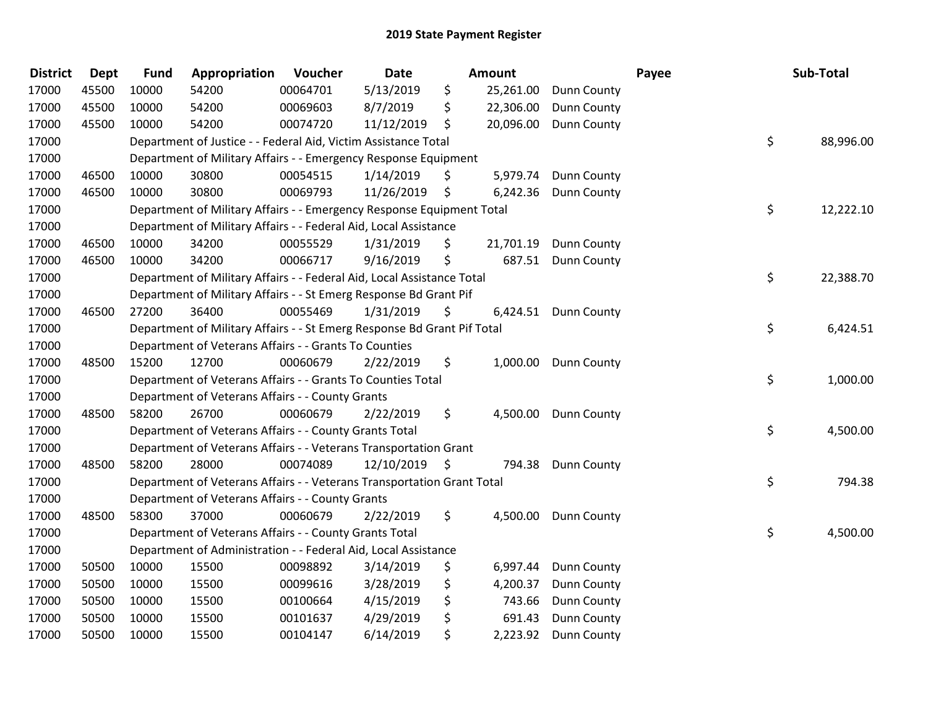| <b>District</b> | <b>Dept</b> | <b>Fund</b> | Appropriation                                                           | Voucher  | Date       | <b>Amount</b>   |                    | Payee | Sub-Total       |
|-----------------|-------------|-------------|-------------------------------------------------------------------------|----------|------------|-----------------|--------------------|-------|-----------------|
| 17000           | 45500       | 10000       | 54200                                                                   | 00064701 | 5/13/2019  | \$<br>25,261.00 | <b>Dunn County</b> |       |                 |
| 17000           | 45500       | 10000       | 54200                                                                   | 00069603 | 8/7/2019   | \$<br>22,306.00 | <b>Dunn County</b> |       |                 |
| 17000           | 45500       | 10000       | 54200                                                                   | 00074720 | 11/12/2019 | \$<br>20,096.00 | <b>Dunn County</b> |       |                 |
| 17000           |             |             | Department of Justice - - Federal Aid, Victim Assistance Total          |          |            |                 |                    |       | \$<br>88,996.00 |
| 17000           |             |             | Department of Military Affairs - - Emergency Response Equipment         |          |            |                 |                    |       |                 |
| 17000           | 46500       | 10000       | 30800                                                                   | 00054515 | 1/14/2019  | \$<br>5,979.74  | <b>Dunn County</b> |       |                 |
| 17000           | 46500       | 10000       | 30800                                                                   | 00069793 | 11/26/2019 | \$<br>6,242.36  | <b>Dunn County</b> |       |                 |
| 17000           |             |             | Department of Military Affairs - - Emergency Response Equipment Total   |          |            |                 |                    |       | \$<br>12,222.10 |
| 17000           |             |             | Department of Military Affairs - - Federal Aid, Local Assistance        |          |            |                 |                    |       |                 |
| 17000           | 46500       | 10000       | 34200                                                                   | 00055529 | 1/31/2019  | \$<br>21,701.19 | Dunn County        |       |                 |
| 17000           | 46500       | 10000       | 34200                                                                   | 00066717 | 9/16/2019  | \$<br>687.51    | <b>Dunn County</b> |       |                 |
| 17000           |             |             | Department of Military Affairs - - Federal Aid, Local Assistance Total  |          |            |                 |                    |       | \$<br>22,388.70 |
| 17000           |             |             | Department of Military Affairs - - St Emerg Response Bd Grant Pif       |          |            |                 |                    |       |                 |
| 17000           | 46500       | 27200       | 36400                                                                   | 00055469 | 1/31/2019  | \$<br>6,424.51  | <b>Dunn County</b> |       |                 |
| 17000           |             |             | Department of Military Affairs - - St Emerg Response Bd Grant Pif Total |          |            |                 |                    |       | \$<br>6,424.51  |
| 17000           |             |             | Department of Veterans Affairs - - Grants To Counties                   |          |            |                 |                    |       |                 |
| 17000           | 48500       | 15200       | 12700                                                                   | 00060679 | 2/22/2019  | \$<br>1,000.00  | <b>Dunn County</b> |       |                 |
| 17000           |             |             | Department of Veterans Affairs - - Grants To Counties Total             |          |            |                 |                    |       | \$<br>1,000.00  |
| 17000           |             |             | Department of Veterans Affairs - - County Grants                        |          |            |                 |                    |       |                 |
| 17000           | 48500       | 58200       | 26700                                                                   | 00060679 | 2/22/2019  | \$<br>4,500.00  | Dunn County        |       |                 |
| 17000           |             |             | Department of Veterans Affairs - - County Grants Total                  |          |            |                 |                    |       | \$<br>4,500.00  |
| 17000           |             |             | Department of Veterans Affairs - - Veterans Transportation Grant        |          |            |                 |                    |       |                 |
| 17000           | 48500       | 58200       | 28000                                                                   | 00074089 | 12/10/2019 | \$<br>794.38    | <b>Dunn County</b> |       |                 |
| 17000           |             |             | Department of Veterans Affairs - - Veterans Transportation Grant Total  |          |            |                 |                    |       | \$<br>794.38    |
| 17000           |             |             | Department of Veterans Affairs - - County Grants                        |          |            |                 |                    |       |                 |
| 17000           | 48500       | 58300       | 37000                                                                   | 00060679 | 2/22/2019  | \$<br>4,500.00  | Dunn County        |       |                 |
| 17000           |             |             | Department of Veterans Affairs - - County Grants Total                  |          |            |                 |                    |       | \$<br>4,500.00  |
| 17000           |             |             | Department of Administration - - Federal Aid, Local Assistance          |          |            |                 |                    |       |                 |
| 17000           | 50500       | 10000       | 15500                                                                   | 00098892 | 3/14/2019  | \$<br>6,997.44  | Dunn County        |       |                 |
| 17000           | 50500       | 10000       | 15500                                                                   | 00099616 | 3/28/2019  | \$<br>4,200.37  | Dunn County        |       |                 |
| 17000           | 50500       | 10000       | 15500                                                                   | 00100664 | 4/15/2019  | \$<br>743.66    | <b>Dunn County</b> |       |                 |
| 17000           | 50500       | 10000       | 15500                                                                   | 00101637 | 4/29/2019  | \$<br>691.43    | Dunn County        |       |                 |
| 17000           | 50500       | 10000       | 15500                                                                   | 00104147 | 6/14/2019  | \$<br>2,223.92  | Dunn County        |       |                 |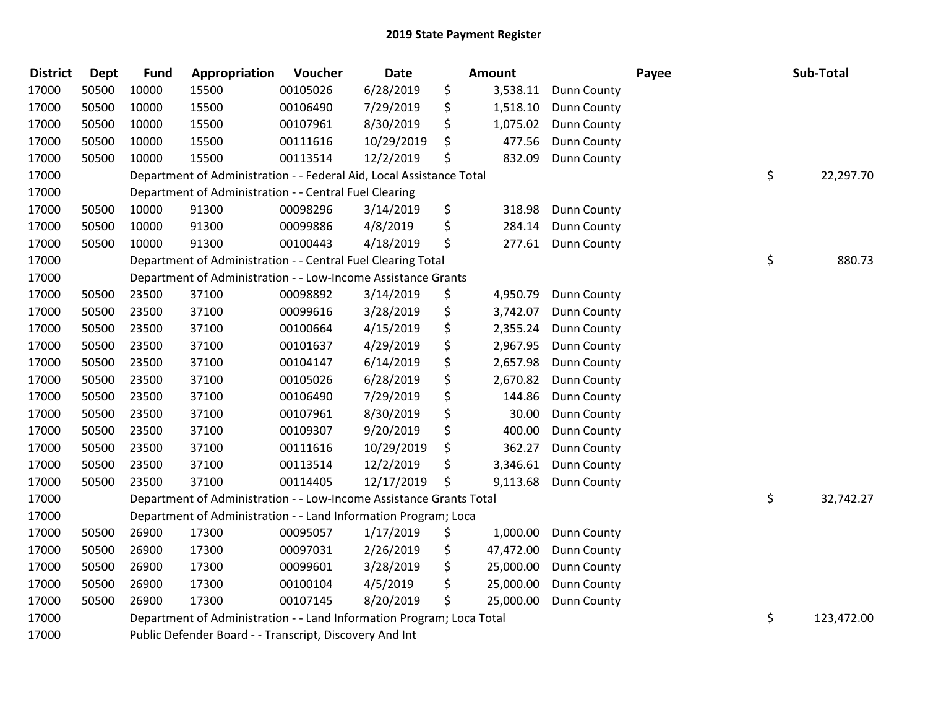| <b>District</b> | <b>Dept</b> | <b>Fund</b> | Appropriation                                                         | Voucher  | <b>Date</b> | <b>Amount</b>   |                    | Payee | Sub-Total        |
|-----------------|-------------|-------------|-----------------------------------------------------------------------|----------|-------------|-----------------|--------------------|-------|------------------|
| 17000           | 50500       | 10000       | 15500                                                                 | 00105026 | 6/28/2019   | \$<br>3,538.11  | Dunn County        |       |                  |
| 17000           | 50500       | 10000       | 15500                                                                 | 00106490 | 7/29/2019   | \$<br>1,518.10  | Dunn County        |       |                  |
| 17000           | 50500       | 10000       | 15500                                                                 | 00107961 | 8/30/2019   | \$<br>1,075.02  | Dunn County        |       |                  |
| 17000           | 50500       | 10000       | 15500                                                                 | 00111616 | 10/29/2019  | \$<br>477.56    | <b>Dunn County</b> |       |                  |
| 17000           | 50500       | 10000       | 15500                                                                 | 00113514 | 12/2/2019   | \$<br>832.09    | Dunn County        |       |                  |
| 17000           |             |             | Department of Administration - - Federal Aid, Local Assistance Total  |          |             |                 |                    |       | \$<br>22,297.70  |
| 17000           |             |             | Department of Administration - - Central Fuel Clearing                |          |             |                 |                    |       |                  |
| 17000           | 50500       | 10000       | 91300                                                                 | 00098296 | 3/14/2019   | \$<br>318.98    | Dunn County        |       |                  |
| 17000           | 50500       | 10000       | 91300                                                                 | 00099886 | 4/8/2019    | \$<br>284.14    | <b>Dunn County</b> |       |                  |
| 17000           | 50500       | 10000       | 91300                                                                 | 00100443 | 4/18/2019   | \$<br>277.61    | <b>Dunn County</b> |       |                  |
| 17000           |             |             | Department of Administration - - Central Fuel Clearing Total          |          |             |                 |                    |       | \$<br>880.73     |
| 17000           |             |             | Department of Administration - - Low-Income Assistance Grants         |          |             |                 |                    |       |                  |
| 17000           | 50500       | 23500       | 37100                                                                 | 00098892 | 3/14/2019   | \$<br>4,950.79  | <b>Dunn County</b> |       |                  |
| 17000           | 50500       | 23500       | 37100                                                                 | 00099616 | 3/28/2019   | \$<br>3,742.07  | Dunn County        |       |                  |
| 17000           | 50500       | 23500       | 37100                                                                 | 00100664 | 4/15/2019   | \$<br>2,355.24  | Dunn County        |       |                  |
| 17000           | 50500       | 23500       | 37100                                                                 | 00101637 | 4/29/2019   | \$<br>2,967.95  | Dunn County        |       |                  |
| 17000           | 50500       | 23500       | 37100                                                                 | 00104147 | 6/14/2019   | \$<br>2,657.98  | <b>Dunn County</b> |       |                  |
| 17000           | 50500       | 23500       | 37100                                                                 | 00105026 | 6/28/2019   | \$<br>2,670.82  | Dunn County        |       |                  |
| 17000           | 50500       | 23500       | 37100                                                                 | 00106490 | 7/29/2019   | \$<br>144.86    | Dunn County        |       |                  |
| 17000           | 50500       | 23500       | 37100                                                                 | 00107961 | 8/30/2019   | \$<br>30.00     | Dunn County        |       |                  |
| 17000           | 50500       | 23500       | 37100                                                                 | 00109307 | 9/20/2019   | \$<br>400.00    | Dunn County        |       |                  |
| 17000           | 50500       | 23500       | 37100                                                                 | 00111616 | 10/29/2019  | \$<br>362.27    | <b>Dunn County</b> |       |                  |
| 17000           | 50500       | 23500       | 37100                                                                 | 00113514 | 12/2/2019   | \$<br>3,346.61  | Dunn County        |       |                  |
| 17000           | 50500       | 23500       | 37100                                                                 | 00114405 | 12/17/2019  | \$<br>9,113.68  | Dunn County        |       |                  |
| 17000           |             |             | Department of Administration - - Low-Income Assistance Grants Total   |          |             |                 |                    |       | \$<br>32,742.27  |
| 17000           |             |             | Department of Administration - - Land Information Program; Loca       |          |             |                 |                    |       |                  |
| 17000           | 50500       | 26900       | 17300                                                                 | 00095057 | 1/17/2019   | \$<br>1,000.00  | Dunn County        |       |                  |
| 17000           | 50500       | 26900       | 17300                                                                 | 00097031 | 2/26/2019   | \$<br>47,472.00 | Dunn County        |       |                  |
| 17000           | 50500       | 26900       | 17300                                                                 | 00099601 | 3/28/2019   | \$<br>25,000.00 | Dunn County        |       |                  |
| 17000           | 50500       | 26900       | 17300                                                                 | 00100104 | 4/5/2019    | \$<br>25,000.00 | Dunn County        |       |                  |
| 17000           | 50500       | 26900       | 17300                                                                 | 00107145 | 8/20/2019   | \$<br>25,000.00 | Dunn County        |       |                  |
| 17000           |             |             | Department of Administration - - Land Information Program; Loca Total |          |             |                 |                    |       | \$<br>123,472.00 |
| 17000           |             |             | Public Defender Board - - Transcript, Discovery And Int               |          |             |                 |                    |       |                  |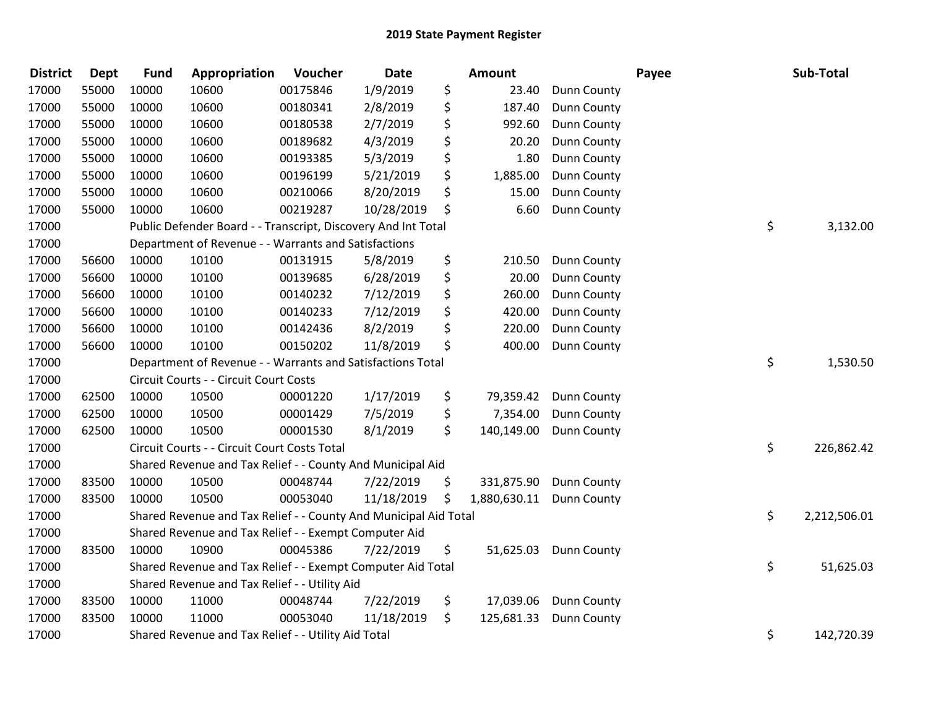| <b>District</b> | <b>Dept</b> | <b>Fund</b> | Appropriation                                                    | Voucher  | <b>Date</b> | <b>Amount</b>      |                    | Payee | Sub-Total    |
|-----------------|-------------|-------------|------------------------------------------------------------------|----------|-------------|--------------------|--------------------|-------|--------------|
| 17000           | 55000       | 10000       | 10600                                                            | 00175846 | 1/9/2019    | \$<br>23.40        | <b>Dunn County</b> |       |              |
| 17000           | 55000       | 10000       | 10600                                                            | 00180341 | 2/8/2019    | \$<br>187.40       | <b>Dunn County</b> |       |              |
| 17000           | 55000       | 10000       | 10600                                                            | 00180538 | 2/7/2019    | \$<br>992.60       | <b>Dunn County</b> |       |              |
| 17000           | 55000       | 10000       | 10600                                                            | 00189682 | 4/3/2019    | \$<br>20.20        | Dunn County        |       |              |
| 17000           | 55000       | 10000       | 10600                                                            | 00193385 | 5/3/2019    | \$<br>1.80         | Dunn County        |       |              |
| 17000           | 55000       | 10000       | 10600                                                            | 00196199 | 5/21/2019   | \$<br>1,885.00     | Dunn County        |       |              |
| 17000           | 55000       | 10000       | 10600                                                            | 00210066 | 8/20/2019   | \$<br>15.00        | <b>Dunn County</b> |       |              |
| 17000           | 55000       | 10000       | 10600                                                            | 00219287 | 10/28/2019  | \$<br>6.60         | Dunn County        |       |              |
| 17000           |             |             | Public Defender Board - - Transcript, Discovery And Int Total    |          |             |                    |                    | \$    | 3,132.00     |
| 17000           |             |             | Department of Revenue - - Warrants and Satisfactions             |          |             |                    |                    |       |              |
| 17000           | 56600       | 10000       | 10100                                                            | 00131915 | 5/8/2019    | \$<br>210.50       | <b>Dunn County</b> |       |              |
| 17000           | 56600       | 10000       | 10100                                                            | 00139685 | 6/28/2019   | \$<br>20.00        | Dunn County        |       |              |
| 17000           | 56600       | 10000       | 10100                                                            | 00140232 | 7/12/2019   | \$<br>260.00       | <b>Dunn County</b> |       |              |
| 17000           | 56600       | 10000       | 10100                                                            | 00140233 | 7/12/2019   | \$<br>420.00       | Dunn County        |       |              |
| 17000           | 56600       | 10000       | 10100                                                            | 00142436 | 8/2/2019    | \$<br>220.00       | Dunn County        |       |              |
| 17000           | 56600       | 10000       | 10100                                                            | 00150202 | 11/8/2019   | \$<br>400.00       | Dunn County        |       |              |
| 17000           |             |             | Department of Revenue - - Warrants and Satisfactions Total       |          |             |                    |                    | \$    | 1,530.50     |
| 17000           |             |             | Circuit Courts - - Circuit Court Costs                           |          |             |                    |                    |       |              |
| 17000           | 62500       | 10000       | 10500                                                            | 00001220 | 1/17/2019   | \$<br>79,359.42    | <b>Dunn County</b> |       |              |
| 17000           | 62500       | 10000       | 10500                                                            | 00001429 | 7/5/2019    | \$<br>7,354.00     | <b>Dunn County</b> |       |              |
| 17000           | 62500       | 10000       | 10500                                                            | 00001530 | 8/1/2019    | \$<br>140,149.00   | <b>Dunn County</b> |       |              |
| 17000           |             |             | Circuit Courts - - Circuit Court Costs Total                     |          |             |                    |                    | \$    | 226,862.42   |
| 17000           |             |             | Shared Revenue and Tax Relief - - County And Municipal Aid       |          |             |                    |                    |       |              |
| 17000           | 83500       | 10000       | 10500                                                            | 00048744 | 7/22/2019   | \$<br>331,875.90   | <b>Dunn County</b> |       |              |
| 17000           | 83500       | 10000       | 10500                                                            | 00053040 | 11/18/2019  | \$<br>1,880,630.11 | <b>Dunn County</b> |       |              |
| 17000           |             |             | Shared Revenue and Tax Relief - - County And Municipal Aid Total |          |             |                    |                    | \$    | 2,212,506.01 |
| 17000           |             |             | Shared Revenue and Tax Relief - - Exempt Computer Aid            |          |             |                    |                    |       |              |
| 17000           | 83500       | 10000       | 10900                                                            | 00045386 | 7/22/2019   | \$<br>51,625.03    | <b>Dunn County</b> |       |              |
| 17000           |             |             | Shared Revenue and Tax Relief - - Exempt Computer Aid Total      |          |             |                    |                    | \$    | 51,625.03    |
| 17000           |             |             | Shared Revenue and Tax Relief - - Utility Aid                    |          |             |                    |                    |       |              |
| 17000           | 83500       | 10000       | 11000                                                            | 00048744 | 7/22/2019   | \$<br>17,039.06    | <b>Dunn County</b> |       |              |
| 17000           | 83500       | 10000       | 11000                                                            | 00053040 | 11/18/2019  | \$<br>125,681.33   | <b>Dunn County</b> |       |              |
| 17000           |             |             | Shared Revenue and Tax Relief - - Utility Aid Total              |          |             |                    |                    | \$    | 142,720.39   |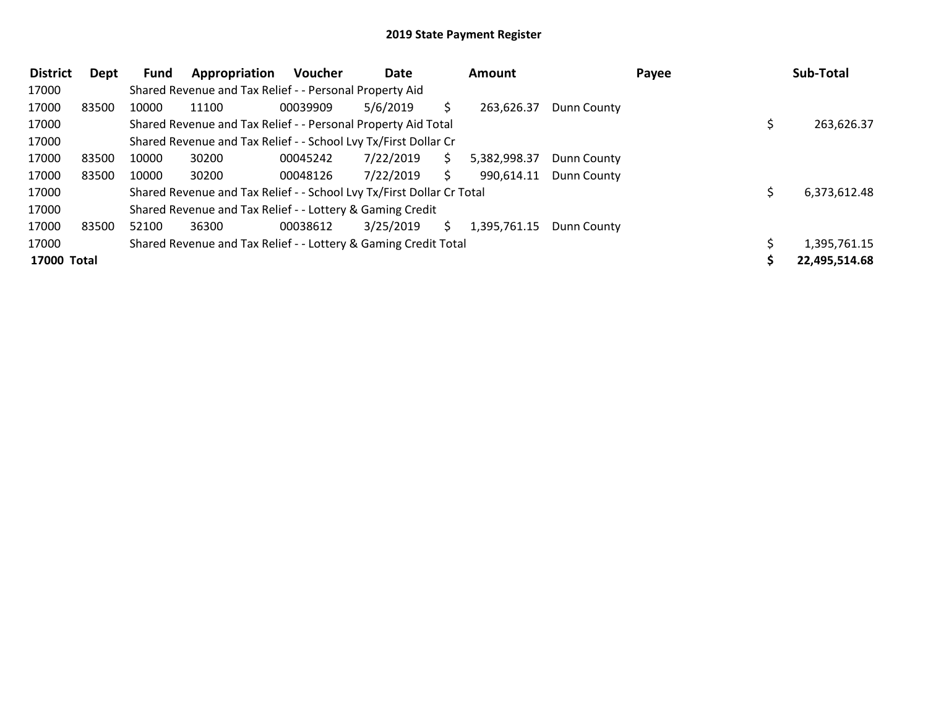| <b>District</b> | Dept  | <b>Fund</b> | Appropriation                                                         | Voucher  | Date      |    | <b>Amount</b> |             | Payee | Sub-Total     |
|-----------------|-------|-------------|-----------------------------------------------------------------------|----------|-----------|----|---------------|-------------|-------|---------------|
| 17000           |       |             | Shared Revenue and Tax Relief - - Personal Property Aid               |          |           |    |               |             |       |               |
| 17000           | 83500 | 10000       | 11100                                                                 | 00039909 | 5/6/2019  |    | 263,626.37    | Dunn County |       |               |
| 17000           |       |             | Shared Revenue and Tax Relief - - Personal Property Aid Total         |          |           |    |               |             |       | 263,626.37    |
| 17000           |       |             | Shared Revenue and Tax Relief - - School Lvy Tx/First Dollar Cr       |          |           |    |               |             |       |               |
| 17000           | 83500 | 10000       | 30200                                                                 | 00045242 | 7/22/2019 | S. | 5,382,998.37  | Dunn County |       |               |
| 17000           | 83500 | 10000       | 30200                                                                 | 00048126 | 7/22/2019 | S. | 990,614.11    | Dunn County |       |               |
| 17000           |       |             | Shared Revenue and Tax Relief - - School Lvy Tx/First Dollar Cr Total |          |           |    |               |             |       | 6,373,612.48  |
| 17000           |       |             | Shared Revenue and Tax Relief - - Lottery & Gaming Credit             |          |           |    |               |             |       |               |
| 17000           | 83500 | 52100       | 36300                                                                 | 00038612 | 3/25/2019 | S. | 1,395,761.15  | Dunn County |       |               |
| 17000           |       |             | Shared Revenue and Tax Relief - - Lottery & Gaming Credit Total       |          |           |    |               |             |       | 1,395,761.15  |
| 17000 Total     |       |             |                                                                       |          |           |    |               |             |       | 22,495,514.68 |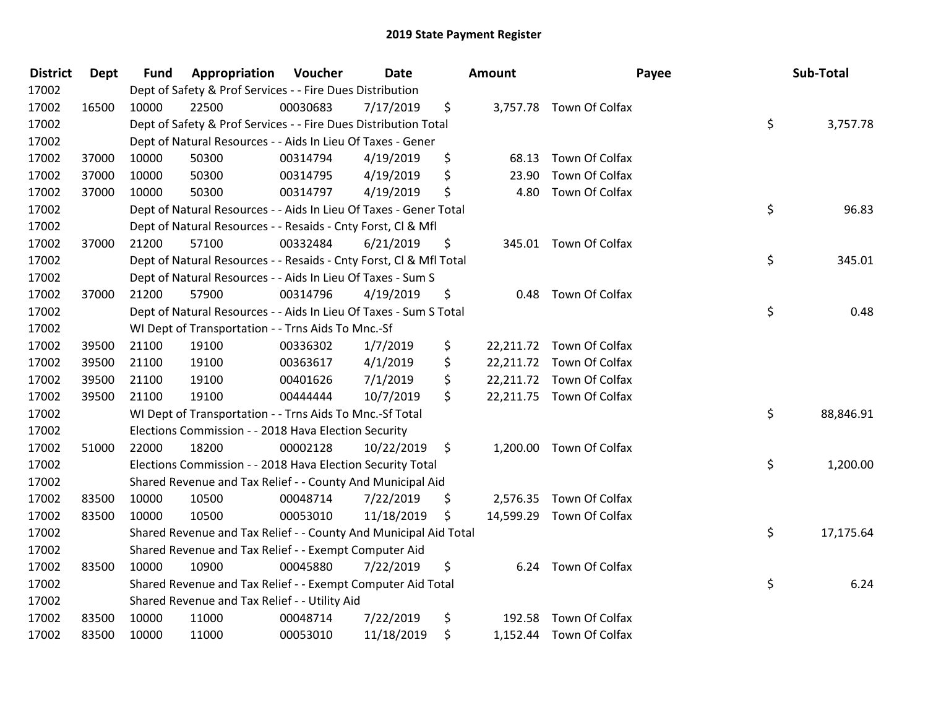| <b>District</b> | <b>Dept</b> | <b>Fund</b> | <b>Appropriation Voucher</b>                                       |          | Date       | <b>Amount</b> |                          | Payee | Sub-Total       |
|-----------------|-------------|-------------|--------------------------------------------------------------------|----------|------------|---------------|--------------------------|-------|-----------------|
| 17002           |             |             | Dept of Safety & Prof Services - - Fire Dues Distribution          |          |            |               |                          |       |                 |
| 17002           | 16500       | 10000       | 22500                                                              | 00030683 | 7/17/2019  | \$            | 3,757.78 Town Of Colfax  |       |                 |
| 17002           |             |             | Dept of Safety & Prof Services - - Fire Dues Distribution Total    |          |            |               |                          |       | \$<br>3,757.78  |
| 17002           |             |             | Dept of Natural Resources - - Aids In Lieu Of Taxes - Gener        |          |            |               |                          |       |                 |
| 17002           | 37000       | 10000       | 50300                                                              | 00314794 | 4/19/2019  | \$<br>68.13   | Town Of Colfax           |       |                 |
| 17002           | 37000       | 10000       | 50300                                                              | 00314795 | 4/19/2019  | \$<br>23.90   | Town Of Colfax           |       |                 |
| 17002           | 37000       | 10000       | 50300                                                              | 00314797 | 4/19/2019  | \$<br>4.80    | Town Of Colfax           |       |                 |
| 17002           |             |             | Dept of Natural Resources - - Aids In Lieu Of Taxes - Gener Total  |          |            |               |                          |       | \$<br>96.83     |
| 17002           |             |             | Dept of Natural Resources - - Resaids - Cnty Forst, Cl & Mfl       |          |            |               |                          |       |                 |
| 17002           | 37000       | 21200       | 57100                                                              | 00332484 | 6/21/2019  | \$            | 345.01 Town Of Colfax    |       |                 |
| 17002           |             |             | Dept of Natural Resources - - Resaids - Cnty Forst, Cl & Mfl Total |          |            |               |                          |       | \$<br>345.01    |
| 17002           |             |             | Dept of Natural Resources - - Aids In Lieu Of Taxes - Sum S        |          |            |               |                          |       |                 |
| 17002           | 37000       | 21200       | 57900                                                              | 00314796 | 4/19/2019  | \$            | 0.48 Town Of Colfax      |       |                 |
| 17002           |             |             | Dept of Natural Resources - - Aids In Lieu Of Taxes - Sum S Total  |          |            |               |                          |       | \$<br>0.48      |
| 17002           |             |             | WI Dept of Transportation - - Trns Aids To Mnc.-Sf                 |          |            |               |                          |       |                 |
| 17002           | 39500       | 21100       | 19100                                                              | 00336302 | 1/7/2019   | \$            | 22,211.72 Town Of Colfax |       |                 |
| 17002           | 39500       | 21100       | 19100                                                              | 00363617 | 4/1/2019   | \$            | 22,211.72 Town Of Colfax |       |                 |
| 17002           | 39500       | 21100       | 19100                                                              | 00401626 | 7/1/2019   | \$            | 22,211.72 Town Of Colfax |       |                 |
| 17002           | 39500       | 21100       | 19100                                                              | 00444444 | 10/7/2019  | \$            | 22,211.75 Town Of Colfax |       |                 |
| 17002           |             |             | WI Dept of Transportation - - Trns Aids To Mnc.-Sf Total           |          |            |               |                          |       | \$<br>88,846.91 |
| 17002           |             |             | Elections Commission - - 2018 Hava Election Security               |          |            |               |                          |       |                 |
| 17002           | 51000       | 22000       | 18200                                                              | 00002128 | 10/22/2019 | \$            | 1,200.00 Town Of Colfax  |       |                 |
| 17002           |             |             | Elections Commission - - 2018 Hava Election Security Total         |          |            |               |                          |       | \$<br>1,200.00  |
| 17002           |             |             | Shared Revenue and Tax Relief - - County And Municipal Aid         |          |            |               |                          |       |                 |
| 17002           | 83500       | 10000       | 10500                                                              | 00048714 | 7/22/2019  | \$            | 2,576.35 Town Of Colfax  |       |                 |
| 17002           | 83500       | 10000       | 10500                                                              | 00053010 | 11/18/2019 | \$            | 14,599.29 Town Of Colfax |       |                 |
| 17002           |             |             | Shared Revenue and Tax Relief - - County And Municipal Aid Total   |          |            |               |                          |       | \$<br>17,175.64 |
| 17002           |             |             | Shared Revenue and Tax Relief - - Exempt Computer Aid              |          |            |               |                          |       |                 |
| 17002           | 83500       | 10000       | 10900                                                              | 00045880 | 7/22/2019  | \$            | 6.24 Town Of Colfax      |       |                 |
| 17002           |             |             | Shared Revenue and Tax Relief - - Exempt Computer Aid Total        |          |            |               |                          |       | \$<br>6.24      |
| 17002           |             |             | Shared Revenue and Tax Relief - - Utility Aid                      |          |            |               |                          |       |                 |
| 17002           | 83500       | 10000       | 11000                                                              | 00048714 | 7/22/2019  | \$            | 192.58 Town Of Colfax    |       |                 |
| 17002           | 83500       | 10000       | 11000                                                              | 00053010 | 11/18/2019 | \$            | 1,152.44 Town Of Colfax  |       |                 |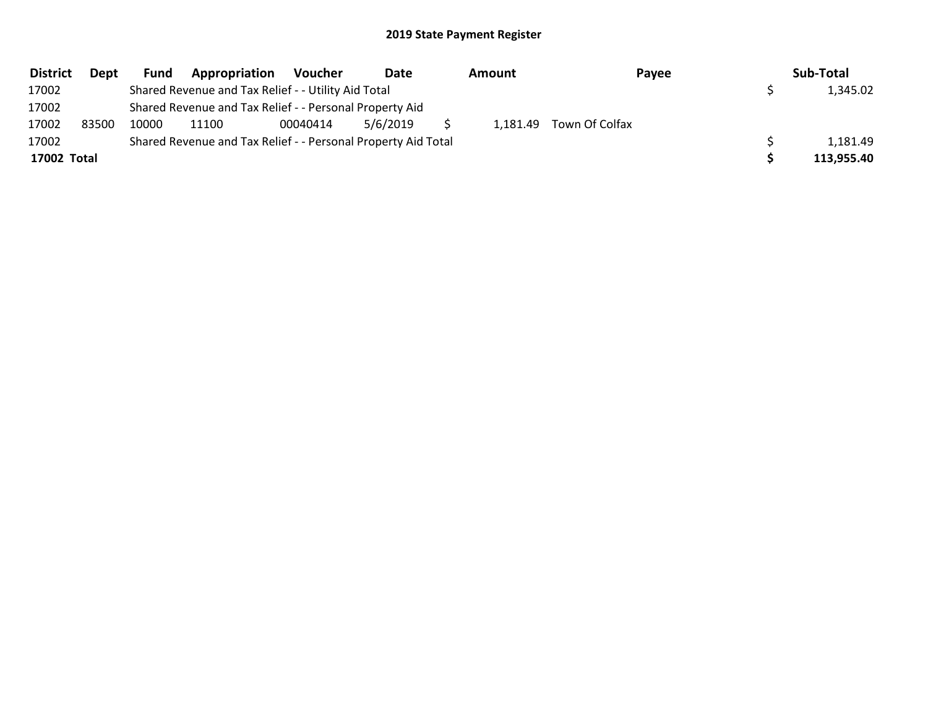| <b>District</b> | Dept  | Fund  | Appropriation                                                 | Voucher  | Date     | Amount |                         | Payee | Sub-Total  |
|-----------------|-------|-------|---------------------------------------------------------------|----------|----------|--------|-------------------------|-------|------------|
| 17002           |       |       | Shared Revenue and Tax Relief - - Utility Aid Total           |          |          |        |                         |       | 1,345.02   |
| 17002           |       |       | Shared Revenue and Tax Relief - - Personal Property Aid       |          |          |        |                         |       |            |
| 17002           | 83500 | 10000 | 11100                                                         | 00040414 | 5/6/2019 |        | 1,181.49 Town Of Colfax |       |            |
| 17002           |       |       | Shared Revenue and Tax Relief - - Personal Property Aid Total |          |          |        |                         |       | 1,181.49   |
| 17002 Total     |       |       |                                                               |          |          |        |                         |       | 113,955.40 |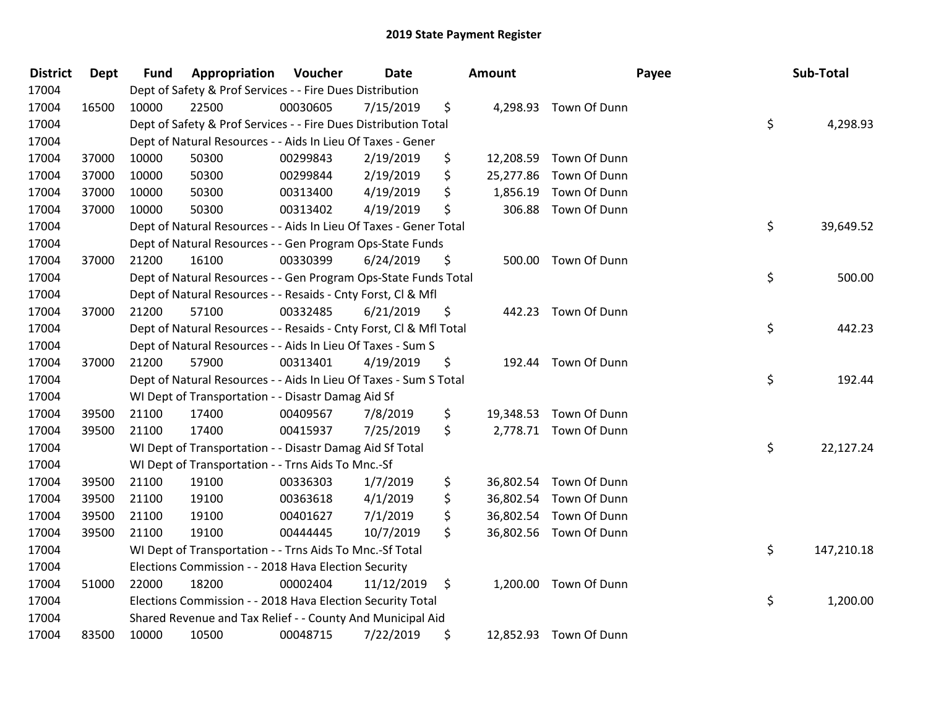| <b>District</b> | <b>Dept</b> | <b>Fund</b> | Appropriation                                                      | Voucher  | Date       | Amount          |                        | Payee | Sub-Total |            |
|-----------------|-------------|-------------|--------------------------------------------------------------------|----------|------------|-----------------|------------------------|-------|-----------|------------|
| 17004           |             |             | Dept of Safety & Prof Services - - Fire Dues Distribution          |          |            |                 |                        |       |           |            |
| 17004           | 16500       | 10000       | 22500                                                              | 00030605 | 7/15/2019  | \$              | 4,298.93 Town Of Dunn  |       |           |            |
| 17004           |             |             | Dept of Safety & Prof Services - - Fire Dues Distribution Total    |          |            |                 |                        | \$    |           | 4,298.93   |
| 17004           |             |             | Dept of Natural Resources - - Aids In Lieu Of Taxes - Gener        |          |            |                 |                        |       |           |            |
| 17004           | 37000       | 10000       | 50300                                                              | 00299843 | 2/19/2019  | \$<br>12,208.59 | Town Of Dunn           |       |           |            |
| 17004           | 37000       | 10000       | 50300                                                              | 00299844 | 2/19/2019  | \$<br>25,277.86 | Town Of Dunn           |       |           |            |
| 17004           | 37000       | 10000       | 50300                                                              | 00313400 | 4/19/2019  | \$<br>1,856.19  | Town Of Dunn           |       |           |            |
| 17004           | 37000       | 10000       | 50300                                                              | 00313402 | 4/19/2019  | \$<br>306.88    | Town Of Dunn           |       |           |            |
| 17004           |             |             | Dept of Natural Resources - - Aids In Lieu Of Taxes - Gener Total  |          |            |                 |                        | \$    |           | 39,649.52  |
| 17004           |             |             | Dept of Natural Resources - - Gen Program Ops-State Funds          |          |            |                 |                        |       |           |            |
| 17004           | 37000       | 21200       | 16100                                                              | 00330399 | 6/24/2019  | \$              | 500.00 Town Of Dunn    |       |           |            |
| 17004           |             |             | Dept of Natural Resources - - Gen Program Ops-State Funds Total    |          |            |                 |                        | \$    |           | 500.00     |
| 17004           |             |             | Dept of Natural Resources - - Resaids - Cnty Forst, CI & Mfl       |          |            |                 |                        |       |           |            |
| 17004           | 37000       | 21200       | 57100                                                              | 00332485 | 6/21/2019  | \$              | 442.23 Town Of Dunn    |       |           |            |
| 17004           |             |             | Dept of Natural Resources - - Resaids - Cnty Forst, Cl & Mfl Total |          |            |                 |                        | \$    |           | 442.23     |
| 17004           |             |             | Dept of Natural Resources - - Aids In Lieu Of Taxes - Sum S        |          |            |                 |                        |       |           |            |
| 17004           | 37000       | 21200       | 57900                                                              | 00313401 | 4/19/2019  | \$              | 192.44 Town Of Dunn    |       |           |            |
| 17004           |             |             | Dept of Natural Resources - - Aids In Lieu Of Taxes - Sum S Total  |          |            |                 |                        | \$    |           | 192.44     |
| 17004           |             |             | WI Dept of Transportation - - Disastr Damag Aid Sf                 |          |            |                 |                        |       |           |            |
| 17004           | 39500       | 21100       | 17400                                                              | 00409567 | 7/8/2019   | \$<br>19,348.53 | Town Of Dunn           |       |           |            |
| 17004           | 39500       | 21100       | 17400                                                              | 00415937 | 7/25/2019  | \$              | 2,778.71 Town Of Dunn  |       |           |            |
| 17004           |             |             | WI Dept of Transportation - - Disastr Damag Aid Sf Total           |          |            |                 |                        | \$    |           | 22,127.24  |
| 17004           |             |             | WI Dept of Transportation - - Trns Aids To Mnc.-Sf                 |          |            |                 |                        |       |           |            |
| 17004           | 39500       | 21100       | 19100                                                              | 00336303 | 1/7/2019   | \$<br>36,802.54 | Town Of Dunn           |       |           |            |
| 17004           | 39500       | 21100       | 19100                                                              | 00363618 | 4/1/2019   | \$<br>36,802.54 | Town Of Dunn           |       |           |            |
| 17004           | 39500       | 21100       | 19100                                                              | 00401627 | 7/1/2019   | \$              | 36,802.54 Town Of Dunn |       |           |            |
| 17004           | 39500       | 21100       | 19100                                                              | 00444445 | 10/7/2019  | \$              | 36,802.56 Town Of Dunn |       |           |            |
| 17004           |             |             | WI Dept of Transportation - - Trns Aids To Mnc.-Sf Total           |          |            |                 |                        | \$    |           | 147,210.18 |
| 17004           |             |             | Elections Commission - - 2018 Hava Election Security               |          |            |                 |                        |       |           |            |
| 17004           | 51000       | 22000       | 18200                                                              | 00002404 | 11/12/2019 | \$<br>1,200.00  | Town Of Dunn           |       |           |            |
| 17004           |             |             | Elections Commission - - 2018 Hava Election Security Total         |          |            |                 |                        | \$    |           | 1,200.00   |
| 17004           |             |             | Shared Revenue and Tax Relief - - County And Municipal Aid         |          |            |                 |                        |       |           |            |
| 17004           | 83500       | 10000       | 10500                                                              | 00048715 | 7/22/2019  | \$              | 12,852.93 Town Of Dunn |       |           |            |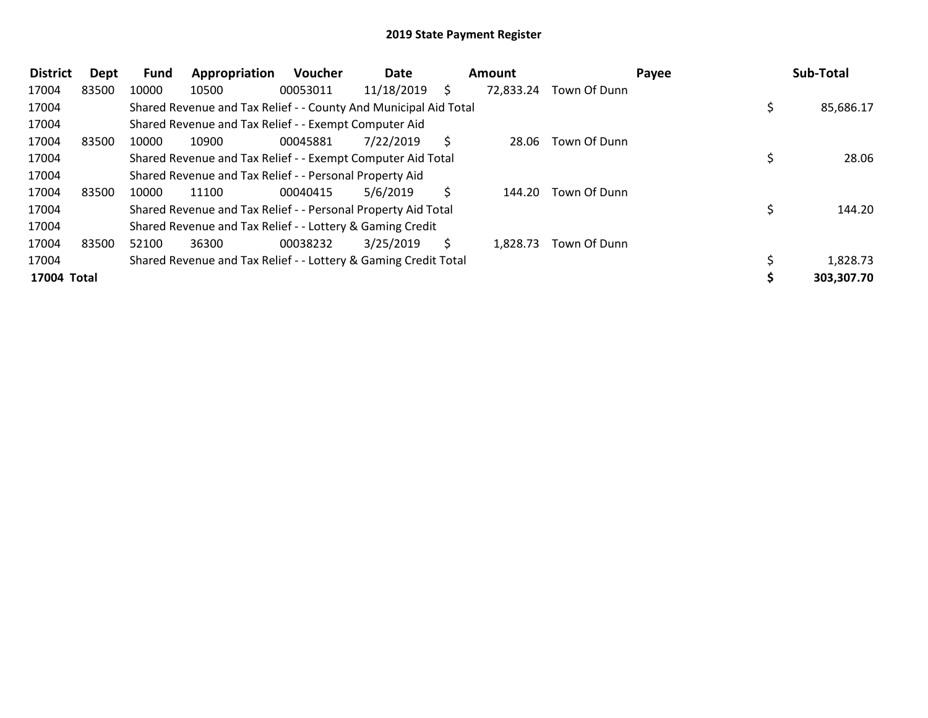| <b>District</b> | Dept  | <b>Fund</b> | Appropriation                                                    | Voucher  | Date       |   | Amount    |              | Payee | Sub-Total  |
|-----------------|-------|-------------|------------------------------------------------------------------|----------|------------|---|-----------|--------------|-------|------------|
| 17004           | 83500 | 10000       | 10500                                                            | 00053011 | 11/18/2019 | S | 72,833.24 | Town Of Dunn |       |            |
| 17004           |       |             | Shared Revenue and Tax Relief - - County And Municipal Aid Total |          |            |   |           |              |       | 85,686.17  |
| 17004           |       |             | Shared Revenue and Tax Relief - - Exempt Computer Aid            |          |            |   |           |              |       |            |
| 17004           | 83500 | 10000       | 10900                                                            | 00045881 | 7/22/2019  |   | 28.06     | Town Of Dunn |       |            |
| 17004           |       |             | Shared Revenue and Tax Relief - - Exempt Computer Aid Total      |          |            |   |           |              |       | 28.06      |
| 17004           |       |             | Shared Revenue and Tax Relief - - Personal Property Aid          |          |            |   |           |              |       |            |
| 17004           | 83500 | 10000       | 11100                                                            | 00040415 | 5/6/2019   |   | 144.20    | Town Of Dunn |       |            |
| 17004           |       |             | Shared Revenue and Tax Relief - - Personal Property Aid Total    |          |            |   |           |              |       | 144.20     |
| 17004           |       |             | Shared Revenue and Tax Relief - - Lottery & Gaming Credit        |          |            |   |           |              |       |            |
| 17004           | 83500 | 52100       | 36300                                                            | 00038232 | 3/25/2019  | S | 1,828.73  | Town Of Dunn |       |            |
| 17004           |       |             | Shared Revenue and Tax Relief - - Lottery & Gaming Credit Total  |          |            |   |           |              |       | 1,828.73   |
| 17004 Total     |       |             |                                                                  |          |            |   |           |              |       | 303,307.70 |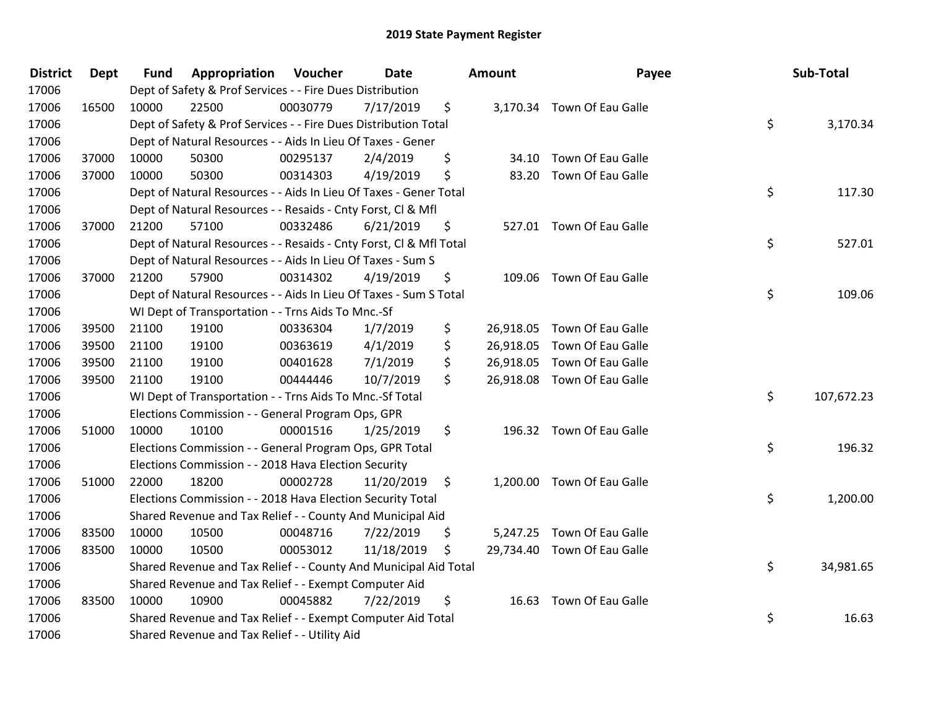| <b>District</b> | <b>Dept</b> | <b>Fund</b> | Appropriation                                                      | Voucher  | Date       | <b>Amount</b>   | Payee                       | Sub-Total        |
|-----------------|-------------|-------------|--------------------------------------------------------------------|----------|------------|-----------------|-----------------------------|------------------|
| 17006           |             |             | Dept of Safety & Prof Services - - Fire Dues Distribution          |          |            |                 |                             |                  |
| 17006           | 16500       | 10000       | 22500                                                              | 00030779 | 7/17/2019  | \$              | 3,170.34 Town Of Eau Galle  |                  |
| 17006           |             |             | Dept of Safety & Prof Services - - Fire Dues Distribution Total    |          |            |                 |                             | \$<br>3,170.34   |
| 17006           |             |             | Dept of Natural Resources - - Aids In Lieu Of Taxes - Gener        |          |            |                 |                             |                  |
| 17006           | 37000       | 10000       | 50300                                                              | 00295137 | 2/4/2019   | \$              | 34.10 Town Of Eau Galle     |                  |
| 17006           | 37000       | 10000       | 50300                                                              | 00314303 | 4/19/2019  | \$              | 83.20 Town Of Eau Galle     |                  |
| 17006           |             |             | Dept of Natural Resources - - Aids In Lieu Of Taxes - Gener Total  |          |            |                 |                             | \$<br>117.30     |
| 17006           |             |             | Dept of Natural Resources - - Resaids - Cnty Forst, Cl & Mfl       |          |            |                 |                             |                  |
| 17006           | 37000       | 21200       | 57100                                                              | 00332486 | 6/21/2019  | \$              | 527.01 Town Of Eau Galle    |                  |
| 17006           |             |             | Dept of Natural Resources - - Resaids - Cnty Forst, CI & Mfl Total |          |            |                 |                             | \$<br>527.01     |
| 17006           |             |             | Dept of Natural Resources - - Aids In Lieu Of Taxes - Sum S        |          |            |                 |                             |                  |
| 17006           | 37000       | 21200       | 57900                                                              | 00314302 | 4/19/2019  | \$              | 109.06 Town Of Eau Galle    |                  |
| 17006           |             |             | Dept of Natural Resources - - Aids In Lieu Of Taxes - Sum S Total  |          |            |                 |                             | \$<br>109.06     |
| 17006           |             |             | WI Dept of Transportation - - Trns Aids To Mnc.-Sf                 |          |            |                 |                             |                  |
| 17006           | 39500       | 21100       | 19100                                                              | 00336304 | 1/7/2019   | \$<br>26,918.05 | Town Of Eau Galle           |                  |
| 17006           | 39500       | 21100       | 19100                                                              | 00363619 | 4/1/2019   | \$<br>26,918.05 | Town Of Eau Galle           |                  |
| 17006           | 39500       | 21100       | 19100                                                              | 00401628 | 7/1/2019   | \$<br>26,918.05 | Town Of Eau Galle           |                  |
| 17006           | 39500       | 21100       | 19100                                                              | 00444446 | 10/7/2019  | \$              | 26,918.08 Town Of Eau Galle |                  |
| 17006           |             |             | WI Dept of Transportation - - Trns Aids To Mnc.-Sf Total           |          |            |                 |                             | \$<br>107,672.23 |
| 17006           |             |             | Elections Commission - - General Program Ops, GPR                  |          |            |                 |                             |                  |
| 17006           | 51000       | 10000       | 10100                                                              | 00001516 | 1/25/2019  | \$              | 196.32 Town Of Eau Galle    |                  |
| 17006           |             |             | Elections Commission - - General Program Ops, GPR Total            |          |            |                 |                             | \$<br>196.32     |
| 17006           |             |             | Elections Commission - - 2018 Hava Election Security               |          |            |                 |                             |                  |
| 17006           | 51000       | 22000       | 18200                                                              | 00002728 | 11/20/2019 | \$              | 1,200.00 Town Of Eau Galle  |                  |
| 17006           |             |             | Elections Commission - - 2018 Hava Election Security Total         |          |            |                 |                             | \$<br>1,200.00   |
| 17006           |             |             | Shared Revenue and Tax Relief - - County And Municipal Aid         |          |            |                 |                             |                  |
| 17006           | 83500       | 10000       | 10500                                                              | 00048716 | 7/22/2019  | \$              | 5,247.25 Town Of Eau Galle  |                  |
| 17006           | 83500       | 10000       | 10500                                                              | 00053012 | 11/18/2019 | \$              | 29,734.40 Town Of Eau Galle |                  |
| 17006           |             |             | Shared Revenue and Tax Relief - - County And Municipal Aid Total   |          |            |                 |                             | \$<br>34,981.65  |
| 17006           |             |             | Shared Revenue and Tax Relief - - Exempt Computer Aid              |          |            |                 |                             |                  |
| 17006           | 83500       | 10000       | 10900                                                              | 00045882 | 7/22/2019  | \$              | 16.63 Town Of Eau Galle     |                  |
| 17006           |             |             | Shared Revenue and Tax Relief - - Exempt Computer Aid Total        |          |            |                 |                             | \$<br>16.63      |
| 17006           |             |             | Shared Revenue and Tax Relief - - Utility Aid                      |          |            |                 |                             |                  |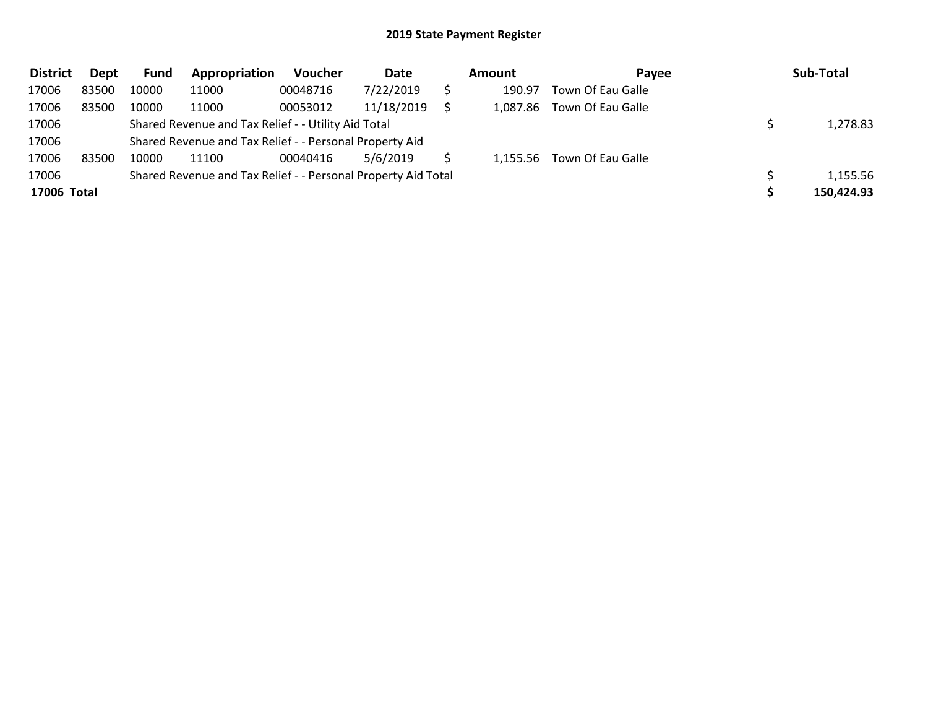| <b>District</b> | Dept  | Fund  | Appropriation                                                 | Voucher  | Date       | Amount   | Payee             | Sub-Total  |
|-----------------|-------|-------|---------------------------------------------------------------|----------|------------|----------|-------------------|------------|
| 17006           | 83500 | 10000 | 11000                                                         | 00048716 | 7/22/2019  | 190.97   | Town Of Eau Galle |            |
| 17006           | 83500 | 10000 | 11000                                                         | 00053012 | 11/18/2019 | 1,087.86 | Town Of Eau Galle |            |
| 17006           |       |       | Shared Revenue and Tax Relief - - Utility Aid Total           |          |            |          |                   | 1,278.83   |
| 17006           |       |       | Shared Revenue and Tax Relief - - Personal Property Aid       |          |            |          |                   |            |
| 17006           | 83500 | 10000 | 11100                                                         | 00040416 | 5/6/2019   | 1,155.56 | Town Of Eau Galle |            |
| 17006           |       |       | Shared Revenue and Tax Relief - - Personal Property Aid Total |          |            |          |                   | 1,155.56   |
| 17006 Total     |       |       |                                                               |          |            |          |                   | 150,424.93 |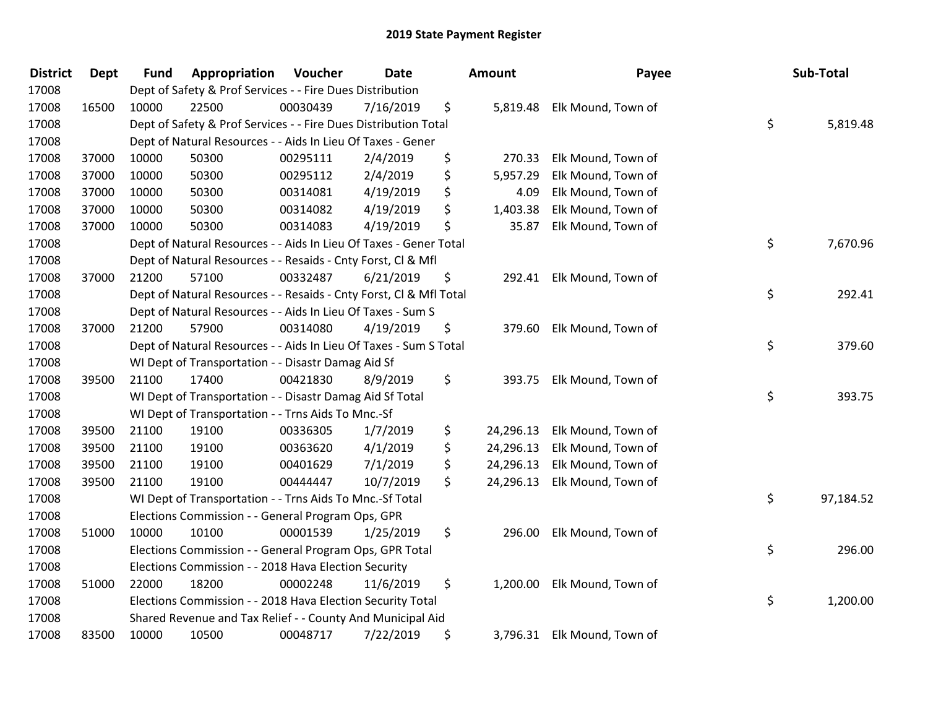| <b>District</b> | Dept  | <b>Fund</b> | Appropriation                                                      | Voucher  | <b>Date</b> | <b>Amount</b>   | Payee                       | Sub-Total       |
|-----------------|-------|-------------|--------------------------------------------------------------------|----------|-------------|-----------------|-----------------------------|-----------------|
| 17008           |       |             | Dept of Safety & Prof Services - - Fire Dues Distribution          |          |             |                 |                             |                 |
| 17008           | 16500 | 10000       | 22500                                                              | 00030439 | 7/16/2019   | \$<br>5,819.48  | Elk Mound, Town of          |                 |
| 17008           |       |             | Dept of Safety & Prof Services - - Fire Dues Distribution Total    |          |             |                 |                             | \$<br>5,819.48  |
| 17008           |       |             | Dept of Natural Resources - - Aids In Lieu Of Taxes - Gener        |          |             |                 |                             |                 |
| 17008           | 37000 | 10000       | 50300                                                              | 00295111 | 2/4/2019    | \$<br>270.33    | Elk Mound, Town of          |                 |
| 17008           | 37000 | 10000       | 50300                                                              | 00295112 | 2/4/2019    | \$<br>5,957.29  | Elk Mound, Town of          |                 |
| 17008           | 37000 | 10000       | 50300                                                              | 00314081 | 4/19/2019   | \$<br>4.09      | Elk Mound, Town of          |                 |
| 17008           | 37000 | 10000       | 50300                                                              | 00314082 | 4/19/2019   | \$<br>1,403.38  | Elk Mound, Town of          |                 |
| 17008           | 37000 | 10000       | 50300                                                              | 00314083 | 4/19/2019   | \$<br>35.87     | Elk Mound, Town of          |                 |
| 17008           |       |             | Dept of Natural Resources - - Aids In Lieu Of Taxes - Gener Total  |          |             |                 |                             | \$<br>7,670.96  |
| 17008           |       |             | Dept of Natural Resources - - Resaids - Cnty Forst, Cl & Mfl       |          |             |                 |                             |                 |
| 17008           | 37000 | 21200       | 57100                                                              | 00332487 | 6/21/2019   | \$<br>292.41    | Elk Mound, Town of          |                 |
| 17008           |       |             | Dept of Natural Resources - - Resaids - Cnty Forst, Cl & Mfl Total |          |             |                 |                             | \$<br>292.41    |
| 17008           |       |             | Dept of Natural Resources - - Aids In Lieu Of Taxes - Sum S        |          |             |                 |                             |                 |
| 17008           | 37000 | 21200       | 57900                                                              | 00314080 | 4/19/2019   | \$<br>379.60    | Elk Mound, Town of          |                 |
| 17008           |       |             | Dept of Natural Resources - - Aids In Lieu Of Taxes - Sum S Total  |          |             |                 |                             | \$<br>379.60    |
| 17008           |       |             | WI Dept of Transportation - - Disastr Damag Aid Sf                 |          |             |                 |                             |                 |
| 17008           | 39500 | 21100       | 17400                                                              | 00421830 | 8/9/2019    | \$<br>393.75    | Elk Mound, Town of          |                 |
| 17008           |       |             | WI Dept of Transportation - - Disastr Damag Aid Sf Total           |          |             |                 |                             | \$<br>393.75    |
| 17008           |       |             | WI Dept of Transportation - - Trns Aids To Mnc.-Sf                 |          |             |                 |                             |                 |
| 17008           | 39500 | 21100       | 19100                                                              | 00336305 | 1/7/2019    | \$<br>24,296.13 | Elk Mound, Town of          |                 |
| 17008           | 39500 | 21100       | 19100                                                              | 00363620 | 4/1/2019    | \$<br>24,296.13 | Elk Mound, Town of          |                 |
| 17008           | 39500 | 21100       | 19100                                                              | 00401629 | 7/1/2019    | \$<br>24,296.13 | Elk Mound, Town of          |                 |
| 17008           | 39500 | 21100       | 19100                                                              | 00444447 | 10/7/2019   | \$<br>24,296.13 | Elk Mound, Town of          |                 |
| 17008           |       |             | WI Dept of Transportation - - Trns Aids To Mnc.-Sf Total           |          |             |                 |                             | \$<br>97,184.52 |
| 17008           |       |             | Elections Commission - - General Program Ops, GPR                  |          |             |                 |                             |                 |
| 17008           | 51000 | 10000       | 10100                                                              | 00001539 | 1/25/2019   | \$<br>296.00    | Elk Mound, Town of          |                 |
| 17008           |       |             | Elections Commission - - General Program Ops, GPR Total            |          |             |                 |                             | \$<br>296.00    |
| 17008           |       |             | Elections Commission - - 2018 Hava Election Security               |          |             |                 |                             |                 |
| 17008           | 51000 | 22000       | 18200                                                              | 00002248 | 11/6/2019   | \$              | 1,200.00 Elk Mound, Town of |                 |
| 17008           |       |             | Elections Commission - - 2018 Hava Election Security Total         |          |             |                 |                             | \$<br>1,200.00  |
| 17008           |       |             | Shared Revenue and Tax Relief - - County And Municipal Aid         |          |             |                 |                             |                 |
| 17008           | 83500 | 10000       | 10500                                                              | 00048717 | 7/22/2019   | \$              | 3,796.31 Elk Mound, Town of |                 |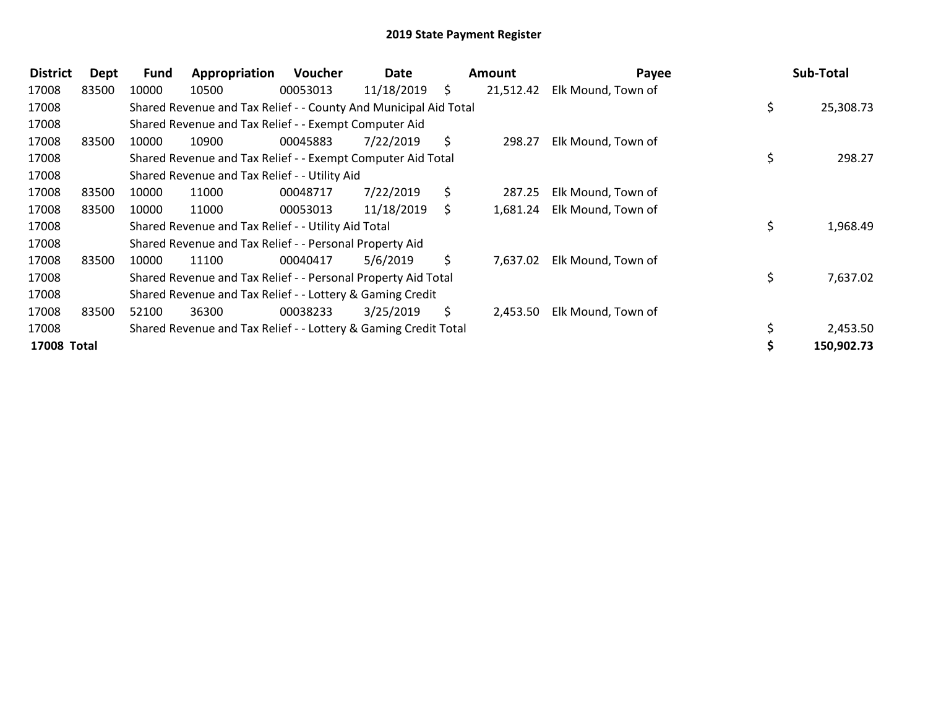| <b>District</b>    | Dept  | <b>Fund</b> | Appropriation                                                    | Voucher  | Date       |    | Amount    | Payee              | Sub-Total       |
|--------------------|-------|-------------|------------------------------------------------------------------|----------|------------|----|-----------|--------------------|-----------------|
| 17008              | 83500 | 10000       | 10500                                                            | 00053013 | 11/18/2019 | S. | 21,512.42 | Elk Mound, Town of |                 |
| 17008              |       |             | Shared Revenue and Tax Relief - - County And Municipal Aid Total |          |            |    |           |                    | \$<br>25,308.73 |
| 17008              |       |             | Shared Revenue and Tax Relief - - Exempt Computer Aid            |          |            |    |           |                    |                 |
| 17008              | 83500 | 10000       | 10900                                                            | 00045883 | 7/22/2019  | \$ | 298.27    | Elk Mound, Town of |                 |
| 17008              |       |             | Shared Revenue and Tax Relief - - Exempt Computer Aid Total      |          |            |    |           |                    | \$<br>298.27    |
| 17008              |       |             | Shared Revenue and Tax Relief - - Utility Aid                    |          |            |    |           |                    |                 |
| 17008              | 83500 | 10000       | 11000                                                            | 00048717 | 7/22/2019  | S. | 287.25    | Elk Mound, Town of |                 |
| 17008              | 83500 | 10000       | 11000                                                            | 00053013 | 11/18/2019 | S. | 1,681.24  | Elk Mound, Town of |                 |
| 17008              |       |             | Shared Revenue and Tax Relief - - Utility Aid Total              |          |            |    |           |                    | \$<br>1,968.49  |
| 17008              |       |             | Shared Revenue and Tax Relief - - Personal Property Aid          |          |            |    |           |                    |                 |
| 17008              | 83500 | 10000       | 11100                                                            | 00040417 | 5/6/2019   | S. | 7,637.02  | Elk Mound, Town of |                 |
| 17008              |       |             | Shared Revenue and Tax Relief - - Personal Property Aid Total    |          |            |    |           |                    | \$<br>7,637.02  |
| 17008              |       |             | Shared Revenue and Tax Relief - - Lottery & Gaming Credit        |          |            |    |           |                    |                 |
| 17008              | 83500 | 52100       | 36300                                                            | 00038233 | 3/25/2019  | S. | 2,453.50  | Elk Mound, Town of |                 |
| 17008              |       |             | Shared Revenue and Tax Relief - - Lottery & Gaming Credit Total  |          |            |    |           |                    | \$<br>2,453.50  |
| <b>17008 Total</b> |       |             |                                                                  |          |            |    |           |                    | 150,902.73      |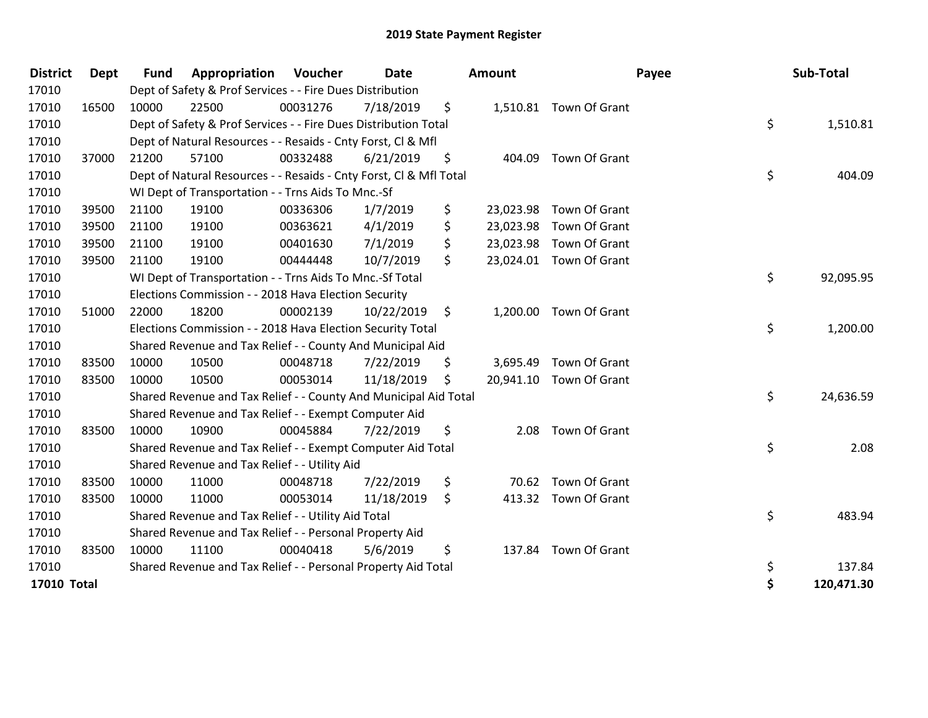| <b>District</b>    | <b>Dept</b> | <b>Fund</b> | Appropriation                                                      | Voucher  | Date       | <b>Amount</b>   |                         | Payee | Sub-Total  |
|--------------------|-------------|-------------|--------------------------------------------------------------------|----------|------------|-----------------|-------------------------|-------|------------|
| 17010              |             |             | Dept of Safety & Prof Services - - Fire Dues Distribution          |          |            |                 |                         |       |            |
| 17010              | 16500       | 10000       | 22500                                                              | 00031276 | 7/18/2019  | \$              | 1,510.81 Town Of Grant  |       |            |
| 17010              |             |             | Dept of Safety & Prof Services - - Fire Dues Distribution Total    |          |            |                 |                         | \$    | 1,510.81   |
| 17010              |             |             | Dept of Natural Resources - - Resaids - Cnty Forst, Cl & Mfl       |          |            |                 |                         |       |            |
| 17010              | 37000       | 21200       | 57100                                                              | 00332488 | 6/21/2019  | \$<br>404.09    | Town Of Grant           |       |            |
| 17010              |             |             | Dept of Natural Resources - - Resaids - Cnty Forst, Cl & Mfl Total |          |            |                 |                         | \$    | 404.09     |
| 17010              |             |             | WI Dept of Transportation - - Trns Aids To Mnc.-Sf                 |          |            |                 |                         |       |            |
| 17010              | 39500       | 21100       | 19100                                                              | 00336306 | 1/7/2019   | \$<br>23,023.98 | Town Of Grant           |       |            |
| 17010              | 39500       | 21100       | 19100                                                              | 00363621 | 4/1/2019   | \$              | 23,023.98 Town Of Grant |       |            |
| 17010              | 39500       | 21100       | 19100                                                              | 00401630 | 7/1/2019   | \$              | 23,023.98 Town Of Grant |       |            |
| 17010              | 39500       | 21100       | 19100                                                              | 00444448 | 10/7/2019  | \$              | 23,024.01 Town Of Grant |       |            |
| 17010              |             |             | WI Dept of Transportation - - Trns Aids To Mnc.-Sf Total           |          |            |                 |                         | \$    | 92,095.95  |
| 17010              |             |             | Elections Commission - - 2018 Hava Election Security               |          |            |                 |                         |       |            |
| 17010              | 51000       | 22000       | 18200                                                              | 00002139 | 10/22/2019 | \$              | 1,200.00 Town Of Grant  |       |            |
| 17010              |             |             | Elections Commission - - 2018 Hava Election Security Total         |          |            |                 |                         | \$    | 1,200.00   |
| 17010              |             |             | Shared Revenue and Tax Relief - - County And Municipal Aid         |          |            |                 |                         |       |            |
| 17010              | 83500       | 10000       | 10500                                                              | 00048718 | 7/22/2019  | \$<br>3,695.49  | Town Of Grant           |       |            |
| 17010              | 83500       | 10000       | 10500                                                              | 00053014 | 11/18/2019 | \$              | 20,941.10 Town Of Grant |       |            |
| 17010              |             |             | Shared Revenue and Tax Relief - - County And Municipal Aid Total   |          |            |                 |                         | \$    | 24,636.59  |
| 17010              |             |             | Shared Revenue and Tax Relief - - Exempt Computer Aid              |          |            |                 |                         |       |            |
| 17010              | 83500       | 10000       | 10900                                                              | 00045884 | 7/22/2019  | \$              | 2.08 Town Of Grant      |       |            |
| 17010              |             |             | Shared Revenue and Tax Relief - - Exempt Computer Aid Total        |          |            |                 |                         | \$    | 2.08       |
| 17010              |             |             | Shared Revenue and Tax Relief - - Utility Aid                      |          |            |                 |                         |       |            |
| 17010              | 83500       | 10000       | 11000                                                              | 00048718 | 7/22/2019  | \$<br>70.62     | Town Of Grant           |       |            |
| 17010              | 83500       | 10000       | 11000                                                              | 00053014 | 11/18/2019 | \$              | 413.32 Town Of Grant    |       |            |
| 17010              |             |             | Shared Revenue and Tax Relief - - Utility Aid Total                |          |            |                 |                         | \$    | 483.94     |
| 17010              |             |             | Shared Revenue and Tax Relief - - Personal Property Aid            |          |            |                 |                         |       |            |
| 17010              | 83500       | 10000       | 11100                                                              | 00040418 | 5/6/2019   | \$              | 137.84 Town Of Grant    |       |            |
| 17010              |             |             | Shared Revenue and Tax Relief - - Personal Property Aid Total      |          |            |                 |                         | \$    | 137.84     |
| <b>17010 Total</b> |             |             |                                                                    |          |            |                 |                         | \$    | 120,471.30 |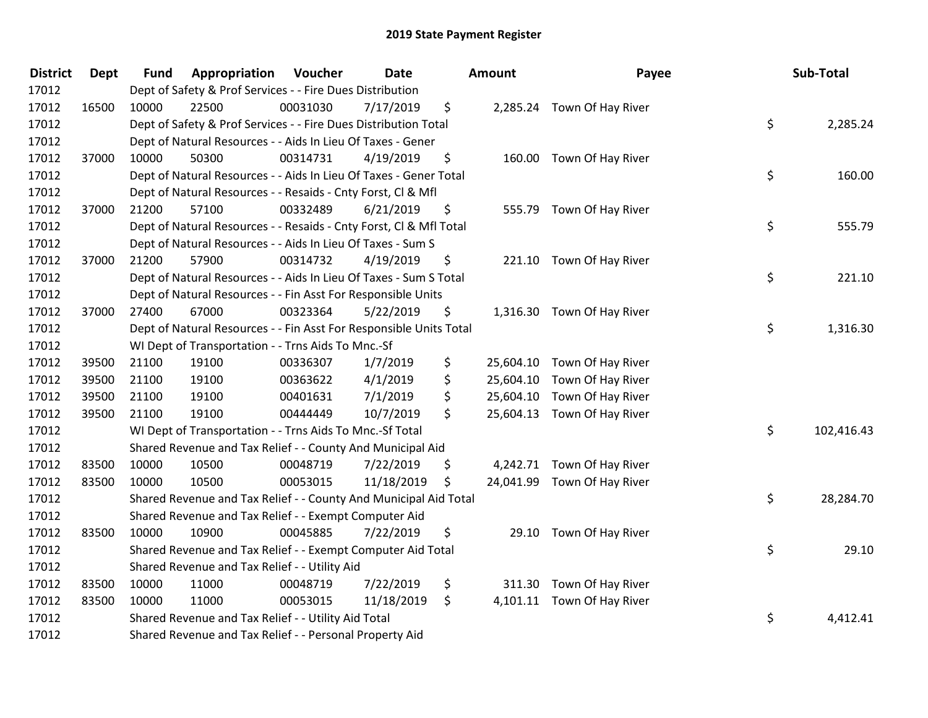| <b>District</b> | <b>Dept</b> | <b>Fund</b> | Appropriation                                                      | Voucher  | <b>Date</b> | <b>Amount</b>   | Payee                       | Sub-Total        |
|-----------------|-------------|-------------|--------------------------------------------------------------------|----------|-------------|-----------------|-----------------------------|------------------|
| 17012           |             |             | Dept of Safety & Prof Services - - Fire Dues Distribution          |          |             |                 |                             |                  |
| 17012           | 16500       | 10000       | 22500                                                              | 00031030 | 7/17/2019   | \$              | 2,285.24 Town Of Hay River  |                  |
| 17012           |             |             | Dept of Safety & Prof Services - - Fire Dues Distribution Total    |          |             |                 |                             | \$<br>2,285.24   |
| 17012           |             |             | Dept of Natural Resources - - Aids In Lieu Of Taxes - Gener        |          |             |                 |                             |                  |
| 17012           | 37000       | 10000       | 50300                                                              | 00314731 | 4/19/2019   | \$              | 160.00 Town Of Hay River    |                  |
| 17012           |             |             | Dept of Natural Resources - - Aids In Lieu Of Taxes - Gener Total  |          |             |                 |                             | \$<br>160.00     |
| 17012           |             |             | Dept of Natural Resources - - Resaids - Cnty Forst, Cl & Mfl       |          |             |                 |                             |                  |
| 17012           | 37000       | 21200       | 57100                                                              | 00332489 | 6/21/2019   | \$              | 555.79 Town Of Hay River    |                  |
| 17012           |             |             | Dept of Natural Resources - - Resaids - Cnty Forst, Cl & Mfl Total |          |             |                 |                             | \$<br>555.79     |
| 17012           |             |             | Dept of Natural Resources - - Aids In Lieu Of Taxes - Sum S        |          |             |                 |                             |                  |
| 17012           | 37000       | 21200       | 57900                                                              | 00314732 | 4/19/2019   | \$              | 221.10 Town Of Hay River    |                  |
| 17012           |             |             | Dept of Natural Resources - - Aids In Lieu Of Taxes - Sum S Total  |          |             |                 |                             | \$<br>221.10     |
| 17012           |             |             | Dept of Natural Resources - - Fin Asst For Responsible Units       |          |             |                 |                             |                  |
| 17012           | 37000       | 27400       | 67000                                                              | 00323364 | 5/22/2019   | \$              | 1,316.30 Town Of Hay River  |                  |
| 17012           |             |             | Dept of Natural Resources - - Fin Asst For Responsible Units Total |          |             |                 |                             | \$<br>1,316.30   |
| 17012           |             |             | WI Dept of Transportation - - Trns Aids To Mnc.-Sf                 |          |             |                 |                             |                  |
| 17012           | 39500       | 21100       | 19100                                                              | 00336307 | 1/7/2019    | \$<br>25,604.10 | Town Of Hay River           |                  |
| 17012           | 39500       | 21100       | 19100                                                              | 00363622 | 4/1/2019    | \$<br>25,604.10 | Town Of Hay River           |                  |
| 17012           | 39500       | 21100       | 19100                                                              | 00401631 | 7/1/2019    | \$<br>25,604.10 | Town Of Hay River           |                  |
| 17012           | 39500       | 21100       | 19100                                                              | 00444449 | 10/7/2019   | \$              | 25,604.13 Town Of Hay River |                  |
| 17012           |             |             | WI Dept of Transportation - - Trns Aids To Mnc .- Sf Total         |          |             |                 |                             | \$<br>102,416.43 |
| 17012           |             |             | Shared Revenue and Tax Relief - - County And Municipal Aid         |          |             |                 |                             |                  |
| 17012           | 83500       | 10000       | 10500                                                              | 00048719 | 7/22/2019   | \$              | 4,242.71 Town Of Hay River  |                  |
| 17012           | 83500       | 10000       | 10500                                                              | 00053015 | 11/18/2019  | \$              | 24,041.99 Town Of Hay River |                  |
| 17012           |             |             | Shared Revenue and Tax Relief - - County And Municipal Aid Total   |          |             |                 |                             | \$<br>28,284.70  |
| 17012           |             |             | Shared Revenue and Tax Relief - - Exempt Computer Aid              |          |             |                 |                             |                  |
| 17012           | 83500       | 10000       | 10900                                                              | 00045885 | 7/22/2019   | \$              | 29.10 Town Of Hay River     |                  |
| 17012           |             |             | Shared Revenue and Tax Relief - - Exempt Computer Aid Total        |          |             |                 |                             | \$<br>29.10      |
| 17012           |             |             | Shared Revenue and Tax Relief - - Utility Aid                      |          |             |                 |                             |                  |
| 17012           | 83500       | 10000       | 11000                                                              | 00048719 | 7/22/2019   | \$              | 311.30 Town Of Hay River    |                  |
| 17012           | 83500       | 10000       | 11000                                                              | 00053015 | 11/18/2019  | \$              | 4,101.11 Town Of Hay River  |                  |
| 17012           |             |             | Shared Revenue and Tax Relief - - Utility Aid Total                |          |             |                 |                             | \$<br>4,412.41   |
| 17012           |             |             | Shared Revenue and Tax Relief - - Personal Property Aid            |          |             |                 |                             |                  |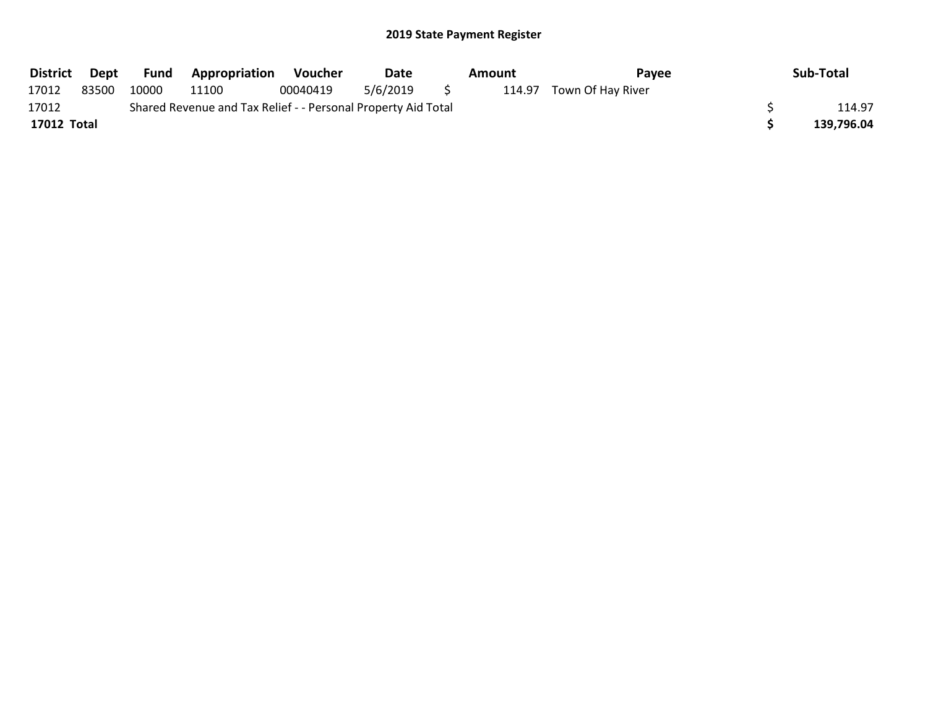| <b>District</b> | Dept  | Fund  | <b>Appropriation</b>                                          | Voucher  | Date     | Amount | <b>Pavee</b>             | Sub-Total  |
|-----------------|-------|-------|---------------------------------------------------------------|----------|----------|--------|--------------------------|------------|
| 17012           | 83500 | 10000 | 11100                                                         | 00040419 | 5/6/2019 |        | 114.97 Town Of Hay River |            |
| 17012           |       |       | Shared Revenue and Tax Relief - - Personal Property Aid Total |          |          |        |                          | 114.97     |
| 17012 Total     |       |       |                                                               |          |          |        |                          | 139,796.04 |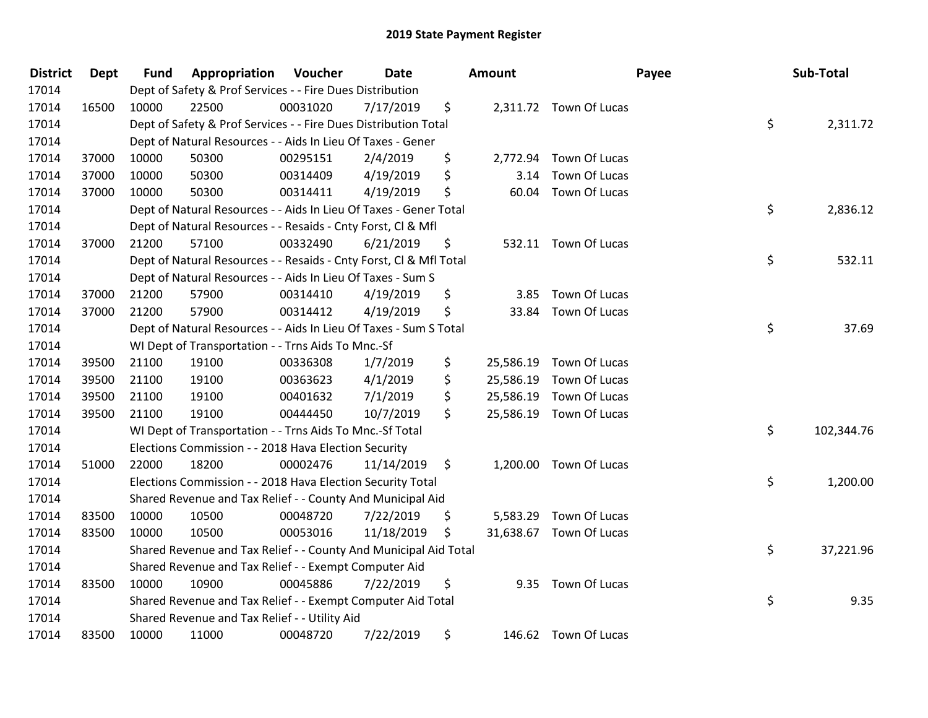| <b>District</b> | <b>Dept</b> | <b>Fund</b> | Appropriation                                                      | Voucher  | Date       | <b>Amount</b>   |                         | Payee | Sub-Total        |
|-----------------|-------------|-------------|--------------------------------------------------------------------|----------|------------|-----------------|-------------------------|-------|------------------|
| 17014           |             |             | Dept of Safety & Prof Services - - Fire Dues Distribution          |          |            |                 |                         |       |                  |
| 17014           | 16500       | 10000       | 22500                                                              | 00031020 | 7/17/2019  | \$              | 2,311.72 Town Of Lucas  |       |                  |
| 17014           |             |             | Dept of Safety & Prof Services - - Fire Dues Distribution Total    |          |            |                 |                         |       | \$<br>2,311.72   |
| 17014           |             |             | Dept of Natural Resources - - Aids In Lieu Of Taxes - Gener        |          |            |                 |                         |       |                  |
| 17014           | 37000       | 10000       | 50300                                                              | 00295151 | 2/4/2019   | \$              | 2,772.94 Town Of Lucas  |       |                  |
| 17014           | 37000       | 10000       | 50300                                                              | 00314409 | 4/19/2019  | \$              | 3.14 Town Of Lucas      |       |                  |
| 17014           | 37000       | 10000       | 50300                                                              | 00314411 | 4/19/2019  | \$              | 60.04 Town Of Lucas     |       |                  |
| 17014           |             |             | Dept of Natural Resources - - Aids In Lieu Of Taxes - Gener Total  |          |            |                 |                         |       | \$<br>2,836.12   |
| 17014           |             |             | Dept of Natural Resources - - Resaids - Cnty Forst, Cl & Mfl       |          |            |                 |                         |       |                  |
| 17014           | 37000       | 21200       | 57100                                                              | 00332490 | 6/21/2019  | \$              | 532.11 Town Of Lucas    |       |                  |
| 17014           |             |             | Dept of Natural Resources - - Resaids - Cnty Forst, Cl & Mfl Total |          |            |                 |                         |       | \$<br>532.11     |
| 17014           |             |             | Dept of Natural Resources - - Aids In Lieu Of Taxes - Sum S        |          |            |                 |                         |       |                  |
| 17014           | 37000       | 21200       | 57900                                                              | 00314410 | 4/19/2019  | \$              | 3.85 Town Of Lucas      |       |                  |
| 17014           | 37000       | 21200       | 57900                                                              | 00314412 | 4/19/2019  | \$              | 33.84 Town Of Lucas     |       |                  |
| 17014           |             |             | Dept of Natural Resources - - Aids In Lieu Of Taxes - Sum S Total  |          |            |                 |                         |       | \$<br>37.69      |
| 17014           |             |             | WI Dept of Transportation - - Trns Aids To Mnc.-Sf                 |          |            |                 |                         |       |                  |
| 17014           | 39500       | 21100       | 19100                                                              | 00336308 | 1/7/2019   | \$<br>25,586.19 | Town Of Lucas           |       |                  |
| 17014           | 39500       | 21100       | 19100                                                              | 00363623 | 4/1/2019   | \$<br>25,586.19 | Town Of Lucas           |       |                  |
| 17014           | 39500       | 21100       | 19100                                                              | 00401632 | 7/1/2019   | \$<br>25,586.19 | Town Of Lucas           |       |                  |
| 17014           | 39500       | 21100       | 19100                                                              | 00444450 | 10/7/2019  | \$              | 25,586.19 Town Of Lucas |       |                  |
| 17014           |             |             | WI Dept of Transportation - - Trns Aids To Mnc.-Sf Total           |          |            |                 |                         |       | \$<br>102,344.76 |
| 17014           |             |             | Elections Commission - - 2018 Hava Election Security               |          |            |                 |                         |       |                  |
| 17014           | 51000       | 22000       | 18200                                                              | 00002476 | 11/14/2019 | \$              | 1,200.00 Town Of Lucas  |       |                  |
| 17014           |             |             | Elections Commission - - 2018 Hava Election Security Total         |          |            |                 |                         |       | \$<br>1,200.00   |
| 17014           |             |             | Shared Revenue and Tax Relief - - County And Municipal Aid         |          |            |                 |                         |       |                  |
| 17014           | 83500       | 10000       | 10500                                                              | 00048720 | 7/22/2019  | \$              | 5,583.29 Town Of Lucas  |       |                  |
| 17014           | 83500       | 10000       | 10500                                                              | 00053016 | 11/18/2019 | \$              | 31,638.67 Town Of Lucas |       |                  |
| 17014           |             |             | Shared Revenue and Tax Relief - - County And Municipal Aid Total   |          |            |                 |                         |       | \$<br>37,221.96  |
| 17014           |             |             | Shared Revenue and Tax Relief - - Exempt Computer Aid              |          |            |                 |                         |       |                  |
| 17014           | 83500       | 10000       | 10900                                                              | 00045886 | 7/22/2019  | \$              | 9.35 Town Of Lucas      |       |                  |
| 17014           |             |             | Shared Revenue and Tax Relief - - Exempt Computer Aid Total        |          |            |                 |                         |       | \$<br>9.35       |
| 17014           |             |             | Shared Revenue and Tax Relief - - Utility Aid                      |          |            |                 |                         |       |                  |
| 17014           | 83500       | 10000       | 11000                                                              | 00048720 | 7/22/2019  | \$              | 146.62 Town Of Lucas    |       |                  |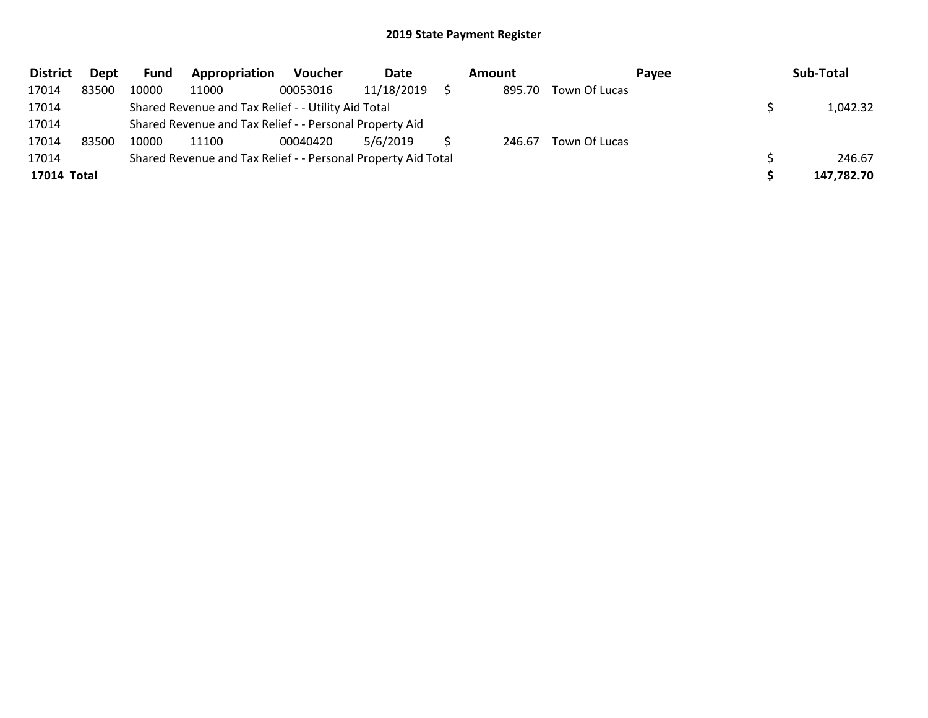| <b>District</b> | Dept  | Fund  | Appropriation                                                 | <b>Voucher</b> | <b>Date</b> | Amount |               | Payee | Sub-Total  |
|-----------------|-------|-------|---------------------------------------------------------------|----------------|-------------|--------|---------------|-------|------------|
| 17014           | 83500 | 10000 | 11000                                                         | 00053016       | 11/18/2019  | 895.70 | Town Of Lucas |       |            |
| 17014           |       |       | Shared Revenue and Tax Relief - - Utility Aid Total           |                |             |        |               |       | 1,042.32   |
| 17014           |       |       | Shared Revenue and Tax Relief - - Personal Property Aid       |                |             |        |               |       |            |
| 17014           | 83500 | 10000 | 11100                                                         | 00040420       | 5/6/2019    | 246.67 | Town Of Lucas |       |            |
| 17014           |       |       | Shared Revenue and Tax Relief - - Personal Property Aid Total |                |             |        |               |       | 246.67     |
| 17014 Total     |       |       |                                                               |                |             |        |               |       | 147,782.70 |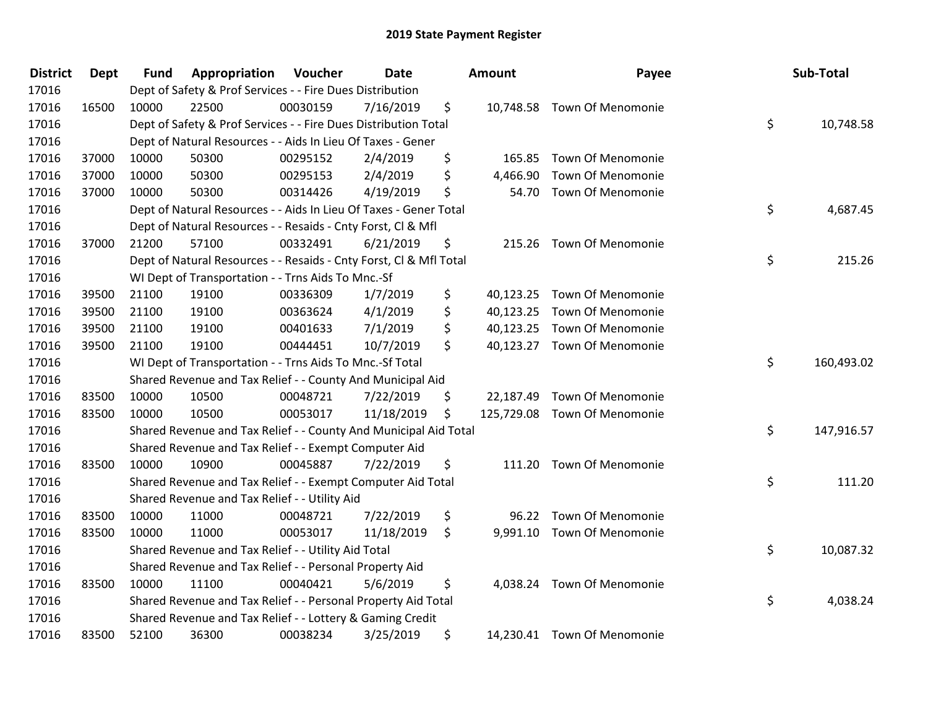| <b>District</b> | <b>Dept</b> | <b>Fund</b> | Appropriation                                                      | Voucher  | Date       | <b>Amount</b>   | Payee                        | Sub-Total        |
|-----------------|-------------|-------------|--------------------------------------------------------------------|----------|------------|-----------------|------------------------------|------------------|
| 17016           |             |             | Dept of Safety & Prof Services - - Fire Dues Distribution          |          |            |                 |                              |                  |
| 17016           | 16500       | 10000       | 22500                                                              | 00030159 | 7/16/2019  | \$              | 10,748.58 Town Of Menomonie  |                  |
| 17016           |             |             | Dept of Safety & Prof Services - - Fire Dues Distribution Total    |          |            |                 |                              | \$<br>10,748.58  |
| 17016           |             |             | Dept of Natural Resources - - Aids In Lieu Of Taxes - Gener        |          |            |                 |                              |                  |
| 17016           | 37000       | 10000       | 50300                                                              | 00295152 | 2/4/2019   | \$<br>165.85    | <b>Town Of Menomonie</b>     |                  |
| 17016           | 37000       | 10000       | 50300                                                              | 00295153 | 2/4/2019   | \$<br>4,466.90  | <b>Town Of Menomonie</b>     |                  |
| 17016           | 37000       | 10000       | 50300                                                              | 00314426 | 4/19/2019  | \$<br>54.70     | <b>Town Of Menomonie</b>     |                  |
| 17016           |             |             | Dept of Natural Resources - - Aids In Lieu Of Taxes - Gener Total  |          |            |                 |                              | \$<br>4,687.45   |
| 17016           |             |             | Dept of Natural Resources - - Resaids - Cnty Forst, Cl & Mfl       |          |            |                 |                              |                  |
| 17016           | 37000       | 21200       | 57100                                                              | 00332491 | 6/21/2019  | \$              | 215.26 Town Of Menomonie     |                  |
| 17016           |             |             | Dept of Natural Resources - - Resaids - Cnty Forst, Cl & Mfl Total |          |            |                 |                              | \$<br>215.26     |
| 17016           |             |             | WI Dept of Transportation - - Trns Aids To Mnc.-Sf                 |          |            |                 |                              |                  |
| 17016           | 39500       | 21100       | 19100                                                              | 00336309 | 1/7/2019   | \$              | 40,123.25 Town Of Menomonie  |                  |
| 17016           | 39500       | 21100       | 19100                                                              | 00363624 | 4/1/2019   | \$<br>40,123.25 | <b>Town Of Menomonie</b>     |                  |
| 17016           | 39500       | 21100       | 19100                                                              | 00401633 | 7/1/2019   | \$              | 40,123.25 Town Of Menomonie  |                  |
| 17016           | 39500       | 21100       | 19100                                                              | 00444451 | 10/7/2019  | \$              | 40,123.27 Town Of Menomonie  |                  |
| 17016           |             |             | WI Dept of Transportation - - Trns Aids To Mnc.-Sf Total           |          |            |                 |                              | \$<br>160,493.02 |
| 17016           |             |             | Shared Revenue and Tax Relief - - County And Municipal Aid         |          |            |                 |                              |                  |
| 17016           | 83500       | 10000       | 10500                                                              | 00048721 | 7/22/2019  | \$<br>22,187.49 | <b>Town Of Menomonie</b>     |                  |
| 17016           | 83500       | 10000       | 10500                                                              | 00053017 | 11/18/2019 | \$              | 125,729.08 Town Of Menomonie |                  |
| 17016           |             |             | Shared Revenue and Tax Relief - - County And Municipal Aid Total   |          |            |                 |                              | \$<br>147,916.57 |
| 17016           |             |             | Shared Revenue and Tax Relief - - Exempt Computer Aid              |          |            |                 |                              |                  |
| 17016           | 83500       | 10000       | 10900                                                              | 00045887 | 7/22/2019  | \$              | 111.20 Town Of Menomonie     |                  |
| 17016           |             |             | Shared Revenue and Tax Relief - - Exempt Computer Aid Total        |          |            |                 |                              | \$<br>111.20     |
| 17016           |             |             | Shared Revenue and Tax Relief - - Utility Aid                      |          |            |                 |                              |                  |
| 17016           | 83500       | 10000       | 11000                                                              | 00048721 | 7/22/2019  | \$              | 96.22 Town Of Menomonie      |                  |
| 17016           | 83500       | 10000       | 11000                                                              | 00053017 | 11/18/2019 | \$              | 9,991.10 Town Of Menomonie   |                  |
| 17016           |             |             | Shared Revenue and Tax Relief - - Utility Aid Total                |          |            |                 |                              | \$<br>10,087.32  |
| 17016           |             |             | Shared Revenue and Tax Relief - - Personal Property Aid            |          |            |                 |                              |                  |
| 17016           | 83500       | 10000       | 11100                                                              | 00040421 | 5/6/2019   | \$              | 4,038.24 Town Of Menomonie   |                  |
| 17016           |             |             | Shared Revenue and Tax Relief - - Personal Property Aid Total      |          |            |                 |                              | \$<br>4,038.24   |
| 17016           |             |             | Shared Revenue and Tax Relief - - Lottery & Gaming Credit          |          |            |                 |                              |                  |
| 17016           | 83500       | 52100       | 36300                                                              | 00038234 | 3/25/2019  | \$              | 14,230.41 Town Of Menomonie  |                  |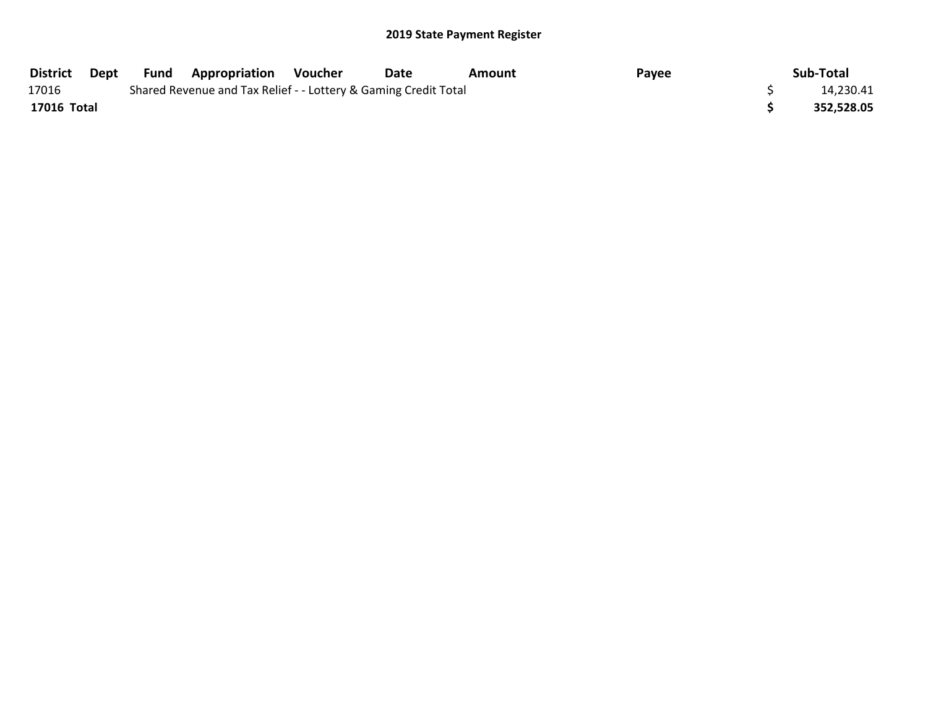| <b>District</b> | Dept | Fund | <b>Appropriation</b>                                            | Voucher | Date | Amount | Payee | Sub-Total  |
|-----------------|------|------|-----------------------------------------------------------------|---------|------|--------|-------|------------|
| 17016           |      |      | Shared Revenue and Tax Relief - - Lottery & Gaming Credit Total |         |      |        |       | 14,230.41  |
| 17016 Total     |      |      |                                                                 |         |      |        |       | 352,528.05 |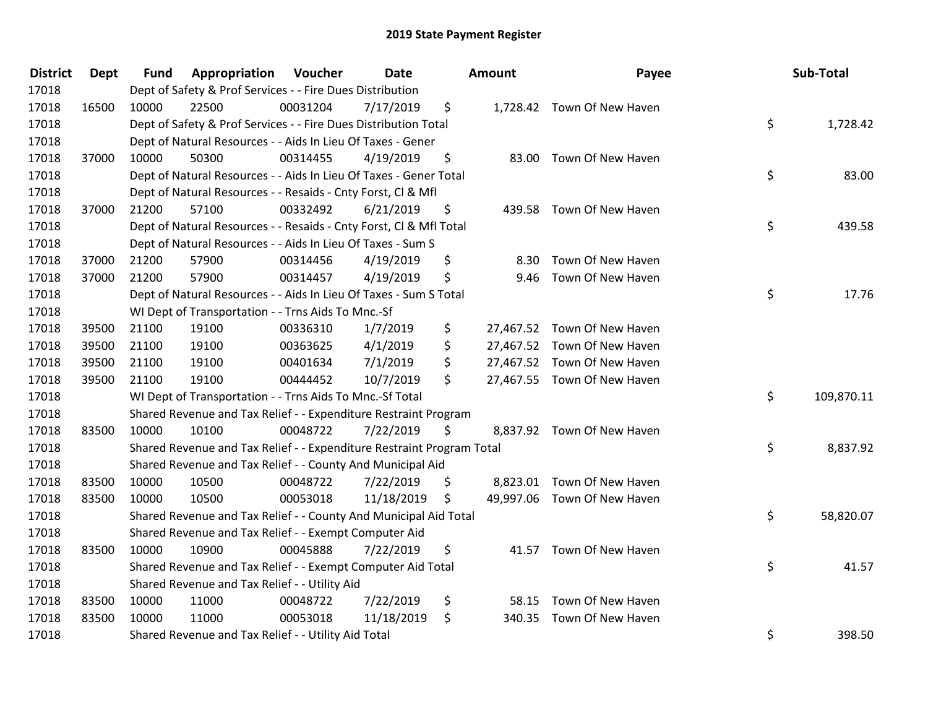| <b>District</b> | <b>Dept</b> | <b>Fund</b> | Appropriation                                                         | Voucher  | <b>Date</b> | <b>Amount</b> | Payee                       | Sub-Total        |
|-----------------|-------------|-------------|-----------------------------------------------------------------------|----------|-------------|---------------|-----------------------------|------------------|
| 17018           |             |             | Dept of Safety & Prof Services - - Fire Dues Distribution             |          |             |               |                             |                  |
| 17018           | 16500       | 10000       | 22500                                                                 | 00031204 | 7/17/2019   | \$            | 1,728.42 Town Of New Haven  |                  |
| 17018           |             |             | Dept of Safety & Prof Services - - Fire Dues Distribution Total       |          |             |               |                             | \$<br>1,728.42   |
| 17018           |             |             | Dept of Natural Resources - - Aids In Lieu Of Taxes - Gener           |          |             |               |                             |                  |
| 17018           | 37000       | 10000       | 50300                                                                 | 00314455 | 4/19/2019   | \$            | 83.00 Town Of New Haven     |                  |
| 17018           |             |             | Dept of Natural Resources - - Aids In Lieu Of Taxes - Gener Total     |          |             |               |                             | \$<br>83.00      |
| 17018           |             |             | Dept of Natural Resources - - Resaids - Cnty Forst, Cl & Mfl          |          |             |               |                             |                  |
| 17018           | 37000       | 21200       | 57100                                                                 | 00332492 | 6/21/2019   | \$            | 439.58 Town Of New Haven    |                  |
| 17018           |             |             | Dept of Natural Resources - - Resaids - Cnty Forst, Cl & Mfl Total    |          |             |               |                             | \$<br>439.58     |
| 17018           |             |             | Dept of Natural Resources - - Aids In Lieu Of Taxes - Sum S           |          |             |               |                             |                  |
| 17018           | 37000       | 21200       | 57900                                                                 | 00314456 | 4/19/2019   | \$            | 8.30 Town Of New Haven      |                  |
| 17018           | 37000       | 21200       | 57900                                                                 | 00314457 | 4/19/2019   | \$            | 9.46 Town Of New Haven      |                  |
| 17018           |             |             | Dept of Natural Resources - - Aids In Lieu Of Taxes - Sum S Total     |          |             |               |                             | \$<br>17.76      |
| 17018           |             |             | WI Dept of Transportation - - Trns Aids To Mnc.-Sf                    |          |             |               |                             |                  |
| 17018           | 39500       | 21100       | 19100                                                                 | 00336310 | 1/7/2019    | \$            | 27,467.52 Town Of New Haven |                  |
| 17018           | 39500       | 21100       | 19100                                                                 | 00363625 | 4/1/2019    | \$            | 27,467.52 Town Of New Haven |                  |
| 17018           | 39500       | 21100       | 19100                                                                 | 00401634 | 7/1/2019    | \$            | 27,467.52 Town Of New Haven |                  |
| 17018           | 39500       | 21100       | 19100                                                                 | 00444452 | 10/7/2019   | \$            | 27,467.55 Town Of New Haven |                  |
| 17018           |             |             | WI Dept of Transportation - - Trns Aids To Mnc.-Sf Total              |          |             |               |                             | \$<br>109,870.11 |
| 17018           |             |             | Shared Revenue and Tax Relief - - Expenditure Restraint Program       |          |             |               |                             |                  |
| 17018           | 83500       | 10000       | 10100                                                                 | 00048722 | 7/22/2019   | \$            | 8,837.92 Town Of New Haven  |                  |
| 17018           |             |             | Shared Revenue and Tax Relief - - Expenditure Restraint Program Total |          |             |               |                             | \$<br>8,837.92   |
| 17018           |             |             | Shared Revenue and Tax Relief - - County And Municipal Aid            |          |             |               |                             |                  |
| 17018           | 83500       | 10000       | 10500                                                                 | 00048722 | 7/22/2019   | \$            | 8,823.01 Town Of New Haven  |                  |
| 17018           | 83500       | 10000       | 10500                                                                 | 00053018 | 11/18/2019  | \$            | 49,997.06 Town Of New Haven |                  |
| 17018           |             |             | Shared Revenue and Tax Relief - - County And Municipal Aid Total      |          |             |               |                             | \$<br>58,820.07  |
| 17018           |             |             | Shared Revenue and Tax Relief - - Exempt Computer Aid                 |          |             |               |                             |                  |
| 17018           | 83500       | 10000       | 10900                                                                 | 00045888 | 7/22/2019   | \$            | 41.57 Town Of New Haven     |                  |
| 17018           |             |             | Shared Revenue and Tax Relief - - Exempt Computer Aid Total           |          |             |               |                             | \$<br>41.57      |
| 17018           |             |             | Shared Revenue and Tax Relief - - Utility Aid                         |          |             |               |                             |                  |
| 17018           | 83500       | 10000       | 11000                                                                 | 00048722 | 7/22/2019   | \$<br>58.15   | Town Of New Haven           |                  |
| 17018           | 83500       | 10000       | 11000                                                                 | 00053018 | 11/18/2019  | \$<br>340.35  | Town Of New Haven           |                  |
| 17018           |             |             | Shared Revenue and Tax Relief - - Utility Aid Total                   |          |             |               |                             | \$<br>398.50     |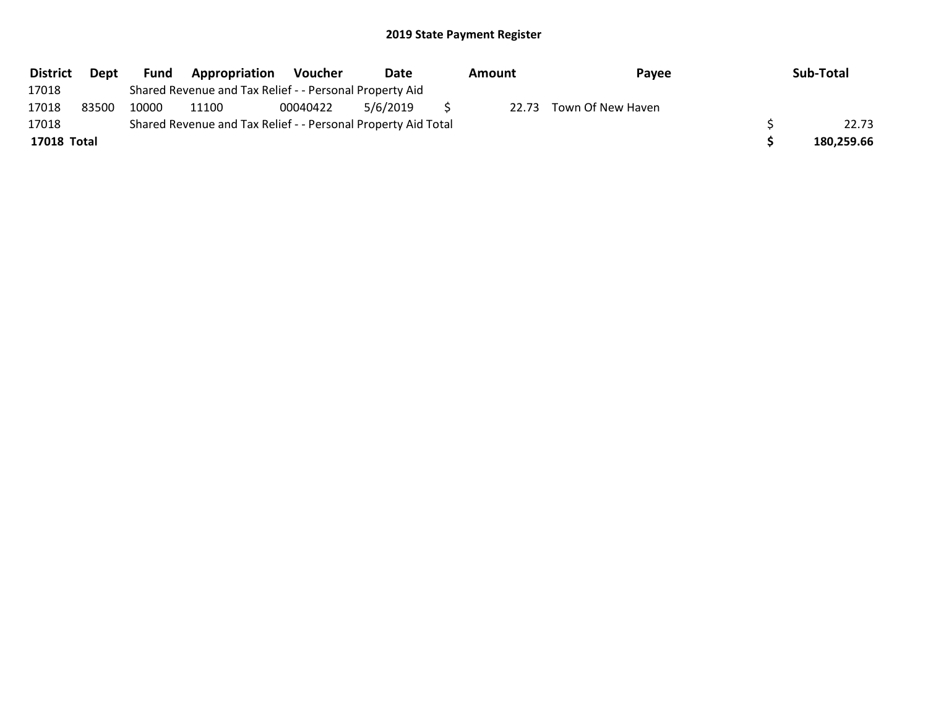| <b>District</b> | <b>Dept</b> | <b>Fund</b> | Appropriation                                                 | Voucher  | Date     | Amount | Payee                   | Sub-Total  |
|-----------------|-------------|-------------|---------------------------------------------------------------|----------|----------|--------|-------------------------|------------|
| 17018           |             |             | Shared Revenue and Tax Relief - - Personal Property Aid       |          |          |        |                         |            |
| 17018           | 83500       | 10000       | 11100                                                         | 00040422 | 5/6/2019 |        | 22.73 Town Of New Haven |            |
| 17018           |             |             | Shared Revenue and Tax Relief - - Personal Property Aid Total |          |          |        |                         | 22.73      |
| 17018 Total     |             |             |                                                               |          |          |        |                         | 180,259.66 |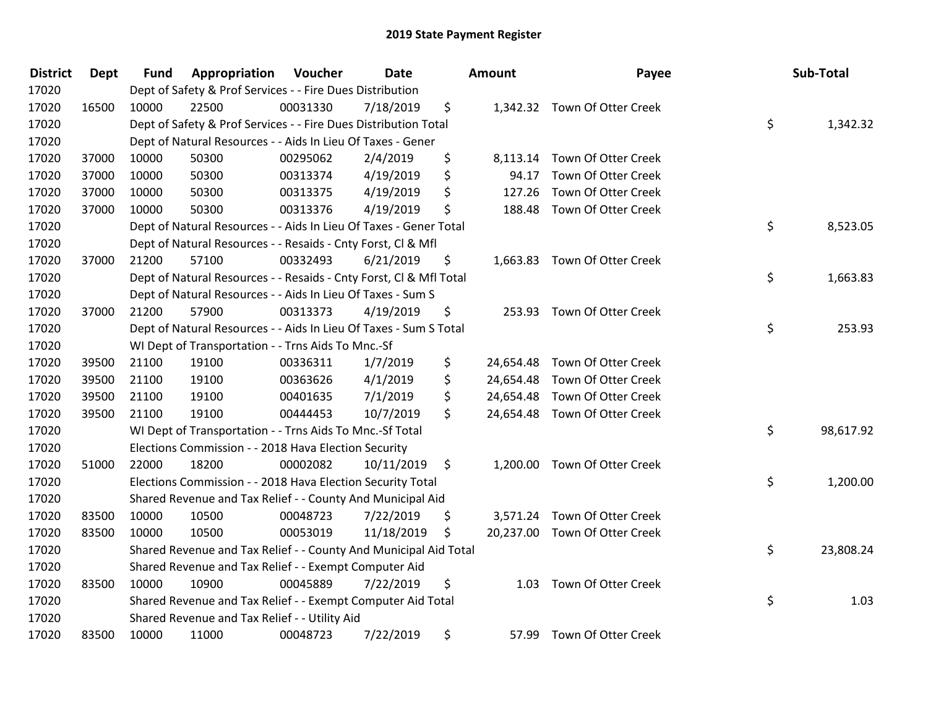| <b>District</b> | <b>Dept</b> | <b>Fund</b> | Appropriation                                                      | Voucher  | Date       |                | <b>Amount</b> | Payee                         | Sub-Total       |
|-----------------|-------------|-------------|--------------------------------------------------------------------|----------|------------|----------------|---------------|-------------------------------|-----------------|
| 17020           |             |             | Dept of Safety & Prof Services - - Fire Dues Distribution          |          |            |                |               |                               |                 |
| 17020           | 16500       | 10000       | 22500                                                              | 00031330 | 7/18/2019  | \$             |               | 1,342.32 Town Of Otter Creek  |                 |
| 17020           |             |             | Dept of Safety & Prof Services - - Fire Dues Distribution Total    |          |            |                |               |                               | \$<br>1,342.32  |
| 17020           |             |             | Dept of Natural Resources - - Aids In Lieu Of Taxes - Gener        |          |            |                |               |                               |                 |
| 17020           | 37000       | 10000       | 50300                                                              | 00295062 | 2/4/2019   | \$             |               | 8,113.14 Town Of Otter Creek  |                 |
| 17020           | 37000       | 10000       | 50300                                                              | 00313374 | 4/19/2019  | \$             | 94.17         | Town Of Otter Creek           |                 |
| 17020           | 37000       | 10000       | 50300                                                              | 00313375 | 4/19/2019  | \$             | 127.26        | Town Of Otter Creek           |                 |
| 17020           | 37000       | 10000       | 50300                                                              | 00313376 | 4/19/2019  | \$             |               | 188.48 Town Of Otter Creek    |                 |
| 17020           |             |             | Dept of Natural Resources - - Aids In Lieu Of Taxes - Gener Total  |          |            |                |               |                               | \$<br>8,523.05  |
| 17020           |             |             | Dept of Natural Resources - - Resaids - Cnty Forst, Cl & Mfl       |          |            |                |               |                               |                 |
| 17020           | 37000       | 21200       | 57100                                                              | 00332493 | 6/21/2019  | \$             |               | 1,663.83 Town Of Otter Creek  |                 |
| 17020           |             |             | Dept of Natural Resources - - Resaids - Cnty Forst, CI & Mfl Total |          |            |                |               |                               | \$<br>1,663.83  |
| 17020           |             |             | Dept of Natural Resources - - Aids In Lieu Of Taxes - Sum S        |          |            |                |               |                               |                 |
| 17020           | 37000       | 21200       | 57900                                                              | 00313373 | 4/19/2019  | \$             |               | 253.93 Town Of Otter Creek    |                 |
| 17020           |             |             | Dept of Natural Resources - - Aids In Lieu Of Taxes - Sum S Total  |          |            |                |               |                               | \$<br>253.93    |
| 17020           |             |             | WI Dept of Transportation - - Trns Aids To Mnc.-Sf                 |          |            |                |               |                               |                 |
| 17020           | 39500       | 21100       | 19100                                                              | 00336311 | 1/7/2019   | \$             | 24,654.48     | Town Of Otter Creek           |                 |
| 17020           | 39500       | 21100       | 19100                                                              | 00363626 | 4/1/2019   | \$             | 24,654.48     | Town Of Otter Creek           |                 |
| 17020           | 39500       | 21100       | 19100                                                              | 00401635 | 7/1/2019   | \$             | 24,654.48     | Town Of Otter Creek           |                 |
| 17020           | 39500       | 21100       | 19100                                                              | 00444453 | 10/7/2019  | \$             |               | 24,654.48 Town Of Otter Creek |                 |
| 17020           |             |             | WI Dept of Transportation - - Trns Aids To Mnc.-Sf Total           |          |            |                |               |                               | \$<br>98,617.92 |
| 17020           |             |             | Elections Commission - - 2018 Hava Election Security               |          |            |                |               |                               |                 |
| 17020           | 51000       | 22000       | 18200                                                              | 00002082 | 10/11/2019 | $\ddot{\zeta}$ |               | 1,200.00 Town Of Otter Creek  |                 |
| 17020           |             |             | Elections Commission - - 2018 Hava Election Security Total         |          |            |                |               |                               | \$<br>1,200.00  |
| 17020           |             |             | Shared Revenue and Tax Relief - - County And Municipal Aid         |          |            |                |               |                               |                 |
| 17020           | 83500       | 10000       | 10500                                                              | 00048723 | 7/22/2019  | \$             |               | 3,571.24 Town Of Otter Creek  |                 |
| 17020           | 83500       | 10000       | 10500                                                              | 00053019 | 11/18/2019 | \$             |               | 20,237.00 Town Of Otter Creek |                 |
| 17020           |             |             | Shared Revenue and Tax Relief - - County And Municipal Aid Total   |          |            |                |               |                               | \$<br>23,808.24 |
| 17020           |             |             | Shared Revenue and Tax Relief - - Exempt Computer Aid              |          |            |                |               |                               |                 |
| 17020           | 83500       | 10000       | 10900                                                              | 00045889 | 7/22/2019  | \$             |               | 1.03 Town Of Otter Creek      |                 |
| 17020           |             |             | Shared Revenue and Tax Relief - - Exempt Computer Aid Total        |          |            |                |               |                               | \$<br>1.03      |
| 17020           |             |             | Shared Revenue and Tax Relief - - Utility Aid                      |          |            |                |               |                               |                 |
| 17020           | 83500       | 10000       | 11000                                                              | 00048723 | 7/22/2019  | \$             |               | 57.99 Town Of Otter Creek     |                 |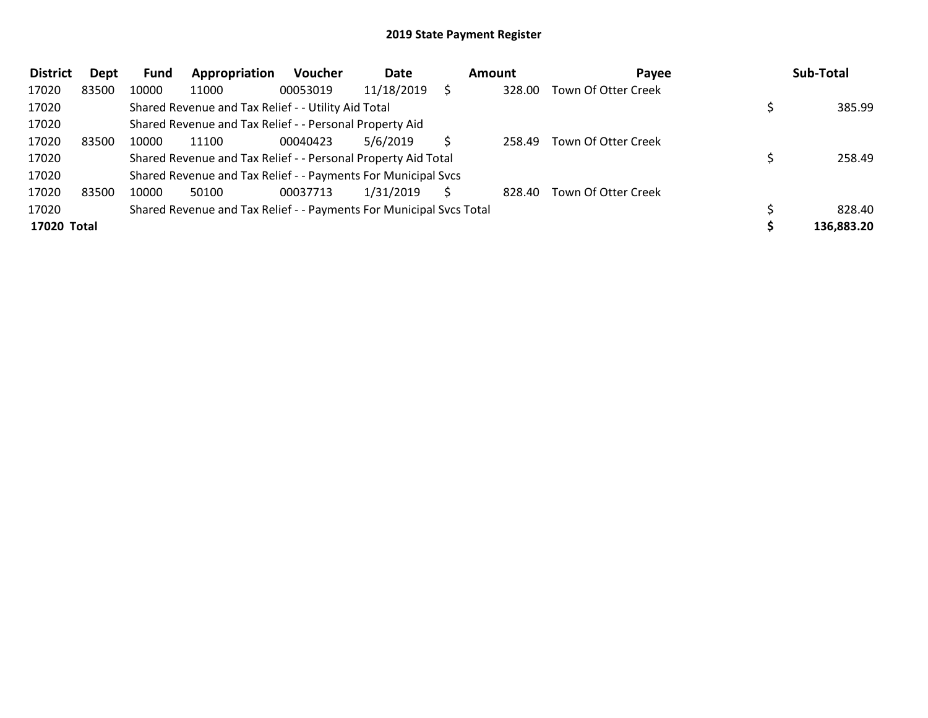| <b>District</b> | Dept  | <b>Fund</b> | Appropriation                                                       | <b>Voucher</b> | Date       | Amount | Payee                      | Sub-Total  |
|-----------------|-------|-------------|---------------------------------------------------------------------|----------------|------------|--------|----------------------------|------------|
| 17020           | 83500 | 10000       | 11000                                                               | 00053019       | 11/18/2019 | 328.00 | Town Of Otter Creek        |            |
| 17020           |       |             | Shared Revenue and Tax Relief - - Utility Aid Total                 |                |            |        |                            | 385.99     |
| 17020           |       |             | Shared Revenue and Tax Relief - - Personal Property Aid             |                |            |        |                            |            |
| 17020           | 83500 | 10000       | 11100                                                               | 00040423       | 5/6/2019   | 258.49 | <b>Town Of Otter Creek</b> |            |
| 17020           |       |             | Shared Revenue and Tax Relief - - Personal Property Aid Total       |                |            |        |                            | 258.49     |
| 17020           |       |             | Shared Revenue and Tax Relief - - Payments For Municipal Svcs       |                |            |        |                            |            |
| 17020           | 83500 | 10000       | 50100                                                               | 00037713       | 1/31/2019  | 828.40 | Town Of Otter Creek        |            |
| 17020           |       |             | Shared Revenue and Tax Relief - - Payments For Municipal Svcs Total |                |            |        |                            | 828.40     |
| 17020 Total     |       |             |                                                                     |                |            |        |                            | 136,883.20 |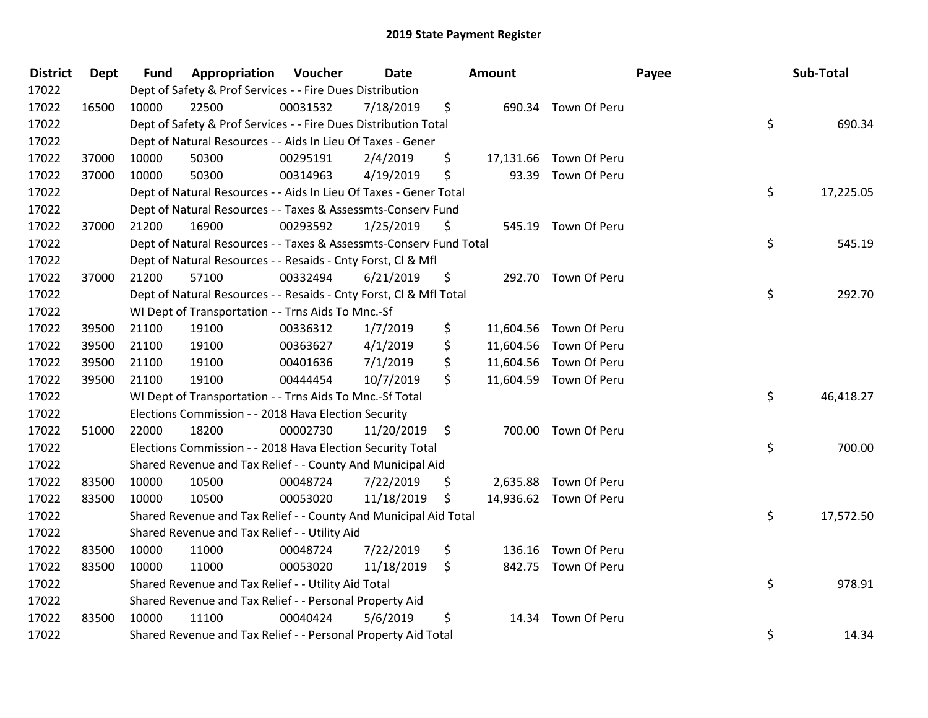| <b>District</b> | <b>Dept</b> | <b>Fund</b> | Appropriation                                                      | Voucher  | <b>Date</b> | <b>Amount</b> |                        | Payee | Sub-Total |
|-----------------|-------------|-------------|--------------------------------------------------------------------|----------|-------------|---------------|------------------------|-------|-----------|
| 17022           |             |             | Dept of Safety & Prof Services - - Fire Dues Distribution          |          |             |               |                        |       |           |
| 17022           | 16500       | 10000       | 22500                                                              | 00031532 | 7/18/2019   | \$            | 690.34 Town Of Peru    |       |           |
| 17022           |             |             | Dept of Safety & Prof Services - - Fire Dues Distribution Total    |          |             |               |                        | \$    | 690.34    |
| 17022           |             |             | Dept of Natural Resources - - Aids In Lieu Of Taxes - Gener        |          |             |               |                        |       |           |
| 17022           | 37000       | 10000       | 50300                                                              | 00295191 | 2/4/2019    | \$            | 17,131.66 Town Of Peru |       |           |
| 17022           | 37000       | 10000       | 50300                                                              | 00314963 | 4/19/2019   | \$            | 93.39 Town Of Peru     |       |           |
| 17022           |             |             | Dept of Natural Resources - - Aids In Lieu Of Taxes - Gener Total  |          |             |               |                        | \$    | 17,225.05 |
| 17022           |             |             | Dept of Natural Resources - - Taxes & Assessmts-Conserv Fund       |          |             |               |                        |       |           |
| 17022           | 37000       | 21200       | 16900                                                              | 00293592 | 1/25/2019   | \$            | 545.19 Town Of Peru    |       |           |
| 17022           |             |             | Dept of Natural Resources - - Taxes & Assessmts-Conserv Fund Total |          |             |               |                        | \$    | 545.19    |
| 17022           |             |             | Dept of Natural Resources - - Resaids - Cnty Forst, CI & Mfl       |          |             |               |                        |       |           |
| 17022           | 37000       | 21200       | 57100                                                              | 00332494 | 6/21/2019   | \$            | 292.70 Town Of Peru    |       |           |
| 17022           |             |             | Dept of Natural Resources - - Resaids - Cnty Forst, Cl & Mfl Total |          |             |               |                        | \$    | 292.70    |
| 17022           |             |             | WI Dept of Transportation - - Trns Aids To Mnc.-Sf                 |          |             |               |                        |       |           |
| 17022           | 39500       | 21100       | 19100                                                              | 00336312 | 1/7/2019    | \$            | 11,604.56 Town Of Peru |       |           |
| 17022           | 39500       | 21100       | 19100                                                              | 00363627 | 4/1/2019    | \$            | 11,604.56 Town Of Peru |       |           |
| 17022           | 39500       | 21100       | 19100                                                              | 00401636 | 7/1/2019    | \$            | 11,604.56 Town Of Peru |       |           |
| 17022           | 39500       | 21100       | 19100                                                              | 00444454 | 10/7/2019   | \$            | 11,604.59 Town Of Peru |       |           |
| 17022           |             |             | WI Dept of Transportation - - Trns Aids To Mnc.-Sf Total           |          |             |               |                        | \$    | 46,418.27 |
| 17022           |             |             | Elections Commission - - 2018 Hava Election Security               |          |             |               |                        |       |           |
| 17022           | 51000       | 22000       | 18200                                                              | 00002730 | 11/20/2019  | \$            | 700.00 Town Of Peru    |       |           |
| 17022           |             |             | Elections Commission - - 2018 Hava Election Security Total         |          |             |               |                        | \$    | 700.00    |
| 17022           |             |             | Shared Revenue and Tax Relief - - County And Municipal Aid         |          |             |               |                        |       |           |
| 17022           | 83500       | 10000       | 10500                                                              | 00048724 | 7/22/2019   | \$            | 2,635.88 Town Of Peru  |       |           |
| 17022           | 83500       | 10000       | 10500                                                              | 00053020 | 11/18/2019  | \$            | 14,936.62 Town Of Peru |       |           |
| 17022           |             |             | Shared Revenue and Tax Relief - - County And Municipal Aid Total   |          |             |               |                        | \$    | 17,572.50 |
| 17022           |             |             | Shared Revenue and Tax Relief - - Utility Aid                      |          |             |               |                        |       |           |
| 17022           | 83500       | 10000       | 11000                                                              | 00048724 | 7/22/2019   | \$<br>136.16  | Town Of Peru           |       |           |
| 17022           | 83500       | 10000       | 11000                                                              | 00053020 | 11/18/2019  | \$            | 842.75 Town Of Peru    |       |           |
| 17022           |             |             | Shared Revenue and Tax Relief - - Utility Aid Total                |          |             |               |                        | \$    | 978.91    |
| 17022           |             |             | Shared Revenue and Tax Relief - - Personal Property Aid            |          |             |               |                        |       |           |
| 17022           | 83500       | 10000       | 11100                                                              | 00040424 | 5/6/2019    | \$            | 14.34 Town Of Peru     |       |           |
| 17022           |             |             | Shared Revenue and Tax Relief - - Personal Property Aid Total      |          |             |               |                        | \$    | 14.34     |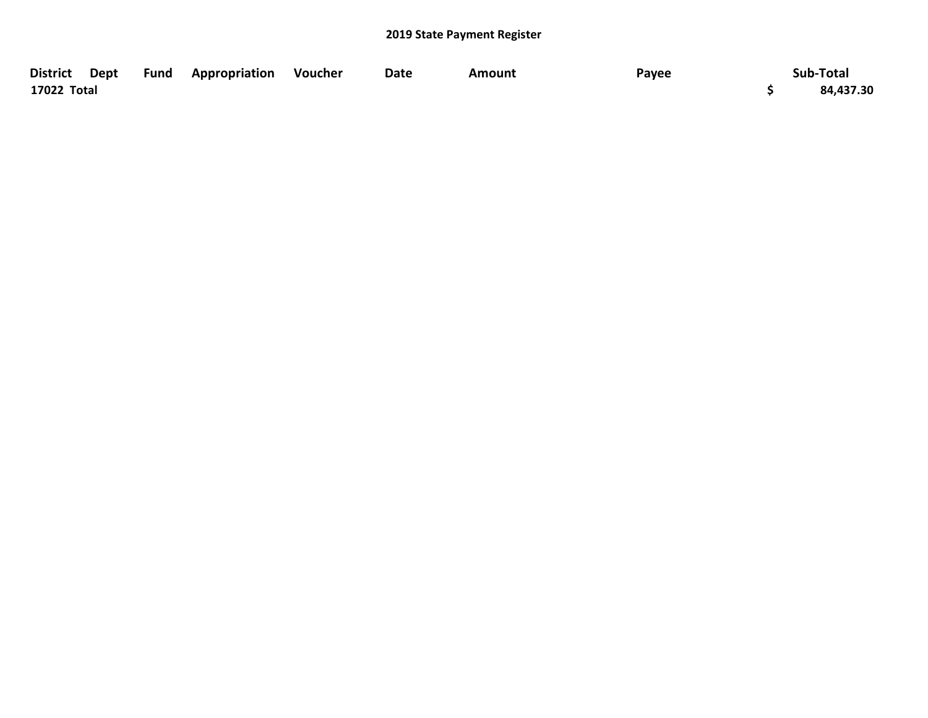| <b>District</b> | Dept Fund Appropriation Voucher | Date | <b>Amount</b> | Payee | Sub-Total |
|-----------------|---------------------------------|------|---------------|-------|-----------|
| 17022 Total     |                                 |      |               |       | 84,437.30 |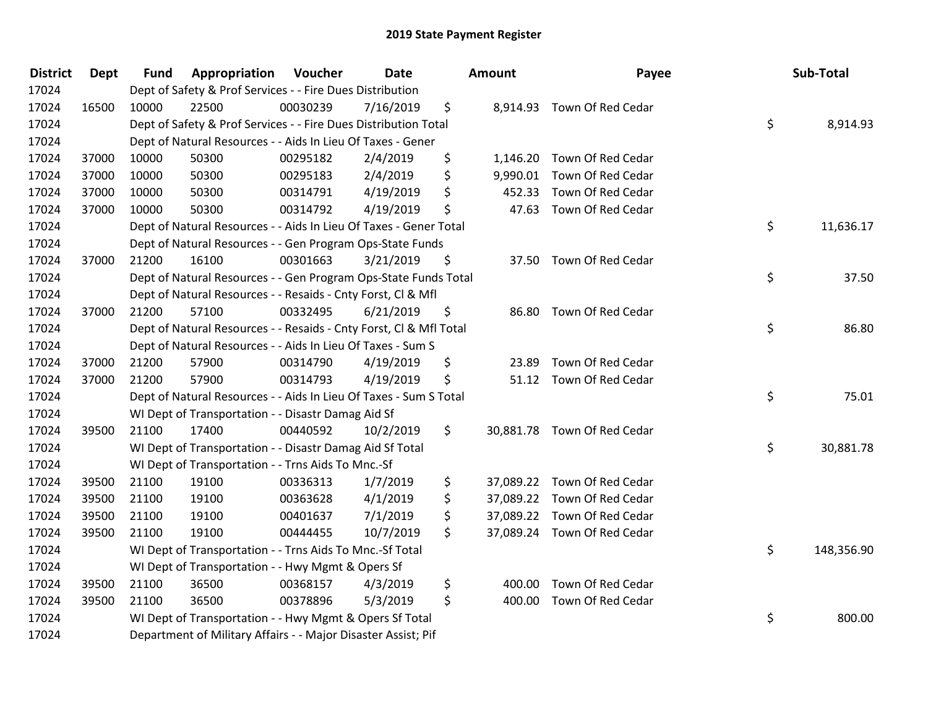| <b>District</b> | <b>Dept</b> | <b>Fund</b> | Appropriation                                                      | Voucher  | Date      | <b>Amount</b> | Payee                       | Sub-Total        |
|-----------------|-------------|-------------|--------------------------------------------------------------------|----------|-----------|---------------|-----------------------------|------------------|
| 17024           |             |             | Dept of Safety & Prof Services - - Fire Dues Distribution          |          |           |               |                             |                  |
| 17024           | 16500       | 10000       | 22500                                                              | 00030239 | 7/16/2019 | \$            | 8,914.93 Town Of Red Cedar  |                  |
| 17024           |             |             | Dept of Safety & Prof Services - - Fire Dues Distribution Total    |          |           |               |                             | \$<br>8,914.93   |
| 17024           |             |             | Dept of Natural Resources - - Aids In Lieu Of Taxes - Gener        |          |           |               |                             |                  |
| 17024           | 37000       | 10000       | 50300                                                              | 00295182 | 2/4/2019  | \$            | 1,146.20 Town Of Red Cedar  |                  |
| 17024           | 37000       | 10000       | 50300                                                              | 00295183 | 2/4/2019  | \$            | 9,990.01 Town Of Red Cedar  |                  |
| 17024           | 37000       | 10000       | 50300                                                              | 00314791 | 4/19/2019 | \$<br>452.33  | Town Of Red Cedar           |                  |
| 17024           | 37000       | 10000       | 50300                                                              | 00314792 | 4/19/2019 | \$            | 47.63 Town Of Red Cedar     |                  |
| 17024           |             |             | Dept of Natural Resources - - Aids In Lieu Of Taxes - Gener Total  |          |           |               |                             | \$<br>11,636.17  |
| 17024           |             |             | Dept of Natural Resources - - Gen Program Ops-State Funds          |          |           |               |                             |                  |
| 17024           | 37000       | 21200       | 16100                                                              | 00301663 | 3/21/2019 | \$            | 37.50 Town Of Red Cedar     |                  |
| 17024           |             |             | Dept of Natural Resources - - Gen Program Ops-State Funds Total    |          |           |               |                             | \$<br>37.50      |
| 17024           |             |             | Dept of Natural Resources - - Resaids - Cnty Forst, Cl & Mfl       |          |           |               |                             |                  |
| 17024           | 37000       | 21200       | 57100                                                              | 00332495 | 6/21/2019 | \$            | 86.80 Town Of Red Cedar     |                  |
| 17024           |             |             | Dept of Natural Resources - - Resaids - Cnty Forst, CI & Mfl Total |          |           |               |                             | \$<br>86.80      |
| 17024           |             |             | Dept of Natural Resources - - Aids In Lieu Of Taxes - Sum S        |          |           |               |                             |                  |
| 17024           | 37000       | 21200       | 57900                                                              | 00314790 | 4/19/2019 | \$<br>23.89   | Town Of Red Cedar           |                  |
| 17024           | 37000       | 21200       | 57900                                                              | 00314793 | 4/19/2019 | \$            | 51.12 Town Of Red Cedar     |                  |
| 17024           |             |             | Dept of Natural Resources - - Aids In Lieu Of Taxes - Sum S Total  |          |           |               |                             | \$<br>75.01      |
| 17024           |             |             | WI Dept of Transportation - - Disastr Damag Aid Sf                 |          |           |               |                             |                  |
| 17024           | 39500       | 21100       | 17400                                                              | 00440592 | 10/2/2019 | \$            | 30,881.78 Town Of Red Cedar |                  |
| 17024           |             |             | WI Dept of Transportation - - Disastr Damag Aid Sf Total           |          |           |               |                             | \$<br>30,881.78  |
| 17024           |             |             | WI Dept of Transportation - - Trns Aids To Mnc.-Sf                 |          |           |               |                             |                  |
| 17024           | 39500       | 21100       | 19100                                                              | 00336313 | 1/7/2019  | \$            | 37,089.22 Town Of Red Cedar |                  |
| 17024           | 39500       | 21100       | 19100                                                              | 00363628 | 4/1/2019  | \$            | 37,089.22 Town Of Red Cedar |                  |
| 17024           | 39500       | 21100       | 19100                                                              | 00401637 | 7/1/2019  | \$            | 37,089.22 Town Of Red Cedar |                  |
| 17024           | 39500       | 21100       | 19100                                                              | 00444455 | 10/7/2019 | \$            | 37,089.24 Town Of Red Cedar |                  |
| 17024           |             |             | WI Dept of Transportation - - Trns Aids To Mnc.-Sf Total           |          |           |               |                             | \$<br>148,356.90 |
| 17024           |             |             | WI Dept of Transportation - - Hwy Mgmt & Opers Sf                  |          |           |               |                             |                  |
| 17024           | 39500       | 21100       | 36500                                                              | 00368157 | 4/3/2019  | \$<br>400.00  | Town Of Red Cedar           |                  |
| 17024           | 39500       | 21100       | 36500                                                              | 00378896 | 5/3/2019  | \$            | 400.00 Town Of Red Cedar    |                  |
| 17024           |             |             | WI Dept of Transportation - - Hwy Mgmt & Opers Sf Total            |          |           |               |                             | \$<br>800.00     |
| 17024           |             |             | Department of Military Affairs - - Major Disaster Assist; Pif      |          |           |               |                             |                  |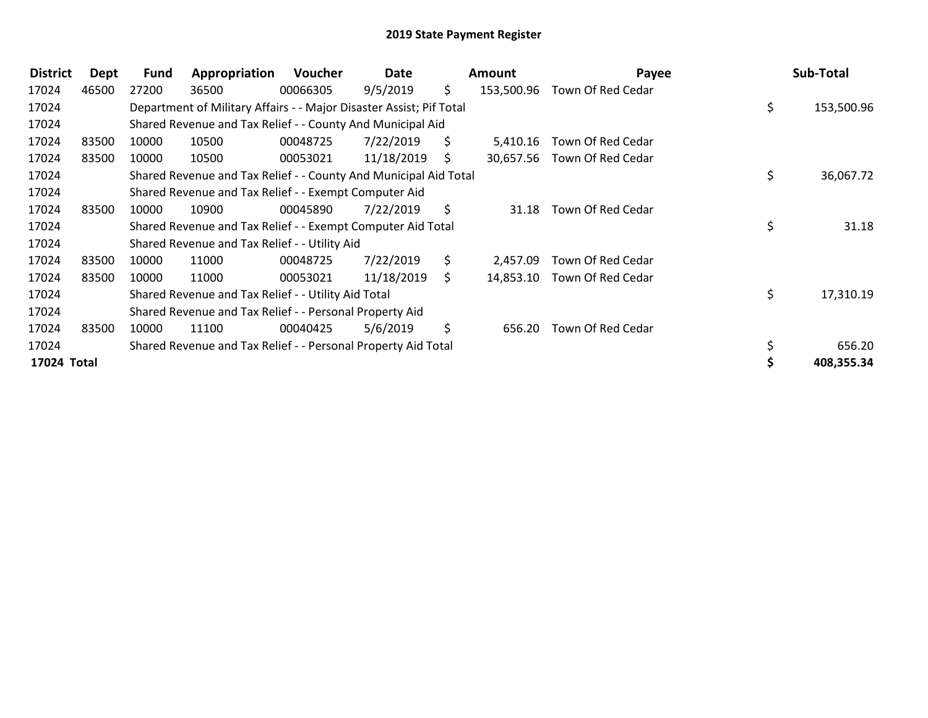| <b>District</b> | Dept  | <b>Fund</b> | Appropriation                                                       | Voucher  | Date       |    | Amount     | Payee             | Sub-Total        |
|-----------------|-------|-------------|---------------------------------------------------------------------|----------|------------|----|------------|-------------------|------------------|
| 17024           | 46500 | 27200       | 36500                                                               | 00066305 | 9/5/2019   | S. | 153,500.96 | Town Of Red Cedar |                  |
| 17024           |       |             | Department of Military Affairs - - Major Disaster Assist; Pif Total |          |            |    |            |                   | \$<br>153,500.96 |
| 17024           |       |             | Shared Revenue and Tax Relief - - County And Municipal Aid          |          |            |    |            |                   |                  |
| 17024           | 83500 | 10000       | 10500                                                               | 00048725 | 7/22/2019  | S. | 5,410.16   | Town Of Red Cedar |                  |
| 17024           | 83500 | 10000       | 10500                                                               | 00053021 | 11/18/2019 | S. | 30,657.56  | Town Of Red Cedar |                  |
| 17024           |       |             | Shared Revenue and Tax Relief - - County And Municipal Aid Total    |          |            |    |            |                   | \$<br>36,067.72  |
| 17024           |       |             | Shared Revenue and Tax Relief - - Exempt Computer Aid               |          |            |    |            |                   |                  |
| 17024           | 83500 | 10000       | 10900                                                               | 00045890 | 7/22/2019  | S. | 31.18      | Town Of Red Cedar |                  |
| 17024           |       |             | Shared Revenue and Tax Relief - - Exempt Computer Aid Total         |          |            |    |            |                   | \$<br>31.18      |
| 17024           |       |             | Shared Revenue and Tax Relief - - Utility Aid                       |          |            |    |            |                   |                  |
| 17024           | 83500 | 10000       | 11000                                                               | 00048725 | 7/22/2019  | S. | 2,457.09   | Town Of Red Cedar |                  |
| 17024           | 83500 | 10000       | 11000                                                               | 00053021 | 11/18/2019 | S. | 14,853.10  | Town Of Red Cedar |                  |
| 17024           |       |             | Shared Revenue and Tax Relief - - Utility Aid Total                 |          |            |    |            |                   | \$<br>17,310.19  |
| 17024           |       |             | Shared Revenue and Tax Relief - - Personal Property Aid             |          |            |    |            |                   |                  |
| 17024           | 83500 | 10000       | 11100                                                               | 00040425 | 5/6/2019   | \$ | 656.20     | Town Of Red Cedar |                  |
| 17024           |       |             | Shared Revenue and Tax Relief - - Personal Property Aid Total       |          |            |    |            |                   | 656.20           |
| 17024 Total     |       |             |                                                                     |          |            |    |            |                   | 408,355.34       |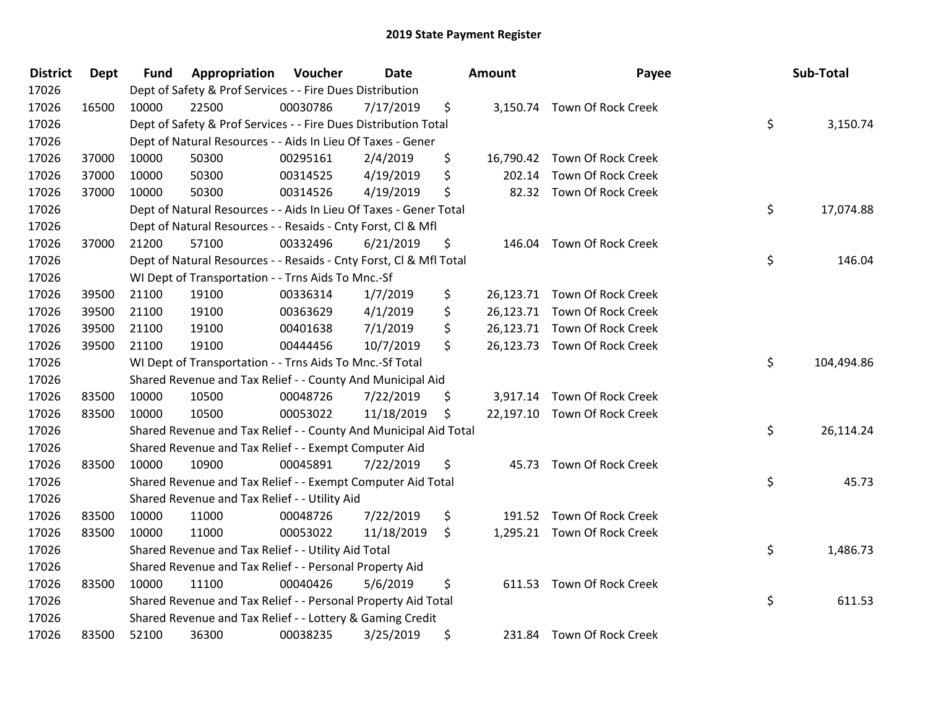| <b>District</b> | <b>Dept</b> | <b>Fund</b> | Appropriation                                                      | Voucher  | <b>Date</b> | <b>Amount</b> | Payee                        | Sub-Total        |
|-----------------|-------------|-------------|--------------------------------------------------------------------|----------|-------------|---------------|------------------------------|------------------|
| 17026           |             |             | Dept of Safety & Prof Services - - Fire Dues Distribution          |          |             |               |                              |                  |
| 17026           | 16500       | 10000       | 22500                                                              | 00030786 | 7/17/2019   | \$            | 3,150.74 Town Of Rock Creek  |                  |
| 17026           |             |             | Dept of Safety & Prof Services - - Fire Dues Distribution Total    |          |             |               |                              | \$<br>3,150.74   |
| 17026           |             |             | Dept of Natural Resources - - Aids In Lieu Of Taxes - Gener        |          |             |               |                              |                  |
| 17026           | 37000       | 10000       | 50300                                                              | 00295161 | 2/4/2019    | \$            | 16,790.42 Town Of Rock Creek |                  |
| 17026           | 37000       | 10000       | 50300                                                              | 00314525 | 4/19/2019   | \$<br>202.14  | Town Of Rock Creek           |                  |
| 17026           | 37000       | 10000       | 50300                                                              | 00314526 | 4/19/2019   | \$            | 82.32 Town Of Rock Creek     |                  |
| 17026           |             |             | Dept of Natural Resources - - Aids In Lieu Of Taxes - Gener Total  |          |             |               |                              | \$<br>17,074.88  |
| 17026           |             |             | Dept of Natural Resources - - Resaids - Cnty Forst, Cl & Mfl       |          |             |               |                              |                  |
| 17026           | 37000       | 21200       | 57100                                                              | 00332496 | 6/21/2019   | \$<br>146.04  | <b>Town Of Rock Creek</b>    |                  |
| 17026           |             |             | Dept of Natural Resources - - Resaids - Cnty Forst, Cl & Mfl Total |          |             |               |                              | \$<br>146.04     |
| 17026           |             |             | WI Dept of Transportation - - Trns Aids To Mnc.-Sf                 |          |             |               |                              |                  |
| 17026           | 39500       | 21100       | 19100                                                              | 00336314 | 1/7/2019    | \$            | 26,123.71 Town Of Rock Creek |                  |
| 17026           | 39500       | 21100       | 19100                                                              | 00363629 | 4/1/2019    | \$            | 26,123.71 Town Of Rock Creek |                  |
| 17026           | 39500       | 21100       | 19100                                                              | 00401638 | 7/1/2019    | \$            | 26,123.71 Town Of Rock Creek |                  |
| 17026           | 39500       | 21100       | 19100                                                              | 00444456 | 10/7/2019   | \$            | 26,123.73 Town Of Rock Creek |                  |
| 17026           |             |             | WI Dept of Transportation - - Trns Aids To Mnc.-Sf Total           |          |             |               |                              | \$<br>104,494.86 |
| 17026           |             |             | Shared Revenue and Tax Relief - - County And Municipal Aid         |          |             |               |                              |                  |
| 17026           | 83500       | 10000       | 10500                                                              | 00048726 | 7/22/2019   | \$            | 3,917.14 Town Of Rock Creek  |                  |
| 17026           | 83500       | 10000       | 10500                                                              | 00053022 | 11/18/2019  | \$            | 22,197.10 Town Of Rock Creek |                  |
| 17026           |             |             | Shared Revenue and Tax Relief - - County And Municipal Aid Total   |          |             |               |                              | \$<br>26,114.24  |
| 17026           |             |             | Shared Revenue and Tax Relief - - Exempt Computer Aid              |          |             |               |                              |                  |
| 17026           | 83500       | 10000       | 10900                                                              | 00045891 | 7/22/2019   | \$            | 45.73 Town Of Rock Creek     |                  |
| 17026           |             |             | Shared Revenue and Tax Relief - - Exempt Computer Aid Total        |          |             |               |                              | \$<br>45.73      |
| 17026           |             |             | Shared Revenue and Tax Relief - - Utility Aid                      |          |             |               |                              |                  |
| 17026           | 83500       | 10000       | 11000                                                              | 00048726 | 7/22/2019   | \$            | 191.52 Town Of Rock Creek    |                  |
| 17026           | 83500       | 10000       | 11000                                                              | 00053022 | 11/18/2019  | \$            | 1,295.21 Town Of Rock Creek  |                  |
| 17026           |             |             | Shared Revenue and Tax Relief - - Utility Aid Total                |          |             |               |                              | \$<br>1,486.73   |
| 17026           |             |             | Shared Revenue and Tax Relief - - Personal Property Aid            |          |             |               |                              |                  |
| 17026           | 83500       | 10000       | 11100                                                              | 00040426 | 5/6/2019    | \$            | 611.53 Town Of Rock Creek    |                  |
| 17026           |             |             | Shared Revenue and Tax Relief - - Personal Property Aid Total      |          |             |               |                              | \$<br>611.53     |
| 17026           |             |             | Shared Revenue and Tax Relief - - Lottery & Gaming Credit          |          |             |               |                              |                  |
| 17026           | 83500       | 52100       | 36300                                                              | 00038235 | 3/25/2019   | \$            | 231.84 Town Of Rock Creek    |                  |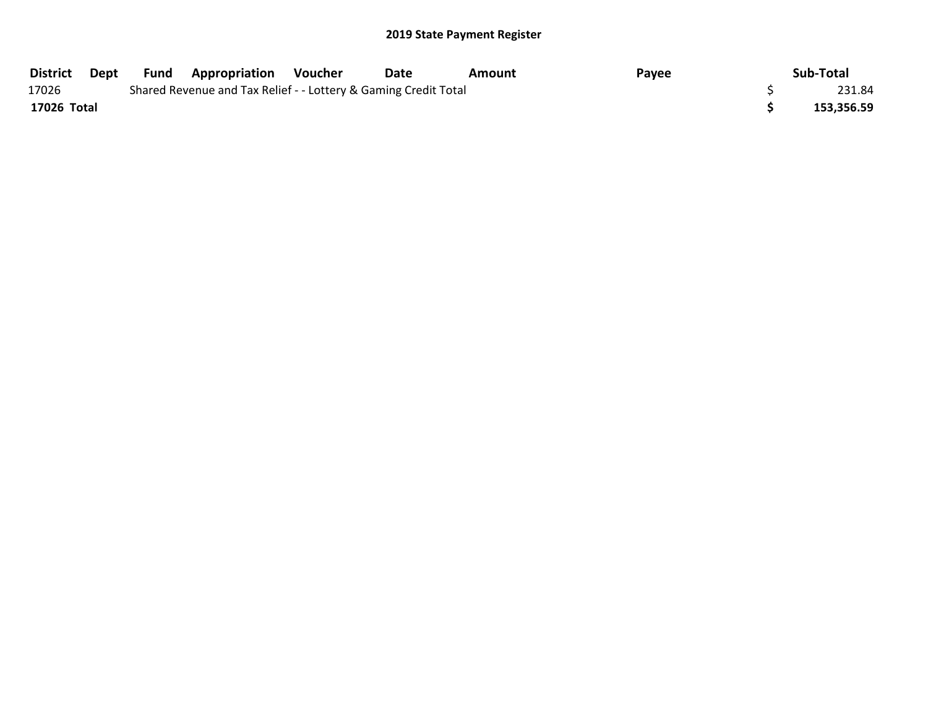| <b>District</b> | Dept | Fund | <b>Appropriation</b>                                            | Voucher | Date | Amount | Payee | Sub-Total  |
|-----------------|------|------|-----------------------------------------------------------------|---------|------|--------|-------|------------|
| 17026           |      |      | Shared Revenue and Tax Relief - - Lottery & Gaming Credit Total |         |      |        |       | 231.84     |
| 17026 Total     |      |      |                                                                 |         |      |        |       | 153,356.59 |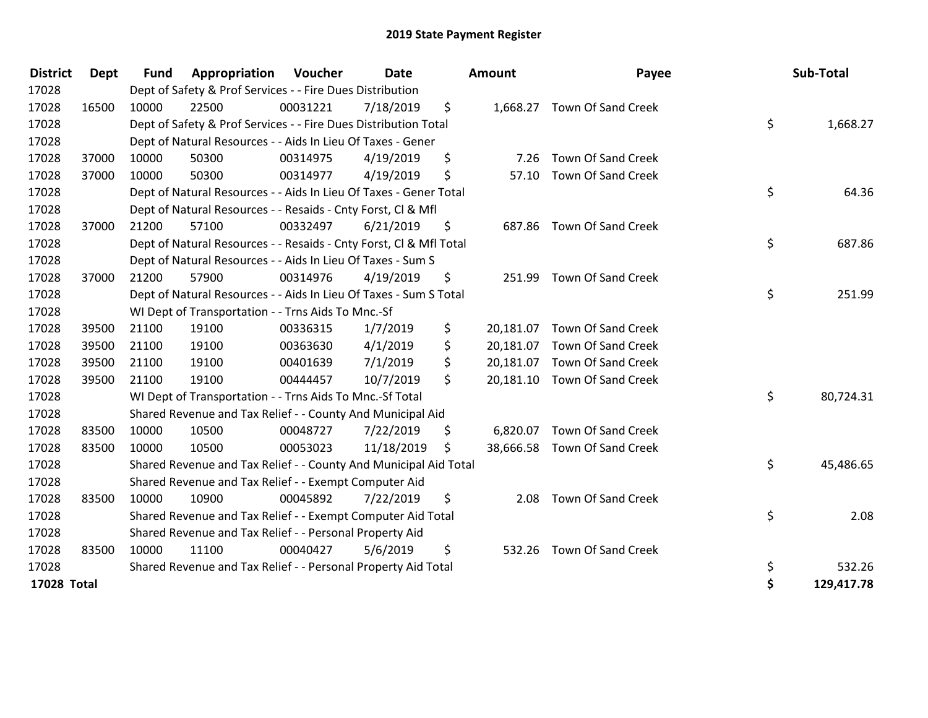| <b>District</b> | <b>Dept</b> | <b>Fund</b> | Appropriation                                                      | Voucher  | <b>Date</b> | <b>Amount</b>   | Payee                        | Sub-Total        |
|-----------------|-------------|-------------|--------------------------------------------------------------------|----------|-------------|-----------------|------------------------------|------------------|
| 17028           |             |             | Dept of Safety & Prof Services - - Fire Dues Distribution          |          |             |                 |                              |                  |
| 17028           | 16500       | 10000       | 22500                                                              | 00031221 | 7/18/2019   | \$              | 1,668.27 Town Of Sand Creek  |                  |
| 17028           |             |             | Dept of Safety & Prof Services - - Fire Dues Distribution Total    |          |             |                 |                              | \$<br>1,668.27   |
| 17028           |             |             | Dept of Natural Resources - - Aids In Lieu Of Taxes - Gener        |          |             |                 |                              |                  |
| 17028           | 37000       | 10000       | 50300                                                              | 00314975 | 4/19/2019   | \$<br>7.26      | <b>Town Of Sand Creek</b>    |                  |
| 17028           | 37000       | 10000       | 50300                                                              | 00314977 | 4/19/2019   | \$<br>57.10     | Town Of Sand Creek           |                  |
| 17028           |             |             | Dept of Natural Resources - - Aids In Lieu Of Taxes - Gener Total  |          |             |                 |                              | \$<br>64.36      |
| 17028           |             |             | Dept of Natural Resources - - Resaids - Cnty Forst, Cl & Mfl       |          |             |                 |                              |                  |
| 17028           | 37000       | 21200       | 57100                                                              | 00332497 | 6/21/2019   | \$<br>687.86    | <b>Town Of Sand Creek</b>    |                  |
| 17028           |             |             | Dept of Natural Resources - - Resaids - Cnty Forst, Cl & Mfl Total |          |             |                 |                              | \$<br>687.86     |
| 17028           |             |             | Dept of Natural Resources - - Aids In Lieu Of Taxes - Sum S        |          |             |                 |                              |                  |
| 17028           | 37000       | 21200       | 57900                                                              | 00314976 | 4/19/2019   | \$<br>251.99    | Town Of Sand Creek           |                  |
| 17028           |             |             | Dept of Natural Resources - - Aids In Lieu Of Taxes - Sum S Total  |          |             |                 |                              | \$<br>251.99     |
| 17028           |             |             | WI Dept of Transportation - - Trns Aids To Mnc.-Sf                 |          |             |                 |                              |                  |
| 17028           | 39500       | 21100       | 19100                                                              | 00336315 | 1/7/2019    | \$              | 20,181.07 Town Of Sand Creek |                  |
| 17028           | 39500       | 21100       | 19100                                                              | 00363630 | 4/1/2019    | \$<br>20,181.07 | Town Of Sand Creek           |                  |
| 17028           | 39500       | 21100       | 19100                                                              | 00401639 | 7/1/2019    | \$<br>20,181.07 | Town Of Sand Creek           |                  |
| 17028           | 39500       | 21100       | 19100                                                              | 00444457 | 10/7/2019   | \$              | 20,181.10 Town Of Sand Creek |                  |
| 17028           |             |             | WI Dept of Transportation - - Trns Aids To Mnc.-Sf Total           |          |             |                 |                              | \$<br>80,724.31  |
| 17028           |             |             | Shared Revenue and Tax Relief - - County And Municipal Aid         |          |             |                 |                              |                  |
| 17028           | 83500       | 10000       | 10500                                                              | 00048727 | 7/22/2019   | \$<br>6,820.07  | Town Of Sand Creek           |                  |
| 17028           | 83500       | 10000       | 10500                                                              | 00053023 | 11/18/2019  | \$              | 38,666.58 Town Of Sand Creek |                  |
| 17028           |             |             | Shared Revenue and Tax Relief - - County And Municipal Aid Total   |          |             |                 |                              | \$<br>45,486.65  |
| 17028           |             |             | Shared Revenue and Tax Relief - - Exempt Computer Aid              |          |             |                 |                              |                  |
| 17028           | 83500       | 10000       | 10900                                                              | 00045892 | 7/22/2019   | \$<br>2.08      | Town Of Sand Creek           |                  |
| 17028           |             |             | Shared Revenue and Tax Relief - - Exempt Computer Aid Total        |          |             |                 |                              | \$<br>2.08       |
| 17028           |             |             | Shared Revenue and Tax Relief - - Personal Property Aid            |          |             |                 |                              |                  |
| 17028           | 83500       | 10000       | 11100                                                              | 00040427 | 5/6/2019    | \$<br>532.26    | <b>Town Of Sand Creek</b>    |                  |
| 17028           |             |             | Shared Revenue and Tax Relief - - Personal Property Aid Total      |          |             |                 |                              | \$<br>532.26     |
| 17028 Total     |             |             |                                                                    |          |             |                 |                              | \$<br>129,417.78 |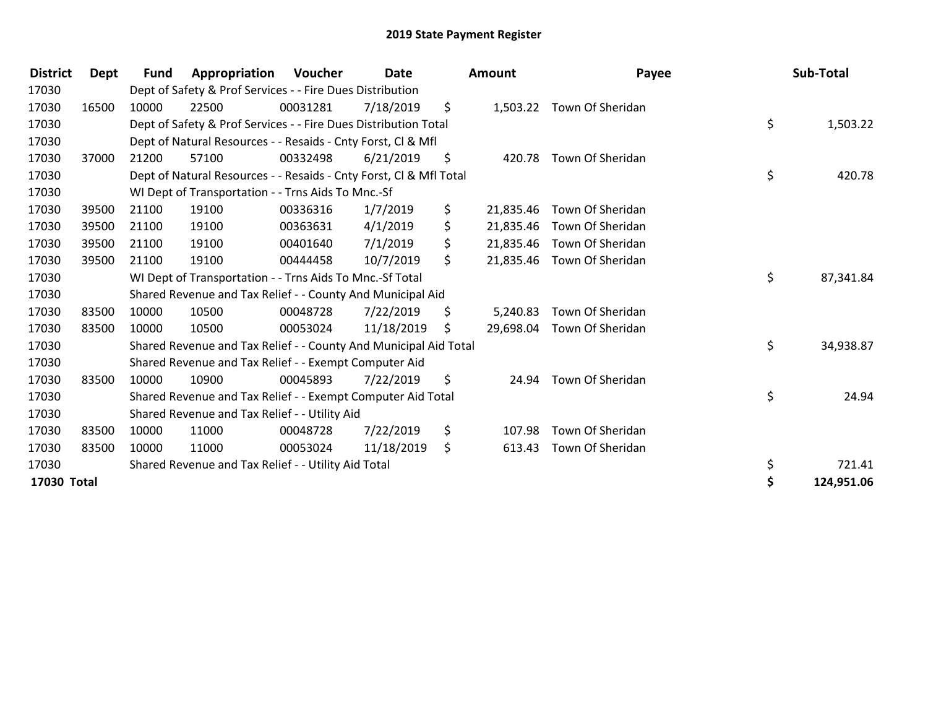| <b>District</b> | Dept  | Fund  | Appropriation                                                      | Voucher  | Date       |     | <b>Amount</b> | Payee                     | Sub-Total       |
|-----------------|-------|-------|--------------------------------------------------------------------|----------|------------|-----|---------------|---------------------------|-----------------|
| 17030           |       |       | Dept of Safety & Prof Services - - Fire Dues Distribution          |          |            |     |               |                           |                 |
| 17030           | 16500 | 10000 | 22500                                                              | 00031281 | 7/18/2019  | \$  |               | 1,503.22 Town Of Sheridan |                 |
| 17030           |       |       | Dept of Safety & Prof Services - - Fire Dues Distribution Total    |          |            |     |               |                           | \$<br>1,503.22  |
| 17030           |       |       | Dept of Natural Resources - - Resaids - Cnty Forst, CI & Mfl       |          |            |     |               |                           |                 |
| 17030           | 37000 | 21200 | 57100                                                              | 00332498 | 6/21/2019  | \$  | 420.78        | Town Of Sheridan          |                 |
| 17030           |       |       | Dept of Natural Resources - - Resaids - Cnty Forst, Cl & Mfl Total |          |            |     |               |                           | \$<br>420.78    |
| 17030           |       |       | WI Dept of Transportation - - Trns Aids To Mnc.-Sf                 |          |            |     |               |                           |                 |
| 17030           | 39500 | 21100 | 19100                                                              | 00336316 | 1/7/2019   | \$. | 21,835.46     | Town Of Sheridan          |                 |
| 17030           | 39500 | 21100 | 19100                                                              | 00363631 | 4/1/2019   | \$  | 21,835.46     | Town Of Sheridan          |                 |
| 17030           | 39500 | 21100 | 19100                                                              | 00401640 | 7/1/2019   | \$  | 21,835.46     | Town Of Sheridan          |                 |
| 17030           | 39500 | 21100 | 19100                                                              | 00444458 | 10/7/2019  | \$  | 21,835.46     | Town Of Sheridan          |                 |
| 17030           |       |       | WI Dept of Transportation - - Trns Aids To Mnc.-Sf Total           |          |            |     |               |                           | \$<br>87,341.84 |
| 17030           |       |       | Shared Revenue and Tax Relief - - County And Municipal Aid         |          |            |     |               |                           |                 |
| 17030           | 83500 | 10000 | 10500                                                              | 00048728 | 7/22/2019  | \$  | 5,240.83      | Town Of Sheridan          |                 |
| 17030           | 83500 | 10000 | 10500                                                              | 00053024 | 11/18/2019 | S.  | 29,698.04     | Town Of Sheridan          |                 |
| 17030           |       |       | Shared Revenue and Tax Relief - - County And Municipal Aid Total   |          |            |     |               |                           | \$<br>34,938.87 |
| 17030           |       |       | Shared Revenue and Tax Relief - - Exempt Computer Aid              |          |            |     |               |                           |                 |
| 17030           | 83500 | 10000 | 10900                                                              | 00045893 | 7/22/2019  | \$  | 24.94         | Town Of Sheridan          |                 |
| 17030           |       |       | Shared Revenue and Tax Relief - - Exempt Computer Aid Total        |          |            |     |               |                           | \$<br>24.94     |
| 17030           |       |       | Shared Revenue and Tax Relief - - Utility Aid                      |          |            |     |               |                           |                 |
| 17030           | 83500 | 10000 | 11000                                                              | 00048728 | 7/22/2019  | \$  | 107.98        | Town Of Sheridan          |                 |
| 17030           | 83500 | 10000 | 11000                                                              | 00053024 | 11/18/2019 | \$  | 613.43        | Town Of Sheridan          |                 |
| 17030           |       |       | Shared Revenue and Tax Relief - - Utility Aid Total                |          |            |     |               |                           | \$<br>721.41    |
| 17030 Total     |       |       |                                                                    |          |            |     |               |                           | 124,951.06      |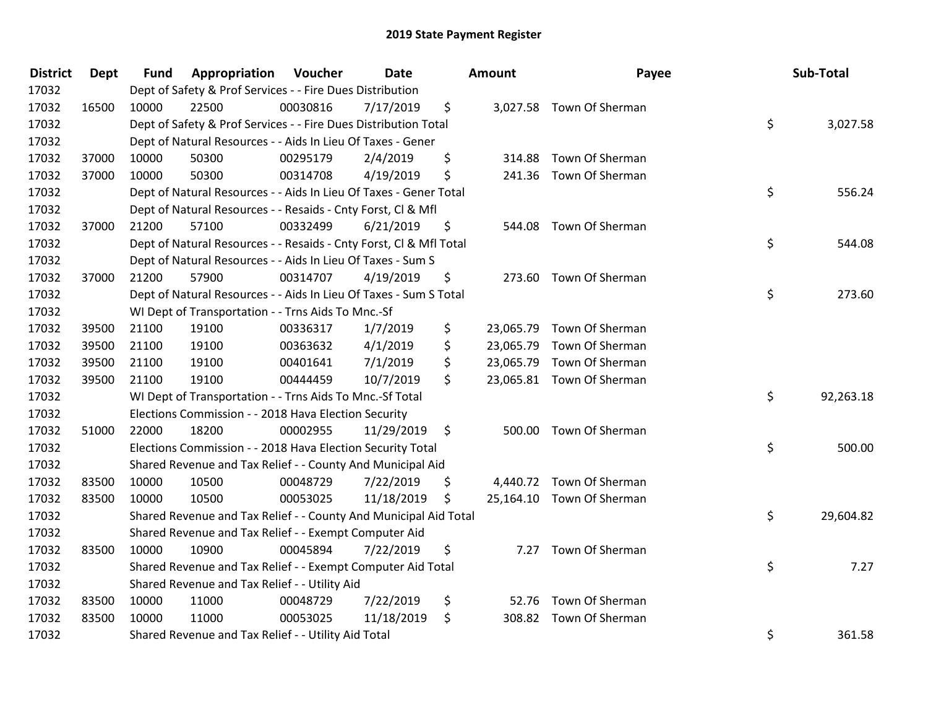| <b>District</b> | <b>Dept</b> | <b>Fund</b> | Appropriation                                                      | Voucher  | Date       | <b>Amount</b>   | Payee                     | Sub-Total       |
|-----------------|-------------|-------------|--------------------------------------------------------------------|----------|------------|-----------------|---------------------------|-----------------|
| 17032           |             |             | Dept of Safety & Prof Services - - Fire Dues Distribution          |          |            |                 |                           |                 |
| 17032           | 16500       | 10000       | 22500                                                              | 00030816 | 7/17/2019  | \$              | 3,027.58 Town Of Sherman  |                 |
| 17032           |             |             | Dept of Safety & Prof Services - - Fire Dues Distribution Total    |          |            |                 |                           | \$<br>3,027.58  |
| 17032           |             |             | Dept of Natural Resources - - Aids In Lieu Of Taxes - Gener        |          |            |                 |                           |                 |
| 17032           | 37000       | 10000       | 50300                                                              | 00295179 | 2/4/2019   | \$<br>314.88    | Town Of Sherman           |                 |
| 17032           | 37000       | 10000       | 50300                                                              | 00314708 | 4/19/2019  | \$              | 241.36 Town Of Sherman    |                 |
| 17032           |             |             | Dept of Natural Resources - - Aids In Lieu Of Taxes - Gener Total  |          |            |                 |                           | \$<br>556.24    |
| 17032           |             |             | Dept of Natural Resources - - Resaids - Cnty Forst, Cl & Mfl       |          |            |                 |                           |                 |
| 17032           | 37000       | 21200       | 57100                                                              | 00332499 | 6/21/2019  | \$<br>544.08    | Town Of Sherman           |                 |
| 17032           |             |             | Dept of Natural Resources - - Resaids - Cnty Forst, Cl & Mfl Total |          |            |                 |                           | \$<br>544.08    |
| 17032           |             |             | Dept of Natural Resources - - Aids In Lieu Of Taxes - Sum S        |          |            |                 |                           |                 |
| 17032           | 37000       | 21200       | 57900                                                              | 00314707 | 4/19/2019  | \$              | 273.60 Town Of Sherman    |                 |
| 17032           |             |             | Dept of Natural Resources - - Aids In Lieu Of Taxes - Sum S Total  |          |            |                 |                           | \$<br>273.60    |
| 17032           |             |             | WI Dept of Transportation - - Trns Aids To Mnc.-Sf                 |          |            |                 |                           |                 |
| 17032           | 39500       | 21100       | 19100                                                              | 00336317 | 1/7/2019   | \$<br>23,065.79 | Town Of Sherman           |                 |
| 17032           | 39500       | 21100       | 19100                                                              | 00363632 | 4/1/2019   | \$<br>23,065.79 | Town Of Sherman           |                 |
| 17032           | 39500       | 21100       | 19100                                                              | 00401641 | 7/1/2019   | \$<br>23,065.79 | Town Of Sherman           |                 |
| 17032           | 39500       | 21100       | 19100                                                              | 00444459 | 10/7/2019  | \$              | 23,065.81 Town Of Sherman |                 |
| 17032           |             |             | WI Dept of Transportation - - Trns Aids To Mnc.-Sf Total           |          |            |                 |                           | \$<br>92,263.18 |
| 17032           |             |             | Elections Commission - - 2018 Hava Election Security               |          |            |                 |                           |                 |
| 17032           | 51000       | 22000       | 18200                                                              | 00002955 | 11/29/2019 | \$              | 500.00 Town Of Sherman    |                 |
| 17032           |             |             | Elections Commission - - 2018 Hava Election Security Total         |          |            |                 |                           | \$<br>500.00    |
| 17032           |             |             | Shared Revenue and Tax Relief - - County And Municipal Aid         |          |            |                 |                           |                 |
| 17032           | 83500       | 10000       | 10500                                                              | 00048729 | 7/22/2019  | \$              | 4,440.72 Town Of Sherman  |                 |
| 17032           | 83500       | 10000       | 10500                                                              | 00053025 | 11/18/2019 | \$              | 25,164.10 Town Of Sherman |                 |
| 17032           |             |             | Shared Revenue and Tax Relief - - County And Municipal Aid Total   |          |            |                 |                           | \$<br>29,604.82 |
| 17032           |             |             | Shared Revenue and Tax Relief - - Exempt Computer Aid              |          |            |                 |                           |                 |
| 17032           | 83500       | 10000       | 10900                                                              | 00045894 | 7/22/2019  | \$<br>7.27      | Town Of Sherman           |                 |
| 17032           |             |             | Shared Revenue and Tax Relief - - Exempt Computer Aid Total        |          |            |                 |                           | \$<br>7.27      |
| 17032           |             |             | Shared Revenue and Tax Relief - - Utility Aid                      |          |            |                 |                           |                 |
| 17032           | 83500       | 10000       | 11000                                                              | 00048729 | 7/22/2019  | \$<br>52.76     | Town Of Sherman           |                 |
| 17032           | 83500       | 10000       | 11000                                                              | 00053025 | 11/18/2019 | \$              | 308.82 Town Of Sherman    |                 |
| 17032           |             |             | Shared Revenue and Tax Relief - - Utility Aid Total                |          |            |                 |                           | \$<br>361.58    |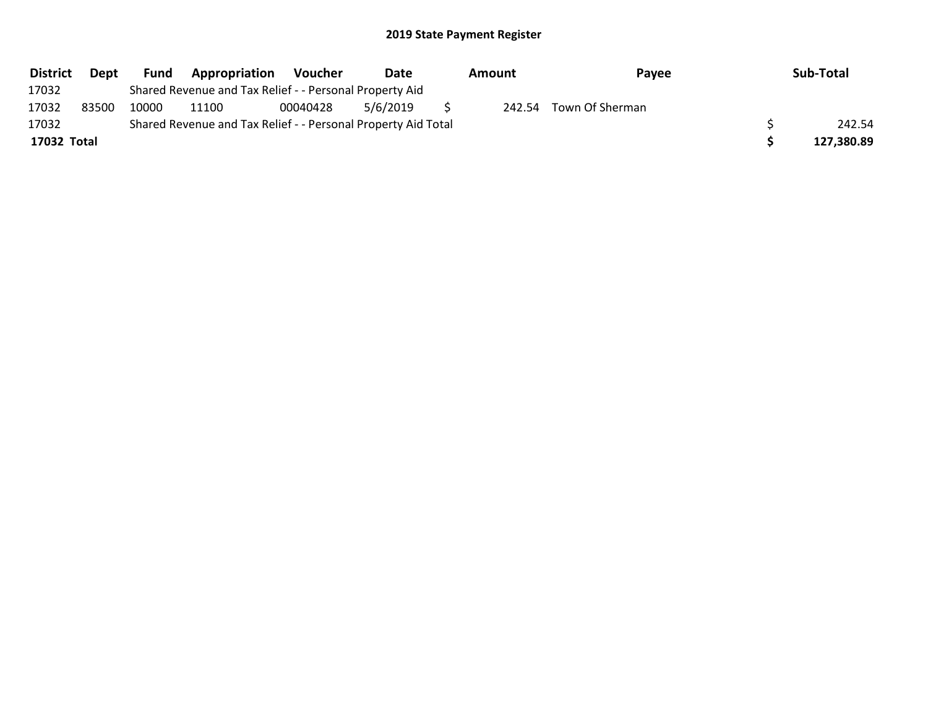| <b>District</b> | Dept  | <b>Fund</b> | Appropriation                                                 | <b>Voucher</b> | <b>Date</b> | Amount |  | Payee                  | Sub-Total  |
|-----------------|-------|-------------|---------------------------------------------------------------|----------------|-------------|--------|--|------------------------|------------|
| 17032           |       |             | Shared Revenue and Tax Relief - - Personal Property Aid       |                |             |        |  |                        |            |
| 17032           | 83500 | 10000       | 11100                                                         | 00040428       | 5/6/2019    |        |  | 242.54 Town Of Sherman |            |
| 17032           |       |             | Shared Revenue and Tax Relief - - Personal Property Aid Total |                |             |        |  |                        | 242.54     |
| 17032 Total     |       |             |                                                               |                |             |        |  |                        | 127,380.89 |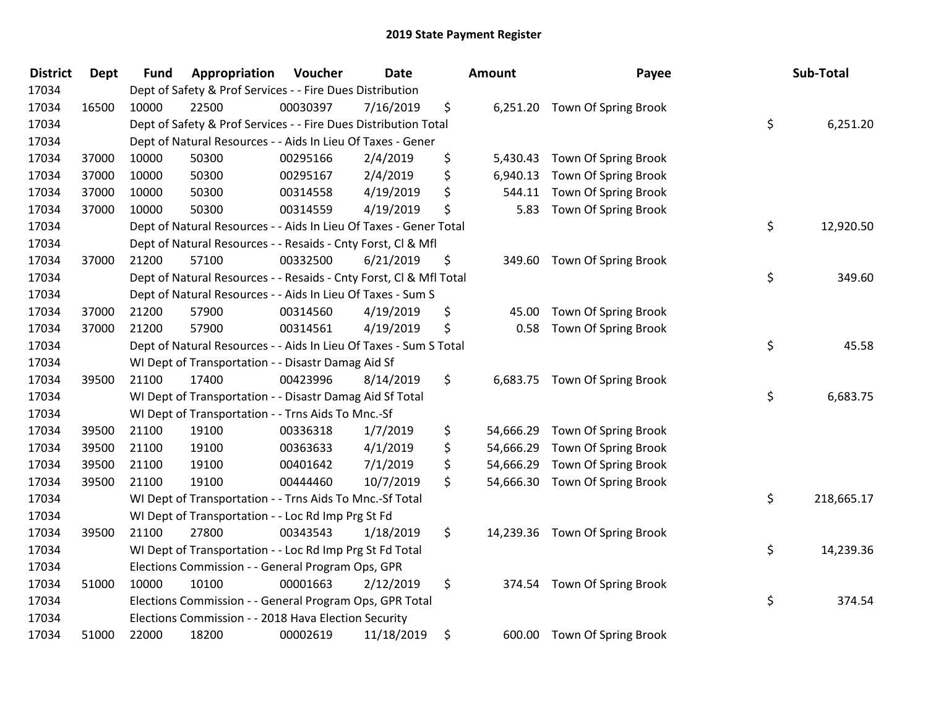| <b>District</b> | <b>Dept</b> | <b>Fund</b> | Appropriation                                                      | Voucher  | <b>Date</b> | Amount          | Payee                          | Sub-Total        |
|-----------------|-------------|-------------|--------------------------------------------------------------------|----------|-------------|-----------------|--------------------------------|------------------|
| 17034           |             |             | Dept of Safety & Prof Services - - Fire Dues Distribution          |          |             |                 |                                |                  |
| 17034           | 16500       | 10000       | 22500                                                              | 00030397 | 7/16/2019   | \$              | 6,251.20 Town Of Spring Brook  |                  |
| 17034           |             |             | Dept of Safety & Prof Services - - Fire Dues Distribution Total    |          |             |                 |                                | \$<br>6,251.20   |
| 17034           |             |             | Dept of Natural Resources - - Aids In Lieu Of Taxes - Gener        |          |             |                 |                                |                  |
| 17034           | 37000       | 10000       | 50300                                                              | 00295166 | 2/4/2019    | \$<br>5,430.43  | Town Of Spring Brook           |                  |
| 17034           | 37000       | 10000       | 50300                                                              | 00295167 | 2/4/2019    | \$<br>6,940.13  | Town Of Spring Brook           |                  |
| 17034           | 37000       | 10000       | 50300                                                              | 00314558 | 4/19/2019   | \$<br>544.11    | Town Of Spring Brook           |                  |
| 17034           | 37000       | 10000       | 50300                                                              | 00314559 | 4/19/2019   | \$<br>5.83      | Town Of Spring Brook           |                  |
| 17034           |             |             | Dept of Natural Resources - - Aids In Lieu Of Taxes - Gener Total  |          |             |                 |                                | \$<br>12,920.50  |
| 17034           |             |             | Dept of Natural Resources - - Resaids - Cnty Forst, Cl & Mfl       |          |             |                 |                                |                  |
| 17034           | 37000       | 21200       | 57100                                                              | 00332500 | 6/21/2019   | \$              | 349.60 Town Of Spring Brook    |                  |
| 17034           |             |             | Dept of Natural Resources - - Resaids - Cnty Forst, Cl & Mfl Total |          |             |                 |                                | \$<br>349.60     |
| 17034           |             |             | Dept of Natural Resources - - Aids In Lieu Of Taxes - Sum S        |          |             |                 |                                |                  |
| 17034           | 37000       | 21200       | 57900                                                              | 00314560 | 4/19/2019   | \$<br>45.00     | Town Of Spring Brook           |                  |
| 17034           | 37000       | 21200       | 57900                                                              | 00314561 | 4/19/2019   | \$<br>0.58      | Town Of Spring Brook           |                  |
| 17034           |             |             | Dept of Natural Resources - - Aids In Lieu Of Taxes - Sum S Total  |          |             |                 |                                | \$<br>45.58      |
| 17034           |             |             | WI Dept of Transportation - - Disastr Damag Aid Sf                 |          |             |                 |                                |                  |
| 17034           | 39500       | 21100       | 17400                                                              | 00423996 | 8/14/2019   | \$              | 6,683.75 Town Of Spring Brook  |                  |
| 17034           |             |             | WI Dept of Transportation - - Disastr Damag Aid Sf Total           |          |             |                 |                                | \$<br>6,683.75   |
| 17034           |             |             | WI Dept of Transportation - - Trns Aids To Mnc.-Sf                 |          |             |                 |                                |                  |
| 17034           | 39500       | 21100       | 19100                                                              | 00336318 | 1/7/2019    | \$<br>54,666.29 | Town Of Spring Brook           |                  |
| 17034           | 39500       | 21100       | 19100                                                              | 00363633 | 4/1/2019    | \$<br>54,666.29 | Town Of Spring Brook           |                  |
| 17034           | 39500       | 21100       | 19100                                                              | 00401642 | 7/1/2019    | \$<br>54,666.29 | Town Of Spring Brook           |                  |
| 17034           | 39500       | 21100       | 19100                                                              | 00444460 | 10/7/2019   | \$<br>54,666.30 | Town Of Spring Brook           |                  |
| 17034           |             |             | WI Dept of Transportation - - Trns Aids To Mnc.-Sf Total           |          |             |                 |                                | \$<br>218,665.17 |
| 17034           |             |             | WI Dept of Transportation - - Loc Rd Imp Prg St Fd                 |          |             |                 |                                |                  |
| 17034           | 39500       | 21100       | 27800                                                              | 00343543 | 1/18/2019   | \$              | 14,239.36 Town Of Spring Brook |                  |
| 17034           |             |             | WI Dept of Transportation - - Loc Rd Imp Prg St Fd Total           |          |             |                 |                                | \$<br>14,239.36  |
| 17034           |             |             | Elections Commission - - General Program Ops, GPR                  |          |             |                 |                                |                  |
| 17034           | 51000       | 10000       | 10100                                                              | 00001663 | 2/12/2019   | \$              | 374.54 Town Of Spring Brook    |                  |
| 17034           |             |             | Elections Commission - - General Program Ops, GPR Total            |          |             |                 |                                | \$<br>374.54     |
| 17034           |             |             | Elections Commission - - 2018 Hava Election Security               |          |             |                 |                                |                  |
| 17034           | 51000       | 22000       | 18200                                                              | 00002619 | 11/18/2019  | \$<br>600.00    | Town Of Spring Brook           |                  |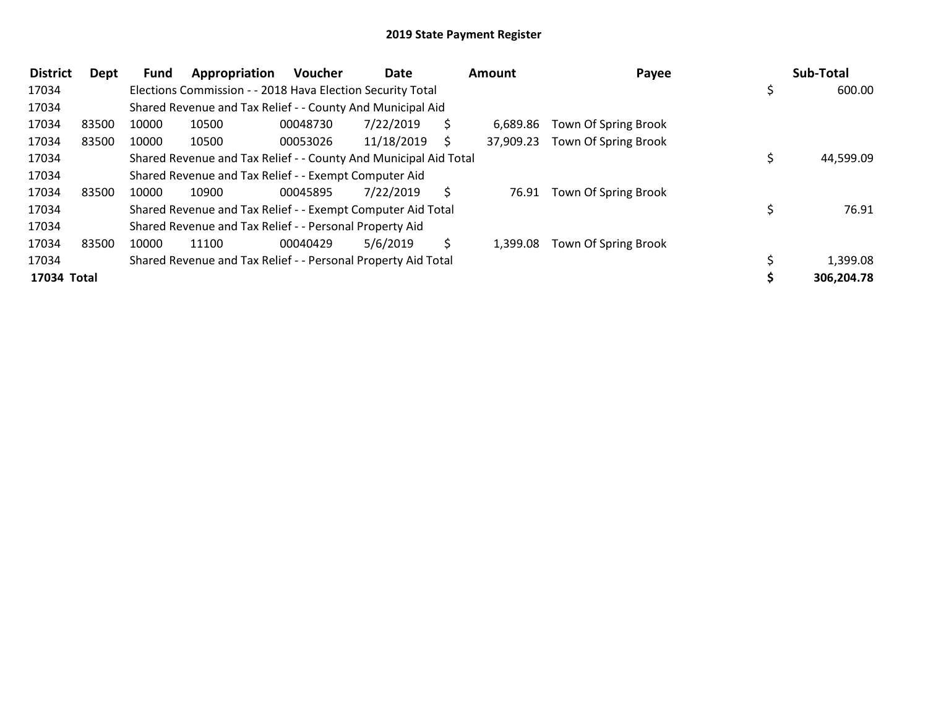| <b>District</b> | Dept  | <b>Fund</b> | Appropriation                                                    | <b>Voucher</b> | Date       |   | <b>Amount</b> | Payee                | <b>Sub-Total</b> |
|-----------------|-------|-------------|------------------------------------------------------------------|----------------|------------|---|---------------|----------------------|------------------|
| 17034           |       |             | Elections Commission - - 2018 Hava Election Security Total       |                |            |   |               |                      | \$<br>600.00     |
| 17034           |       |             | Shared Revenue and Tax Relief - - County And Municipal Aid       |                |            |   |               |                      |                  |
| 17034           | 83500 | 10000       | 10500                                                            | 00048730       | 7/22/2019  |   | 6.689.86      | Town Of Spring Brook |                  |
| 17034           | 83500 | 10000       | 10500                                                            | 00053026       | 11/18/2019 |   | 37,909.23     | Town Of Spring Brook |                  |
| 17034           |       |             | Shared Revenue and Tax Relief - - County And Municipal Aid Total |                |            |   |               |                      | 44,599.09        |
| 17034           |       |             | Shared Revenue and Tax Relief - - Exempt Computer Aid            |                |            |   |               |                      |                  |
| 17034           | 83500 | 10000       | 10900                                                            | 00045895       | 7/22/2019  |   | 76.91         | Town Of Spring Brook |                  |
| 17034           |       |             | Shared Revenue and Tax Relief - - Exempt Computer Aid Total      |                |            |   |               |                      | 76.91            |
| 17034           |       |             | Shared Revenue and Tax Relief - - Personal Property Aid          |                |            |   |               |                      |                  |
| 17034           | 83500 | 10000       | 11100                                                            | 00040429       | 5/6/2019   | Ś | 1,399.08      | Town Of Spring Brook |                  |
| 17034           |       |             | Shared Revenue and Tax Relief - - Personal Property Aid Total    |                |            |   |               |                      | 1,399.08         |
| 17034 Total     |       |             |                                                                  |                |            |   |               |                      | 306,204.78       |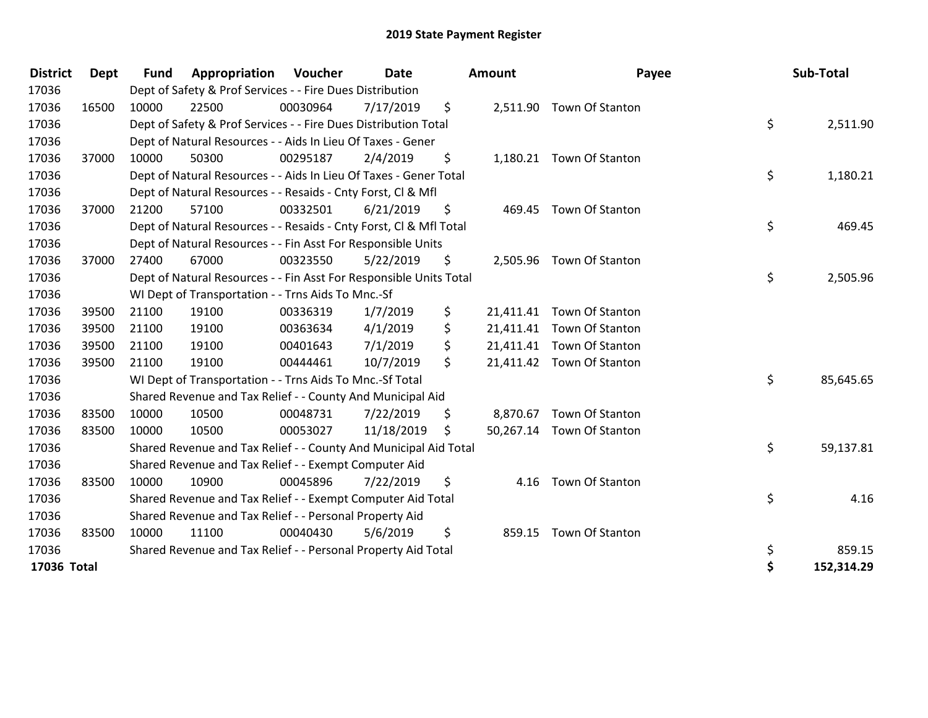| <b>District</b> | <b>Dept</b> | <b>Fund</b> | Appropriation                                                      | Voucher  | <b>Date</b> | <b>Amount</b>   | Payee                     | Sub-Total        |
|-----------------|-------------|-------------|--------------------------------------------------------------------|----------|-------------|-----------------|---------------------------|------------------|
| 17036           |             |             | Dept of Safety & Prof Services - - Fire Dues Distribution          |          |             |                 |                           |                  |
| 17036           | 16500       | 10000       | 22500                                                              | 00030964 | 7/17/2019   | \$              | 2,511.90 Town Of Stanton  |                  |
| 17036           |             |             | Dept of Safety & Prof Services - - Fire Dues Distribution Total    |          |             |                 |                           | \$<br>2,511.90   |
| 17036           |             |             | Dept of Natural Resources - - Aids In Lieu Of Taxes - Gener        |          |             |                 |                           |                  |
| 17036           | 37000       | 10000       | 50300                                                              | 00295187 | 2/4/2019    | \$              | 1,180.21 Town Of Stanton  |                  |
| 17036           |             |             | Dept of Natural Resources - - Aids In Lieu Of Taxes - Gener Total  |          |             |                 |                           | \$<br>1,180.21   |
| 17036           |             |             | Dept of Natural Resources - - Resaids - Cnty Forst, CI & Mfl       |          |             |                 |                           |                  |
| 17036           | 37000       | 21200       | 57100                                                              | 00332501 | 6/21/2019   | \$              | 469.45 Town Of Stanton    |                  |
| 17036           |             |             | Dept of Natural Resources - - Resaids - Cnty Forst, CI & Mfl Total |          |             |                 |                           | \$<br>469.45     |
| 17036           |             |             | Dept of Natural Resources - - Fin Asst For Responsible Units       |          |             |                 |                           |                  |
| 17036           | 37000       | 27400       | 67000                                                              | 00323550 | 5/22/2019   | \$              | 2,505.96 Town Of Stanton  |                  |
| 17036           |             |             | Dept of Natural Resources - - Fin Asst For Responsible Units Total |          |             |                 |                           | \$<br>2,505.96   |
| 17036           |             |             | WI Dept of Transportation - - Trns Aids To Mnc.-Sf                 |          |             |                 |                           |                  |
| 17036           | 39500       | 21100       | 19100                                                              | 00336319 | 1/7/2019    | \$<br>21,411.41 | Town Of Stanton           |                  |
| 17036           | 39500       | 21100       | 19100                                                              | 00363634 | 4/1/2019    | \$<br>21,411.41 | Town Of Stanton           |                  |
| 17036           | 39500       | 21100       | 19100                                                              | 00401643 | 7/1/2019    | \$<br>21,411.41 | Town Of Stanton           |                  |
| 17036           | 39500       | 21100       | 19100                                                              | 00444461 | 10/7/2019   | \$              | 21,411.42 Town Of Stanton |                  |
| 17036           |             |             | WI Dept of Transportation - - Trns Aids To Mnc.-Sf Total           |          |             |                 |                           | \$<br>85,645.65  |
| 17036           |             |             | Shared Revenue and Tax Relief - - County And Municipal Aid         |          |             |                 |                           |                  |
| 17036           | 83500       | 10000       | 10500                                                              | 00048731 | 7/22/2019   | \$<br>8,870.67  | Town Of Stanton           |                  |
| 17036           | 83500       | 10000       | 10500                                                              | 00053027 | 11/18/2019  | \$              | 50,267.14 Town Of Stanton |                  |
| 17036           |             |             | Shared Revenue and Tax Relief - - County And Municipal Aid Total   |          |             |                 |                           | \$<br>59,137.81  |
| 17036           |             |             | Shared Revenue and Tax Relief - - Exempt Computer Aid              |          |             |                 |                           |                  |
| 17036           | 83500       | 10000       | 10900                                                              | 00045896 | 7/22/2019   | \$<br>4.16      | Town Of Stanton           |                  |
| 17036           |             |             | Shared Revenue and Tax Relief - - Exempt Computer Aid Total        |          |             |                 |                           | \$<br>4.16       |
| 17036           |             |             | Shared Revenue and Tax Relief - - Personal Property Aid            |          |             |                 |                           |                  |
| 17036           | 83500       | 10000       | 11100                                                              | 00040430 | 5/6/2019    | \$<br>859.15    | Town Of Stanton           |                  |
| 17036           |             |             | Shared Revenue and Tax Relief - - Personal Property Aid Total      |          |             |                 |                           | \$<br>859.15     |
| 17036 Total     |             |             |                                                                    |          |             |                 |                           | \$<br>152,314.29 |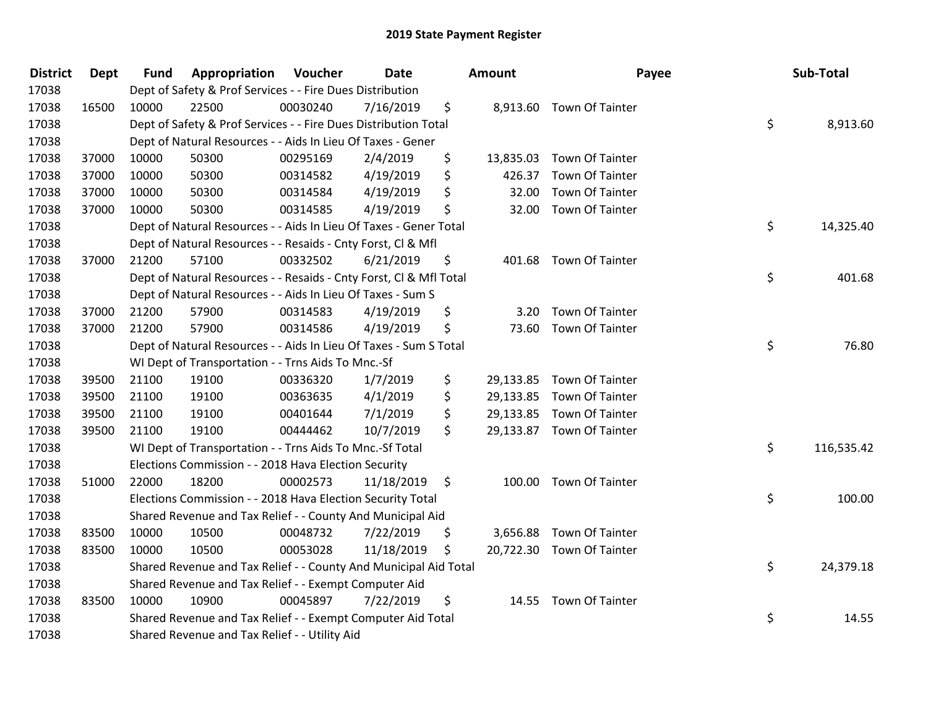| <b>District</b> | <b>Dept</b> | <b>Fund</b> | Appropriation                                                      | Voucher  | Date       | Amount          | Payee                     | Sub-Total        |
|-----------------|-------------|-------------|--------------------------------------------------------------------|----------|------------|-----------------|---------------------------|------------------|
| 17038           |             |             | Dept of Safety & Prof Services - - Fire Dues Distribution          |          |            |                 |                           |                  |
| 17038           | 16500       | 10000       | 22500                                                              | 00030240 | 7/16/2019  | \$              | 8,913.60 Town Of Tainter  |                  |
| 17038           |             |             | Dept of Safety & Prof Services - - Fire Dues Distribution Total    |          |            |                 |                           | \$<br>8,913.60   |
| 17038           |             |             | Dept of Natural Resources - - Aids In Lieu Of Taxes - Gener        |          |            |                 |                           |                  |
| 17038           | 37000       | 10000       | 50300                                                              | 00295169 | 2/4/2019   | \$              | 13,835.03 Town Of Tainter |                  |
| 17038           | 37000       | 10000       | 50300                                                              | 00314582 | 4/19/2019  | \$<br>426.37    | <b>Town Of Tainter</b>    |                  |
| 17038           | 37000       | 10000       | 50300                                                              | 00314584 | 4/19/2019  | \$<br>32.00     | <b>Town Of Tainter</b>    |                  |
| 17038           | 37000       | 10000       | 50300                                                              | 00314585 | 4/19/2019  | \$              | 32.00 Town Of Tainter     |                  |
| 17038           |             |             | Dept of Natural Resources - - Aids In Lieu Of Taxes - Gener Total  |          |            |                 |                           | \$<br>14,325.40  |
| 17038           |             |             | Dept of Natural Resources - - Resaids - Cnty Forst, Cl & Mfl       |          |            |                 |                           |                  |
| 17038           | 37000       | 21200       | 57100                                                              | 00332502 | 6/21/2019  | \$              | 401.68 Town Of Tainter    |                  |
| 17038           |             |             | Dept of Natural Resources - - Resaids - Cnty Forst, Cl & Mfl Total |          |            |                 |                           | \$<br>401.68     |
| 17038           |             |             | Dept of Natural Resources - - Aids In Lieu Of Taxes - Sum S        |          |            |                 |                           |                  |
| 17038           | 37000       | 21200       | 57900                                                              | 00314583 | 4/19/2019  | \$<br>3.20      | Town Of Tainter           |                  |
| 17038           | 37000       | 21200       | 57900                                                              | 00314586 | 4/19/2019  | \$              | 73.60 Town Of Tainter     |                  |
| 17038           |             |             | Dept of Natural Resources - - Aids In Lieu Of Taxes - Sum S Total  |          |            |                 |                           | \$<br>76.80      |
| 17038           |             |             | WI Dept of Transportation - - Trns Aids To Mnc.-Sf                 |          |            |                 |                           |                  |
| 17038           | 39500       | 21100       | 19100                                                              | 00336320 | 1/7/2019   | \$              | 29,133.85 Town Of Tainter |                  |
| 17038           | 39500       | 21100       | 19100                                                              | 00363635 | 4/1/2019   | \$<br>29,133.85 | <b>Town Of Tainter</b>    |                  |
| 17038           | 39500       | 21100       | 19100                                                              | 00401644 | 7/1/2019   | \$<br>29,133.85 | <b>Town Of Tainter</b>    |                  |
| 17038           | 39500       | 21100       | 19100                                                              | 00444462 | 10/7/2019  | \$              | 29,133.87 Town Of Tainter |                  |
| 17038           |             |             | WI Dept of Transportation - - Trns Aids To Mnc.-Sf Total           |          |            |                 |                           | \$<br>116,535.42 |
| 17038           |             |             | Elections Commission - - 2018 Hava Election Security               |          |            |                 |                           |                  |
| 17038           | 51000       | 22000       | 18200                                                              | 00002573 | 11/18/2019 | \$<br>100.00    | Town Of Tainter           |                  |
| 17038           |             |             | Elections Commission - - 2018 Hava Election Security Total         |          |            |                 |                           | \$<br>100.00     |
| 17038           |             |             | Shared Revenue and Tax Relief - - County And Municipal Aid         |          |            |                 |                           |                  |
| 17038           | 83500       | 10000       | 10500                                                              | 00048732 | 7/22/2019  | \$              | 3,656.88 Town Of Tainter  |                  |
| 17038           | 83500       | 10000       | 10500                                                              | 00053028 | 11/18/2019 | \$              | 20,722.30 Town Of Tainter |                  |
| 17038           |             |             | Shared Revenue and Tax Relief - - County And Municipal Aid Total   |          |            |                 |                           | \$<br>24,379.18  |
| 17038           |             |             | Shared Revenue and Tax Relief - - Exempt Computer Aid              |          |            |                 |                           |                  |
| 17038           | 83500       | 10000       | 10900                                                              | 00045897 | 7/22/2019  | \$              | 14.55 Town Of Tainter     |                  |
| 17038           |             |             | Shared Revenue and Tax Relief - - Exempt Computer Aid Total        |          |            |                 |                           | \$<br>14.55      |
| 17038           |             |             | Shared Revenue and Tax Relief - - Utility Aid                      |          |            |                 |                           |                  |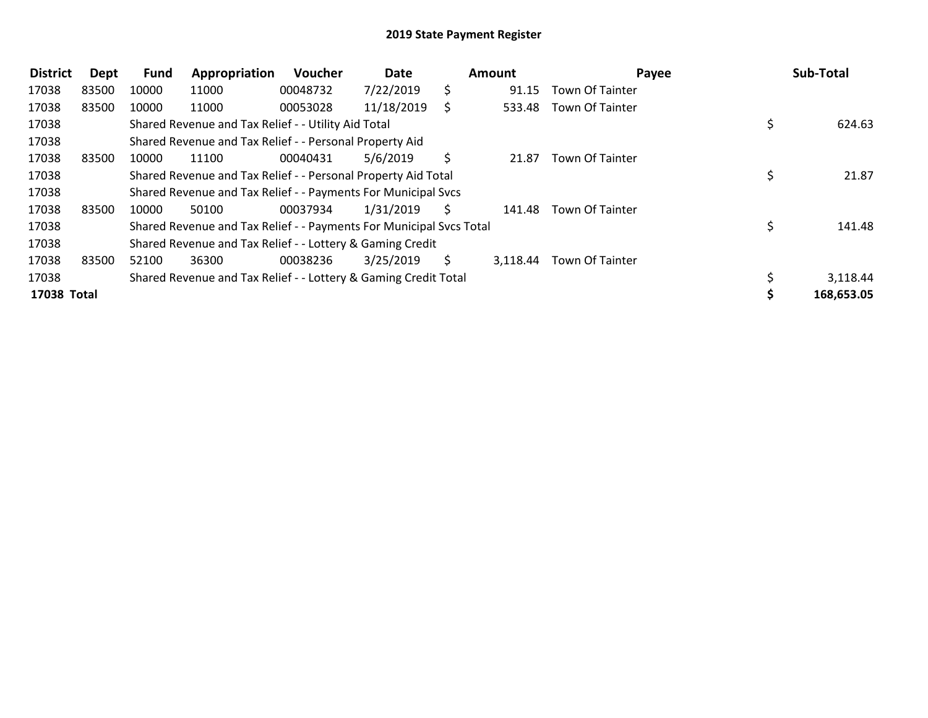| <b>District</b> | Dept  | <b>Fund</b> | Appropriation                                                       | <b>Voucher</b> | Date       |    | <b>Amount</b> | Payee                  | Sub-Total    |
|-----------------|-------|-------------|---------------------------------------------------------------------|----------------|------------|----|---------------|------------------------|--------------|
| 17038           | 83500 | 10000       | 11000                                                               | 00048732       | 7/22/2019  | S  | 91.15         | <b>Town Of Tainter</b> |              |
| 17038           | 83500 | 10000       | 11000                                                               | 00053028       | 11/18/2019 | S  | 533.48        | Town Of Tainter        |              |
| 17038           |       |             | Shared Revenue and Tax Relief - - Utility Aid Total                 |                |            |    |               |                        | \$<br>624.63 |
| 17038           |       |             | Shared Revenue and Tax Relief - - Personal Property Aid             |                |            |    |               |                        |              |
| 17038           | 83500 | 10000       | 11100                                                               | 00040431       | 5/6/2019   | S. | 21.87         | <b>Town Of Tainter</b> |              |
| 17038           |       |             | Shared Revenue and Tax Relief - - Personal Property Aid Total       |                |            |    |               |                        | 21.87        |
| 17038           |       |             | Shared Revenue and Tax Relief - - Payments For Municipal Svcs       |                |            |    |               |                        |              |
| 17038           | 83500 | 10000       | 50100                                                               | 00037934       | 1/31/2019  | S  | 141.48        | <b>Town Of Tainter</b> |              |
| 17038           |       |             | Shared Revenue and Tax Relief - - Payments For Municipal Svcs Total |                |            |    |               |                        | 141.48       |
| 17038           |       |             | Shared Revenue and Tax Relief - - Lottery & Gaming Credit           |                |            |    |               |                        |              |
| 17038           | 83500 | 52100       | 36300                                                               | 00038236       | 3/25/2019  | S. | 3,118.44      | Town Of Tainter        |              |
| 17038           |       |             | Shared Revenue and Tax Relief - - Lottery & Gaming Credit Total     |                |            |    |               |                        | 3,118.44     |
| 17038 Total     |       |             |                                                                     |                |            |    |               |                        | 168,653.05   |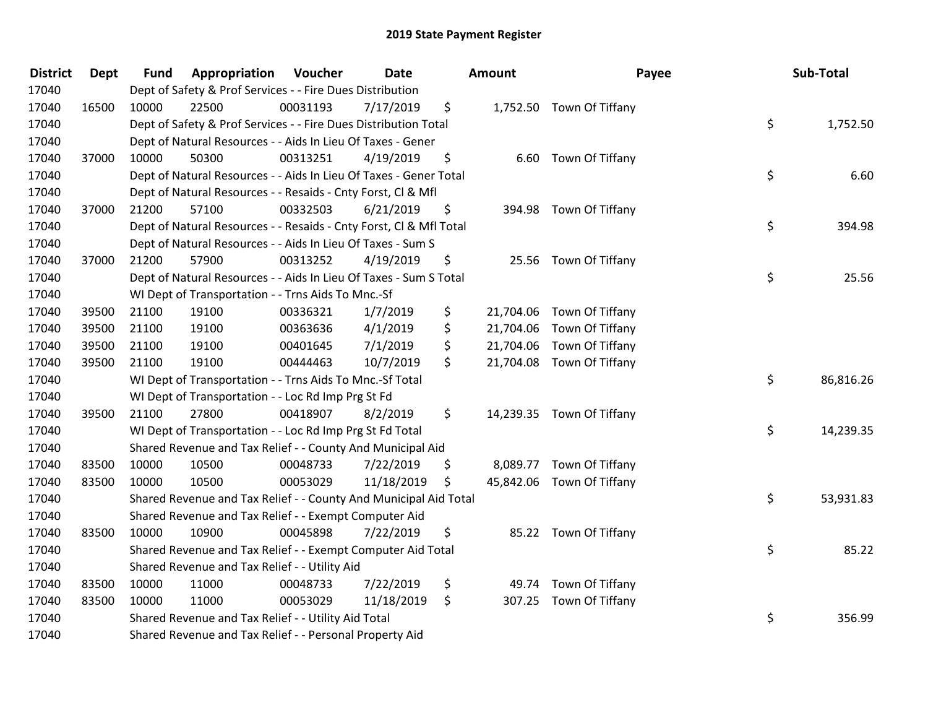| <b>District</b> | <b>Dept</b> | <b>Fund</b> | Appropriation                                                      | Voucher  | Date       | <b>Amount</b>   | Payee                     | Sub-Total       |
|-----------------|-------------|-------------|--------------------------------------------------------------------|----------|------------|-----------------|---------------------------|-----------------|
| 17040           |             |             | Dept of Safety & Prof Services - - Fire Dues Distribution          |          |            |                 |                           |                 |
| 17040           | 16500       | 10000       | 22500                                                              | 00031193 | 7/17/2019  | \$              | 1,752.50 Town Of Tiffany  |                 |
| 17040           |             |             | Dept of Safety & Prof Services - - Fire Dues Distribution Total    |          |            |                 |                           | \$<br>1,752.50  |
| 17040           |             |             | Dept of Natural Resources - - Aids In Lieu Of Taxes - Gener        |          |            |                 |                           |                 |
| 17040           | 37000       | 10000       | 50300                                                              | 00313251 | 4/19/2019  | \$              | 6.60 Town Of Tiffany      |                 |
| 17040           |             |             | Dept of Natural Resources - - Aids In Lieu Of Taxes - Gener Total  |          |            |                 |                           | \$<br>6.60      |
| 17040           |             |             | Dept of Natural Resources - - Resaids - Cnty Forst, Cl & Mfl       |          |            |                 |                           |                 |
| 17040           | 37000       | 21200       | 57100                                                              | 00332503 | 6/21/2019  | \$              | 394.98 Town Of Tiffany    |                 |
| 17040           |             |             | Dept of Natural Resources - - Resaids - Cnty Forst, CI & Mfl Total |          |            |                 |                           | \$<br>394.98    |
| 17040           |             |             | Dept of Natural Resources - - Aids In Lieu Of Taxes - Sum S        |          |            |                 |                           |                 |
| 17040           | 37000       | 21200       | 57900                                                              | 00313252 | 4/19/2019  | \$              | 25.56 Town Of Tiffany     |                 |
| 17040           |             |             | Dept of Natural Resources - - Aids In Lieu Of Taxes - Sum S Total  |          |            |                 |                           | \$<br>25.56     |
| 17040           |             |             | WI Dept of Transportation - - Trns Aids To Mnc.-Sf                 |          |            |                 |                           |                 |
| 17040           | 39500       | 21100       | 19100                                                              | 00336321 | 1/7/2019   | \$              | 21,704.06 Town Of Tiffany |                 |
| 17040           | 39500       | 21100       | 19100                                                              | 00363636 | 4/1/2019   | \$<br>21,704.06 | Town Of Tiffany           |                 |
| 17040           | 39500       | 21100       | 19100                                                              | 00401645 | 7/1/2019   | \$              | 21,704.06 Town Of Tiffany |                 |
| 17040           | 39500       | 21100       | 19100                                                              | 00444463 | 10/7/2019  | \$              | 21,704.08 Town Of Tiffany |                 |
| 17040           |             |             | WI Dept of Transportation - - Trns Aids To Mnc.-Sf Total           |          |            |                 |                           | \$<br>86,816.26 |
| 17040           |             |             | WI Dept of Transportation - - Loc Rd Imp Prg St Fd                 |          |            |                 |                           |                 |
| 17040           | 39500       | 21100       | 27800                                                              | 00418907 | 8/2/2019   | \$              | 14,239.35 Town Of Tiffany |                 |
| 17040           |             |             | WI Dept of Transportation - - Loc Rd Imp Prg St Fd Total           |          |            |                 |                           | \$<br>14,239.35 |
| 17040           |             |             | Shared Revenue and Tax Relief - - County And Municipal Aid         |          |            |                 |                           |                 |
| 17040           | 83500       | 10000       | 10500                                                              | 00048733 | 7/22/2019  | \$              | 8,089.77 Town Of Tiffany  |                 |
| 17040           | 83500       | 10000       | 10500                                                              | 00053029 | 11/18/2019 | \$              | 45,842.06 Town Of Tiffany |                 |
| 17040           |             |             | Shared Revenue and Tax Relief - - County And Municipal Aid Total   |          |            |                 |                           | \$<br>53,931.83 |
| 17040           |             |             | Shared Revenue and Tax Relief - - Exempt Computer Aid              |          |            |                 |                           |                 |
| 17040           | 83500       | 10000       | 10900                                                              | 00045898 | 7/22/2019  | \$              | 85.22 Town Of Tiffany     |                 |
| 17040           |             |             | Shared Revenue and Tax Relief - - Exempt Computer Aid Total        |          |            |                 |                           | \$<br>85.22     |
| 17040           |             |             | Shared Revenue and Tax Relief - - Utility Aid                      |          |            |                 |                           |                 |
| 17040           | 83500       | 10000       | 11000                                                              | 00048733 | 7/22/2019  | \$              | 49.74 Town Of Tiffany     |                 |
| 17040           | 83500       | 10000       | 11000                                                              | 00053029 | 11/18/2019 | \$<br>307.25    | Town Of Tiffany           |                 |
| 17040           |             |             | Shared Revenue and Tax Relief - - Utility Aid Total                |          |            |                 |                           | \$<br>356.99    |
| 17040           |             |             | Shared Revenue and Tax Relief - - Personal Property Aid            |          |            |                 |                           |                 |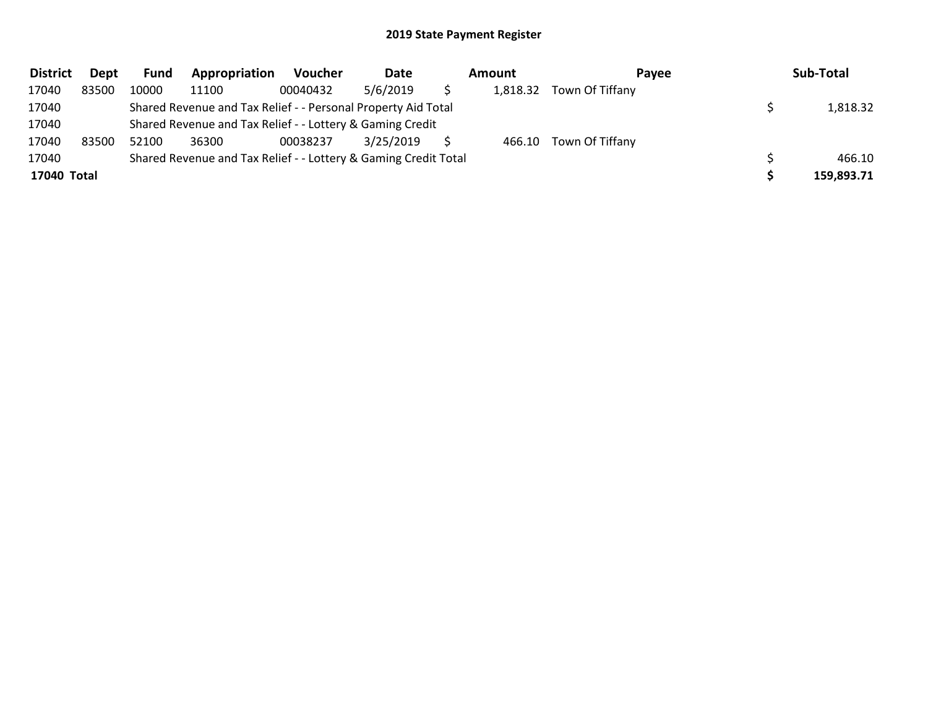| <b>District</b> | Dept  | Fund  | Appropriation                                                   | <b>Voucher</b> | Date      | Amount   | Pavee           | Sub-Total  |
|-----------------|-------|-------|-----------------------------------------------------------------|----------------|-----------|----------|-----------------|------------|
| 17040           | 83500 | 10000 | 11100                                                           | 00040432       | 5/6/2019  | 1,818.32 | Town Of Tiffany |            |
| 17040           |       |       | Shared Revenue and Tax Relief - - Personal Property Aid Total   |                |           |          |                 | 1,818.32   |
| 17040           |       |       | Shared Revenue and Tax Relief - - Lottery & Gaming Credit       |                |           |          |                 |            |
| 17040           | 83500 | 52100 | 36300                                                           | 00038237       | 3/25/2019 | 466.10   | Town Of Tiffany |            |
| 17040           |       |       | Shared Revenue and Tax Relief - - Lottery & Gaming Credit Total |                |           |          |                 | 466.10     |
| 17040 Total     |       |       |                                                                 |                |           |          |                 | 159,893.71 |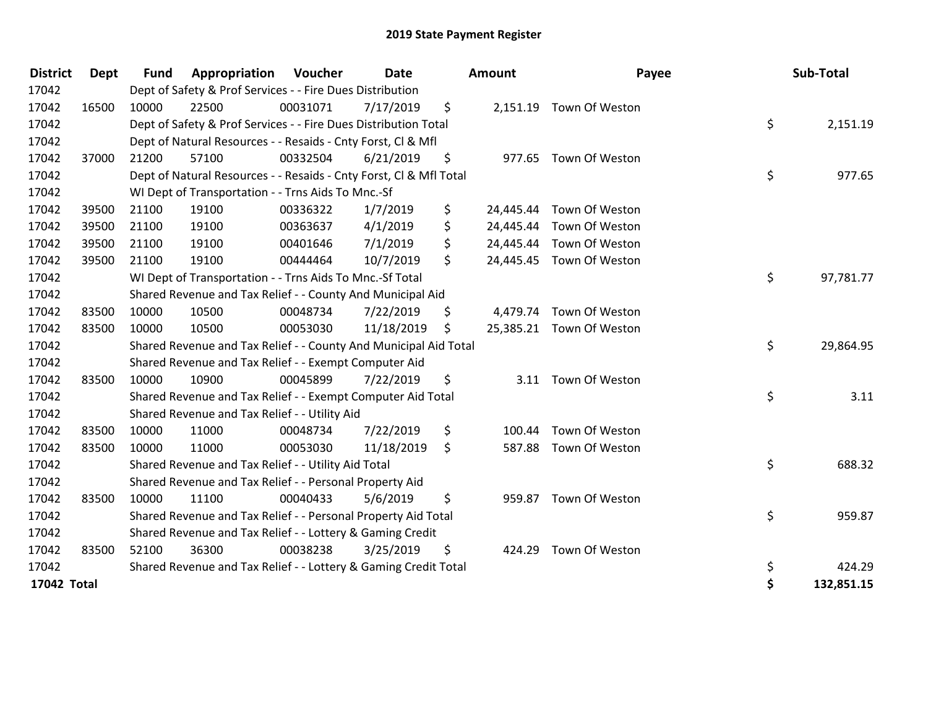| <b>District</b> | <b>Dept</b> | <b>Fund</b> | Appropriation                                                      | Voucher  | Date       |     | <b>Amount</b> | Payee                    | Sub-Total        |
|-----------------|-------------|-------------|--------------------------------------------------------------------|----------|------------|-----|---------------|--------------------------|------------------|
| 17042           |             |             | Dept of Safety & Prof Services - - Fire Dues Distribution          |          |            |     |               |                          |                  |
| 17042           | 16500       | 10000       | 22500                                                              | 00031071 | 7/17/2019  | \$  |               | 2,151.19 Town Of Weston  |                  |
| 17042           |             |             | Dept of Safety & Prof Services - - Fire Dues Distribution Total    |          |            |     |               |                          | \$<br>2,151.19   |
| 17042           |             |             | Dept of Natural Resources - - Resaids - Cnty Forst, CI & Mfl       |          |            |     |               |                          |                  |
| 17042           | 37000       | 21200       | 57100                                                              | 00332504 | 6/21/2019  | \$. |               | 977.65 Town Of Weston    |                  |
| 17042           |             |             | Dept of Natural Resources - - Resaids - Cnty Forst, Cl & Mfl Total |          |            |     |               |                          | \$<br>977.65     |
| 17042           |             |             | WI Dept of Transportation - - Trns Aids To Mnc.-Sf                 |          |            |     |               |                          |                  |
| 17042           | 39500       | 21100       | 19100                                                              | 00336322 | 1/7/2019   | \$  | 24,445.44     | Town Of Weston           |                  |
| 17042           | 39500       | 21100       | 19100                                                              | 00363637 | 4/1/2019   | \$  | 24,445.44     | Town Of Weston           |                  |
| 17042           | 39500       | 21100       | 19100                                                              | 00401646 | 7/1/2019   | \$  |               | 24,445.44 Town Of Weston |                  |
| 17042           | 39500       | 21100       | 19100                                                              | 00444464 | 10/7/2019  | \$  |               | 24,445.45 Town Of Weston |                  |
| 17042           |             |             | WI Dept of Transportation - - Trns Aids To Mnc.-Sf Total           |          |            |     |               |                          | \$<br>97,781.77  |
| 17042           |             |             | Shared Revenue and Tax Relief - - County And Municipal Aid         |          |            |     |               |                          |                  |
| 17042           | 83500       | 10000       | 10500                                                              | 00048734 | 7/22/2019  | \$  |               | 4,479.74 Town Of Weston  |                  |
| 17042           | 83500       | 10000       | 10500                                                              | 00053030 | 11/18/2019 | \$  |               | 25,385.21 Town Of Weston |                  |
| 17042           |             |             | Shared Revenue and Tax Relief - - County And Municipal Aid Total   |          |            |     |               |                          | \$<br>29,864.95  |
| 17042           |             |             | Shared Revenue and Tax Relief - - Exempt Computer Aid              |          |            |     |               |                          |                  |
| 17042           | 83500       | 10000       | 10900                                                              | 00045899 | 7/22/2019  | \$  |               | 3.11 Town Of Weston      |                  |
| 17042           |             |             | Shared Revenue and Tax Relief - - Exempt Computer Aid Total        |          |            |     |               |                          | \$<br>3.11       |
| 17042           |             |             | Shared Revenue and Tax Relief - - Utility Aid                      |          |            |     |               |                          |                  |
| 17042           | 83500       | 10000       | 11000                                                              | 00048734 | 7/22/2019  | \$  | 100.44        | Town Of Weston           |                  |
| 17042           | 83500       | 10000       | 11000                                                              | 00053030 | 11/18/2019 | \$  | 587.88        | Town Of Weston           |                  |
| 17042           |             |             | Shared Revenue and Tax Relief - - Utility Aid Total                |          |            |     |               |                          | \$<br>688.32     |
| 17042           |             |             | Shared Revenue and Tax Relief - - Personal Property Aid            |          |            |     |               |                          |                  |
| 17042           | 83500       | 10000       | 11100                                                              | 00040433 | 5/6/2019   | \$  |               | 959.87 Town Of Weston    |                  |
| 17042           |             |             | Shared Revenue and Tax Relief - - Personal Property Aid Total      |          |            |     |               |                          | \$<br>959.87     |
| 17042           |             |             | Shared Revenue and Tax Relief - - Lottery & Gaming Credit          |          |            |     |               |                          |                  |
| 17042           | 83500       | 52100       | 36300                                                              | 00038238 | 3/25/2019  | \$  |               | 424.29 Town Of Weston    |                  |
| 17042           |             |             | Shared Revenue and Tax Relief - - Lottery & Gaming Credit Total    |          |            |     |               |                          | \$<br>424.29     |
| 17042 Total     |             |             |                                                                    |          |            |     |               |                          | \$<br>132,851.15 |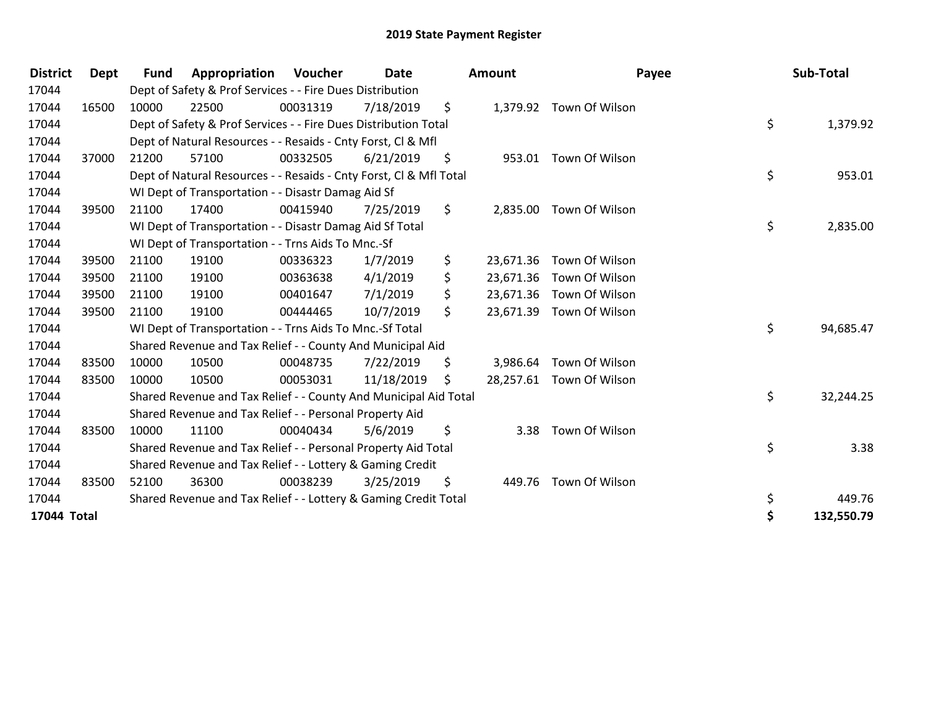| <b>District</b> | Dept  | Fund  | Appropriation                                                      | Voucher  | Date       |     | <b>Amount</b> | Payee                    | Sub-Total        |
|-----------------|-------|-------|--------------------------------------------------------------------|----------|------------|-----|---------------|--------------------------|------------------|
| 17044           |       |       | Dept of Safety & Prof Services - - Fire Dues Distribution          |          |            |     |               |                          |                  |
| 17044           | 16500 | 10000 | 22500                                                              | 00031319 | 7/18/2019  | \$  |               | 1,379.92 Town Of Wilson  |                  |
| 17044           |       |       | Dept of Safety & Prof Services - - Fire Dues Distribution Total    |          |            |     |               |                          | \$<br>1,379.92   |
| 17044           |       |       | Dept of Natural Resources - - Resaids - Cnty Forst, CI & Mfl       |          |            |     |               |                          |                  |
| 17044           | 37000 | 21200 | 57100                                                              | 00332505 | 6/21/2019  | \$  |               | 953.01 Town Of Wilson    |                  |
| 17044           |       |       | Dept of Natural Resources - - Resaids - Cnty Forst, Cl & Mfl Total |          |            |     |               |                          | \$<br>953.01     |
| 17044           |       |       | WI Dept of Transportation - - Disastr Damag Aid Sf                 |          |            |     |               |                          |                  |
| 17044           | 39500 | 21100 | 17400                                                              | 00415940 | 7/25/2019  | \$  |               | 2,835.00 Town Of Wilson  |                  |
| 17044           |       |       | WI Dept of Transportation - - Disastr Damag Aid Sf Total           |          |            |     |               |                          | \$<br>2,835.00   |
| 17044           |       |       | WI Dept of Transportation - - Trns Aids To Mnc.-Sf                 |          |            |     |               |                          |                  |
| 17044           | 39500 | 21100 | 19100                                                              | 00336323 | 1/7/2019   | \$  | 23,671.36     | Town Of Wilson           |                  |
| 17044           | 39500 | 21100 | 19100                                                              | 00363638 | 4/1/2019   | \$  | 23,671.36     | Town Of Wilson           |                  |
| 17044           | 39500 | 21100 | 19100                                                              | 00401647 | 7/1/2019   | \$  |               | 23,671.36 Town Of Wilson |                  |
| 17044           | 39500 | 21100 | 19100                                                              | 00444465 | 10/7/2019  | \$  | 23,671.39     | Town Of Wilson           |                  |
| 17044           |       |       | WI Dept of Transportation - - Trns Aids To Mnc.-Sf Total           |          |            |     |               |                          | \$<br>94,685.47  |
| 17044           |       |       | Shared Revenue and Tax Relief - - County And Municipal Aid         |          |            |     |               |                          |                  |
| 17044           | 83500 | 10000 | 10500                                                              | 00048735 | 7/22/2019  | \$  |               | 3,986.64 Town Of Wilson  |                  |
| 17044           | 83500 | 10000 | 10500                                                              | 00053031 | 11/18/2019 | \$. |               | 28,257.61 Town Of Wilson |                  |
| 17044           |       |       | Shared Revenue and Tax Relief - - County And Municipal Aid Total   |          |            |     |               |                          | \$<br>32,244.25  |
| 17044           |       |       | Shared Revenue and Tax Relief - - Personal Property Aid            |          |            |     |               |                          |                  |
| 17044           | 83500 | 10000 | 11100                                                              | 00040434 | 5/6/2019   | \$  | 3.38          | Town Of Wilson           |                  |
| 17044           |       |       | Shared Revenue and Tax Relief - - Personal Property Aid Total      |          |            |     |               |                          | \$<br>3.38       |
| 17044           |       |       | Shared Revenue and Tax Relief - - Lottery & Gaming Credit          |          |            |     |               |                          |                  |
| 17044           | 83500 | 52100 | 36300                                                              | 00038239 | 3/25/2019  | \$  |               | 449.76 Town Of Wilson    |                  |
| 17044           |       |       | Shared Revenue and Tax Relief - - Lottery & Gaming Credit Total    |          |            |     |               |                          | \$<br>449.76     |
| 17044 Total     |       |       |                                                                    |          |            |     |               |                          | \$<br>132,550.79 |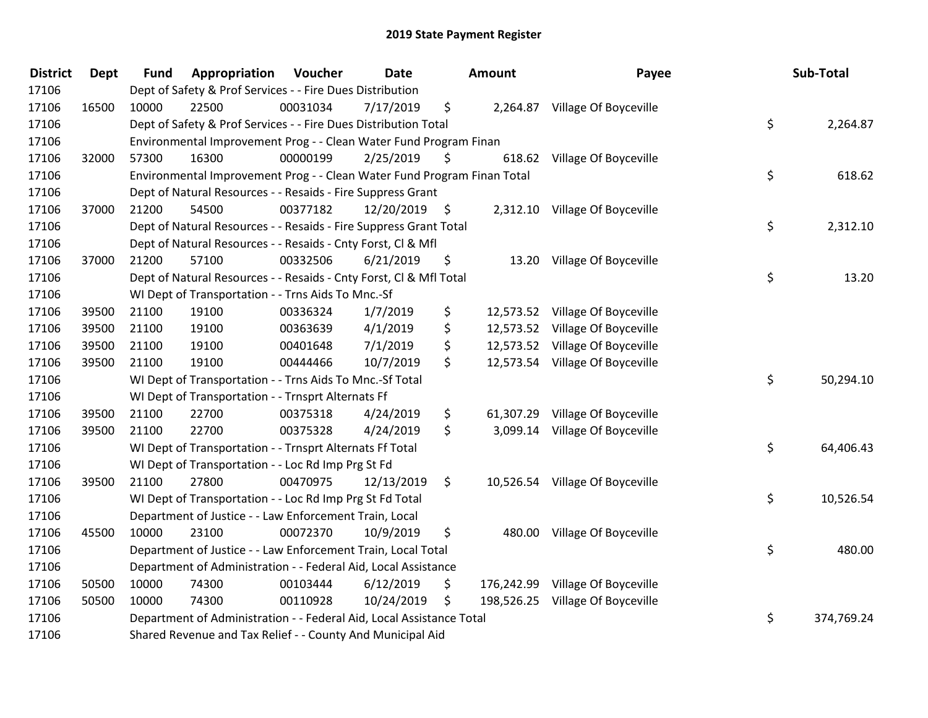| <b>District</b> | Dept  | <b>Fund</b> | Appropriation                                                           | Voucher  | <b>Date</b> |      | <b>Amount</b> | Payee                            | Sub-Total        |
|-----------------|-------|-------------|-------------------------------------------------------------------------|----------|-------------|------|---------------|----------------------------------|------------------|
| 17106           |       |             | Dept of Safety & Prof Services - - Fire Dues Distribution               |          |             |      |               |                                  |                  |
| 17106           | 16500 | 10000       | 22500                                                                   | 00031034 | 7/17/2019   | \$   |               | 2,264.87 Village Of Boyceville   |                  |
| 17106           |       |             | Dept of Safety & Prof Services - - Fire Dues Distribution Total         |          |             |      |               |                                  | \$<br>2,264.87   |
| 17106           |       |             | Environmental Improvement Prog - - Clean Water Fund Program Finan       |          |             |      |               |                                  |                  |
| 17106           | 32000 | 57300       | 16300                                                                   | 00000199 | 2/25/2019   | \$   | 618.62        | Village Of Boyceville            |                  |
| 17106           |       |             | Environmental Improvement Prog - - Clean Water Fund Program Finan Total |          |             |      |               |                                  | \$<br>618.62     |
| 17106           |       |             | Dept of Natural Resources - - Resaids - Fire Suppress Grant             |          |             |      |               |                                  |                  |
| 17106           | 37000 | 21200       | 54500                                                                   | 00377182 | 12/20/2019  | - \$ |               | 2,312.10 Village Of Boyceville   |                  |
| 17106           |       |             | Dept of Natural Resources - - Resaids - Fire Suppress Grant Total       |          |             |      |               |                                  | \$<br>2,312.10   |
| 17106           |       |             | Dept of Natural Resources - - Resaids - Cnty Forst, Cl & Mfl            |          |             |      |               |                                  |                  |
| 17106           | 37000 | 21200       | 57100                                                                   | 00332506 | 6/21/2019   | \$   |               | 13.20 Village Of Boyceville      |                  |
| 17106           |       |             | Dept of Natural Resources - - Resaids - Cnty Forst, Cl & Mfl Total      |          |             |      |               |                                  | \$<br>13.20      |
| 17106           |       |             | WI Dept of Transportation - - Trns Aids To Mnc.-Sf                      |          |             |      |               |                                  |                  |
| 17106           | 39500 | 21100       | 19100                                                                   | 00336324 | 1/7/2019    | \$   |               | 12,573.52 Village Of Boyceville  |                  |
| 17106           | 39500 | 21100       | 19100                                                                   | 00363639 | 4/1/2019    | \$   |               | 12,573.52 Village Of Boyceville  |                  |
| 17106           | 39500 | 21100       | 19100                                                                   | 00401648 | 7/1/2019    | \$   |               | 12,573.52 Village Of Boyceville  |                  |
| 17106           | 39500 | 21100       | 19100                                                                   | 00444466 | 10/7/2019   | \$   |               | 12,573.54 Village Of Boyceville  |                  |
| 17106           |       |             | WI Dept of Transportation - - Trns Aids To Mnc.-Sf Total                |          |             |      |               |                                  | \$<br>50,294.10  |
| 17106           |       |             | WI Dept of Transportation - - Trnsprt Alternats Ff                      |          |             |      |               |                                  |                  |
| 17106           | 39500 | 21100       | 22700                                                                   | 00375318 | 4/24/2019   | \$   | 61,307.29     | Village Of Boyceville            |                  |
| 17106           | 39500 | 21100       | 22700                                                                   | 00375328 | 4/24/2019   | \$   |               | 3,099.14 Village Of Boyceville   |                  |
| 17106           |       |             | WI Dept of Transportation - - Trnsprt Alternats Ff Total                |          |             |      |               |                                  | \$<br>64,406.43  |
| 17106           |       |             | WI Dept of Transportation - - Loc Rd Imp Prg St Fd                      |          |             |      |               |                                  |                  |
| 17106           | 39500 | 21100       | 27800                                                                   | 00470975 | 12/13/2019  | \$   |               | 10,526.54 Village Of Boyceville  |                  |
| 17106           |       |             | WI Dept of Transportation - - Loc Rd Imp Prg St Fd Total                |          |             |      |               |                                  | \$<br>10,526.54  |
| 17106           |       |             | Department of Justice - - Law Enforcement Train, Local                  |          |             |      |               |                                  |                  |
| 17106           | 45500 | 10000       | 23100                                                                   | 00072370 | 10/9/2019   | \$   |               | 480.00 Village Of Boyceville     |                  |
| 17106           |       |             | Department of Justice - - Law Enforcement Train, Local Total            |          |             |      |               |                                  | \$<br>480.00     |
| 17106           |       |             | Department of Administration - - Federal Aid, Local Assistance          |          |             |      |               |                                  |                  |
| 17106           | 50500 | 10000       | 74300                                                                   | 00103444 | 6/12/2019   | \$   |               | 176,242.99 Village Of Boyceville |                  |
| 17106           | 50500 | 10000       | 74300                                                                   | 00110928 | 10/24/2019  | \$   |               | 198,526.25 Village Of Boyceville |                  |
| 17106           |       |             | Department of Administration - - Federal Aid, Local Assistance Total    |          |             |      |               |                                  | \$<br>374,769.24 |
| 17106           |       |             | Shared Revenue and Tax Relief - - County And Municipal Aid              |          |             |      |               |                                  |                  |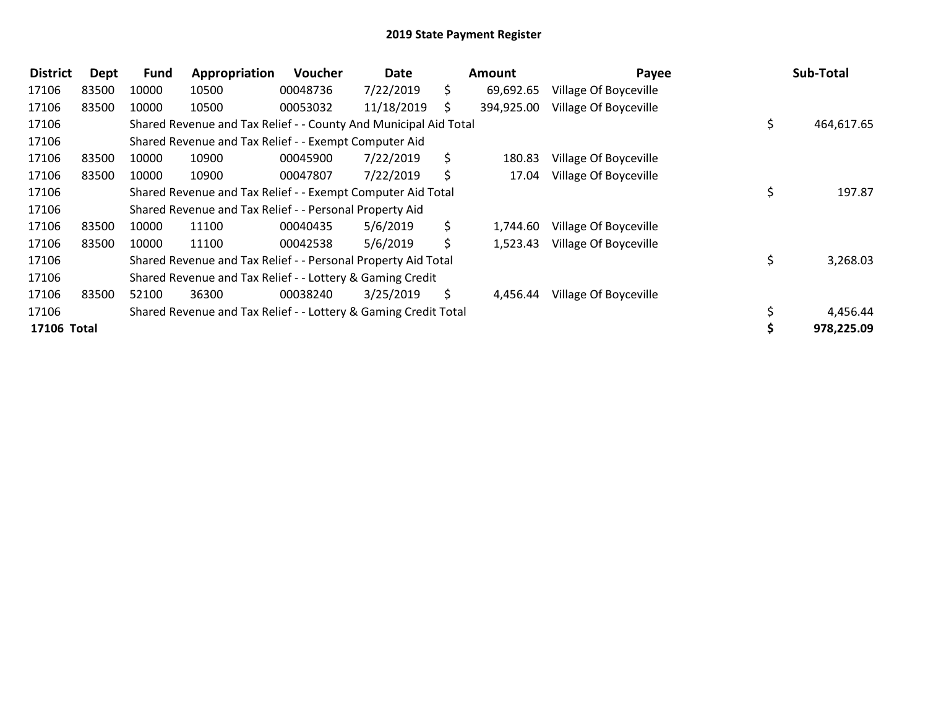| <b>District</b> | <b>Dept</b> | <b>Fund</b> | Appropriation                                                    | <b>Voucher</b> | Date       |     | <b>Amount</b> | Payee                 | Sub-Total        |
|-----------------|-------------|-------------|------------------------------------------------------------------|----------------|------------|-----|---------------|-----------------------|------------------|
| 17106           | 83500       | 10000       | 10500                                                            | 00048736       | 7/22/2019  | S.  | 69,692.65     | Village Of Boyceville |                  |
| 17106           | 83500       | 10000       | 10500                                                            | 00053032       | 11/18/2019 |     | 394,925.00    | Village Of Boyceville |                  |
| 17106           |             |             | Shared Revenue and Tax Relief - - County And Municipal Aid Total |                |            |     |               |                       | \$<br>464,617.65 |
| 17106           |             |             | Shared Revenue and Tax Relief - - Exempt Computer Aid            |                |            |     |               |                       |                  |
| 17106           | 83500       | 10000       | 10900                                                            | 00045900       | 7/22/2019  | S.  | 180.83        | Village Of Boyceville |                  |
| 17106           | 83500       | 10000       | 10900                                                            | 00047807       | 7/22/2019  | S.  | 17.04         | Village Of Boyceville |                  |
| 17106           |             |             | Shared Revenue and Tax Relief - - Exempt Computer Aid Total      |                |            |     |               |                       | \$<br>197.87     |
| 17106           |             |             | Shared Revenue and Tax Relief - - Personal Property Aid          |                |            |     |               |                       |                  |
| 17106           | 83500       | 10000       | 11100                                                            | 00040435       | 5/6/2019   | \$. | 1,744.60      | Village Of Boyceville |                  |
| 17106           | 83500       | 10000       | 11100                                                            | 00042538       | 5/6/2019   | \$  | 1,523.43      | Village Of Boyceville |                  |
| 17106           |             |             | Shared Revenue and Tax Relief - - Personal Property Aid Total    |                |            |     |               |                       | \$<br>3,268.03   |
| 17106           |             |             | Shared Revenue and Tax Relief - - Lottery & Gaming Credit        |                |            |     |               |                       |                  |
| 17106           | 83500       | 52100       | 36300                                                            | 00038240       | 3/25/2019  | S.  | 4,456.44      | Village Of Boyceville |                  |
| 17106           |             |             | Shared Revenue and Tax Relief - - Lottery & Gaming Credit Total  |                |            |     |               |                       | 4,456.44         |
| 17106 Total     |             |             |                                                                  |                |            |     |               |                       | 978,225.09       |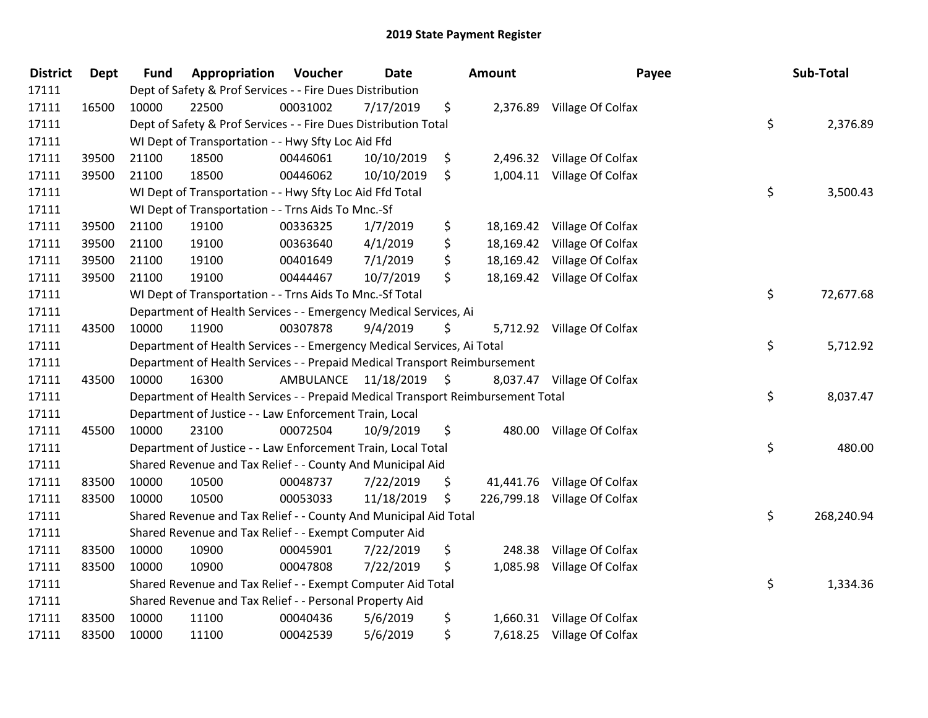| <b>District</b> | <b>Dept</b> | <b>Fund</b> | Appropriation                                                                   | Voucher              | Date       |                     | <b>Amount</b> | Payee                        | Sub-Total        |
|-----------------|-------------|-------------|---------------------------------------------------------------------------------|----------------------|------------|---------------------|---------------|------------------------------|------------------|
| 17111           |             |             | Dept of Safety & Prof Services - - Fire Dues Distribution                       |                      |            |                     |               |                              |                  |
| 17111           | 16500       | 10000       | 22500                                                                           | 00031002             | 7/17/2019  | \$                  |               | 2,376.89 Village Of Colfax   |                  |
| 17111           |             |             | Dept of Safety & Prof Services - - Fire Dues Distribution Total                 |                      |            |                     |               |                              | \$<br>2,376.89   |
| 17111           |             |             | WI Dept of Transportation - - Hwy Sfty Loc Aid Ffd                              |                      |            |                     |               |                              |                  |
| 17111           | 39500       | 21100       | 18500                                                                           | 00446061             | 10/10/2019 | \$                  |               | 2,496.32 Village Of Colfax   |                  |
| 17111           | 39500       | 21100       | 18500                                                                           | 00446062             | 10/10/2019 | \$                  |               | 1,004.11 Village Of Colfax   |                  |
| 17111           |             |             | WI Dept of Transportation - - Hwy Sfty Loc Aid Ffd Total                        |                      |            |                     |               |                              | \$<br>3,500.43   |
| 17111           |             |             | WI Dept of Transportation - - Trns Aids To Mnc.-Sf                              |                      |            |                     |               |                              |                  |
| 17111           | 39500       | 21100       | 19100                                                                           | 00336325             | 1/7/2019   | \$                  |               | 18,169.42 Village Of Colfax  |                  |
| 17111           | 39500       | 21100       | 19100                                                                           | 00363640             | 4/1/2019   | \$                  |               | 18,169.42 Village Of Colfax  |                  |
| 17111           | 39500       | 21100       | 19100                                                                           | 00401649             | 7/1/2019   | \$                  |               | 18,169.42 Village Of Colfax  |                  |
| 17111           | 39500       | 21100       | 19100                                                                           | 00444467             | 10/7/2019  | \$                  |               | 18,169.42 Village Of Colfax  |                  |
| 17111           |             |             | WI Dept of Transportation - - Trns Aids To Mnc.-Sf Total                        |                      |            |                     |               |                              | \$<br>72,677.68  |
| 17111           |             |             | Department of Health Services - - Emergency Medical Services, Ai                |                      |            |                     |               |                              |                  |
| 17111           | 43500       | 10000       | 11900                                                                           | 00307878             | 9/4/2019   | \$                  |               | 5,712.92 Village Of Colfax   |                  |
| 17111           |             |             | Department of Health Services - - Emergency Medical Services, Ai Total          |                      |            |                     |               |                              | \$<br>5,712.92   |
| 17111           |             |             | Department of Health Services - - Prepaid Medical Transport Reimbursement       |                      |            |                     |               |                              |                  |
| 17111           | 43500       | 10000       | 16300                                                                           | AMBULANCE 11/18/2019 |            | $\ddot{\mathsf{S}}$ |               | 8,037.47 Village Of Colfax   |                  |
| 17111           |             |             | Department of Health Services - - Prepaid Medical Transport Reimbursement Total |                      |            |                     |               |                              | \$<br>8,037.47   |
| 17111           |             |             | Department of Justice - - Law Enforcement Train, Local                          |                      |            |                     |               |                              |                  |
| 17111           | 45500       | 10000       | 23100                                                                           | 00072504             | 10/9/2019  | \$                  |               | 480.00 Village Of Colfax     |                  |
| 17111           |             |             | Department of Justice - - Law Enforcement Train, Local Total                    |                      |            |                     |               |                              | \$<br>480.00     |
| 17111           |             |             | Shared Revenue and Tax Relief - - County And Municipal Aid                      |                      |            |                     |               |                              |                  |
| 17111           | 83500       | 10000       | 10500                                                                           | 00048737             | 7/22/2019  | \$                  |               | 41,441.76 Village Of Colfax  |                  |
| 17111           | 83500       | 10000       | 10500                                                                           | 00053033             | 11/18/2019 | \$                  |               | 226,799.18 Village Of Colfax |                  |
| 17111           |             |             | Shared Revenue and Tax Relief - - County And Municipal Aid Total                |                      |            |                     |               |                              | \$<br>268,240.94 |
| 17111           |             |             | Shared Revenue and Tax Relief - - Exempt Computer Aid                           |                      |            |                     |               |                              |                  |
| 17111           | 83500       | 10000       | 10900                                                                           | 00045901             | 7/22/2019  | \$                  | 248.38        | Village Of Colfax            |                  |
| 17111           | 83500       | 10000       | 10900                                                                           | 00047808             | 7/22/2019  | \$                  | 1,085.98      | Village Of Colfax            |                  |
| 17111           |             |             | Shared Revenue and Tax Relief - - Exempt Computer Aid Total                     |                      |            |                     |               |                              | \$<br>1,334.36   |
| 17111           |             |             | Shared Revenue and Tax Relief - - Personal Property Aid                         |                      |            |                     |               |                              |                  |
| 17111           | 83500       | 10000       | 11100                                                                           | 00040436             | 5/6/2019   | \$                  |               | 1,660.31 Village Of Colfax   |                  |
| 17111           | 83500       | 10000       | 11100                                                                           | 00042539             | 5/6/2019   | \$                  |               | 7,618.25 Village Of Colfax   |                  |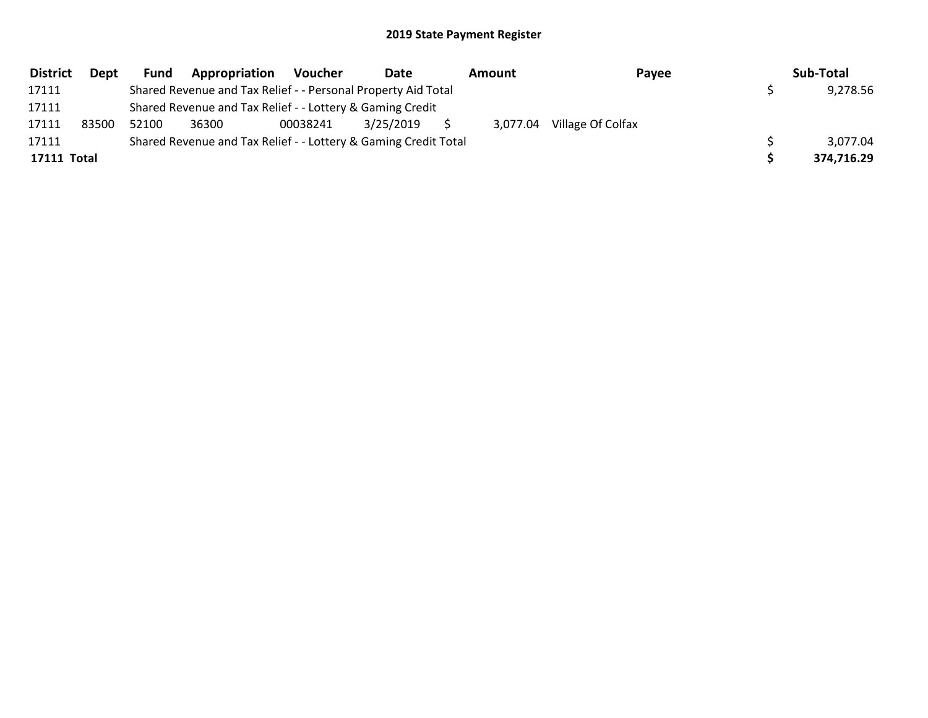| <b>District</b> | Dept  | Fund  | Appropriation                                                   | Voucher  | Date      | Amount   | Payee             | Sub-Total  |
|-----------------|-------|-------|-----------------------------------------------------------------|----------|-----------|----------|-------------------|------------|
| 17111           |       |       | Shared Revenue and Tax Relief - - Personal Property Aid Total   |          |           |          |                   | 9,278.56   |
| 17111           |       |       | Shared Revenue and Tax Relief - - Lottery & Gaming Credit       |          |           |          |                   |            |
| 17111           | 83500 | 52100 | 36300                                                           | 00038241 | 3/25/2019 | 3.077.04 | Village Of Colfax |            |
| 17111           |       |       | Shared Revenue and Tax Relief - - Lottery & Gaming Credit Total |          |           |          |                   | 3,077.04   |
| 17111 Total     |       |       |                                                                 |          |           |          |                   | 374,716.29 |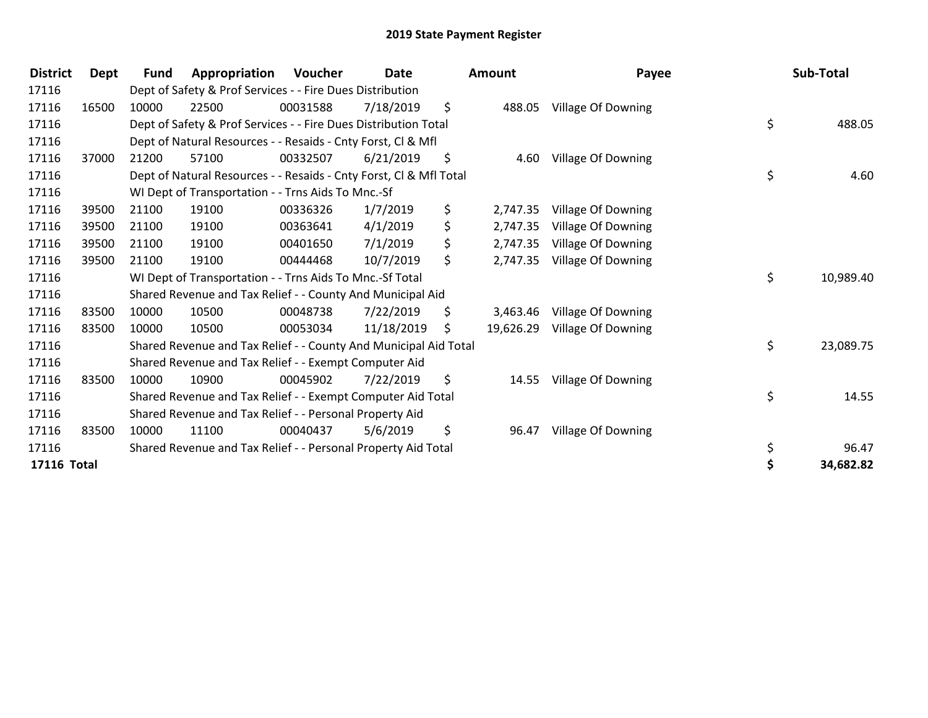| <b>District</b> | Dept  | Fund  | Appropriation                                                      | <b>Voucher</b> | <b>Date</b> | <b>Amount</b>   | Payee              | Sub-Total       |
|-----------------|-------|-------|--------------------------------------------------------------------|----------------|-------------|-----------------|--------------------|-----------------|
| 17116           |       |       | Dept of Safety & Prof Services - - Fire Dues Distribution          |                |             |                 |                    |                 |
| 17116           | 16500 | 10000 | 22500                                                              | 00031588       | 7/18/2019   | \$<br>488.05    | Village Of Downing |                 |
| 17116           |       |       | Dept of Safety & Prof Services - - Fire Dues Distribution Total    |                |             |                 |                    | \$<br>488.05    |
| 17116           |       |       | Dept of Natural Resources - - Resaids - Cnty Forst, CI & Mfl       |                |             |                 |                    |                 |
| 17116           | 37000 | 21200 | 57100                                                              | 00332507       | 6/21/2019   | \$<br>4.60      | Village Of Downing |                 |
| 17116           |       |       | Dept of Natural Resources - - Resaids - Cnty Forst, Cl & Mfl Total |                |             |                 |                    | \$<br>4.60      |
| 17116           |       |       | WI Dept of Transportation - - Trns Aids To Mnc.-Sf                 |                |             |                 |                    |                 |
| 17116           | 39500 | 21100 | 19100                                                              | 00336326       | 1/7/2019    | \$<br>2,747.35  | Village Of Downing |                 |
| 17116           | 39500 | 21100 | 19100                                                              | 00363641       | 4/1/2019    | \$<br>2,747.35  | Village Of Downing |                 |
| 17116           | 39500 | 21100 | 19100                                                              | 00401650       | 7/1/2019    | \$<br>2,747.35  | Village Of Downing |                 |
| 17116           | 39500 | 21100 | 19100                                                              | 00444468       | 10/7/2019   | \$<br>2,747.35  | Village Of Downing |                 |
| 17116           |       |       | WI Dept of Transportation - - Trns Aids To Mnc.-Sf Total           |                |             |                 |                    | \$<br>10,989.40 |
| 17116           |       |       | Shared Revenue and Tax Relief - - County And Municipal Aid         |                |             |                 |                    |                 |
| 17116           | 83500 | 10000 | 10500                                                              | 00048738       | 7/22/2019   | \$<br>3,463.46  | Village Of Downing |                 |
| 17116           | 83500 | 10000 | 10500                                                              | 00053034       | 11/18/2019  | \$<br>19,626.29 | Village Of Downing |                 |
| 17116           |       |       | Shared Revenue and Tax Relief - - County And Municipal Aid Total   |                |             |                 |                    | \$<br>23,089.75 |
| 17116           |       |       | Shared Revenue and Tax Relief - - Exempt Computer Aid              |                |             |                 |                    |                 |
| 17116           | 83500 | 10000 | 10900                                                              | 00045902       | 7/22/2019   | \$<br>14.55     | Village Of Downing |                 |
| 17116           |       |       | Shared Revenue and Tax Relief - - Exempt Computer Aid Total        |                |             |                 |                    | \$<br>14.55     |
| 17116           |       |       | Shared Revenue and Tax Relief - - Personal Property Aid            |                |             |                 |                    |                 |
| 17116           | 83500 | 10000 | 11100                                                              | 00040437       | 5/6/2019    | \$<br>96.47     | Village Of Downing |                 |
| 17116           |       |       | Shared Revenue and Tax Relief - - Personal Property Aid Total      |                |             |                 |                    | \$<br>96.47     |
| 17116 Total     |       |       |                                                                    |                |             |                 |                    | 34,682.82       |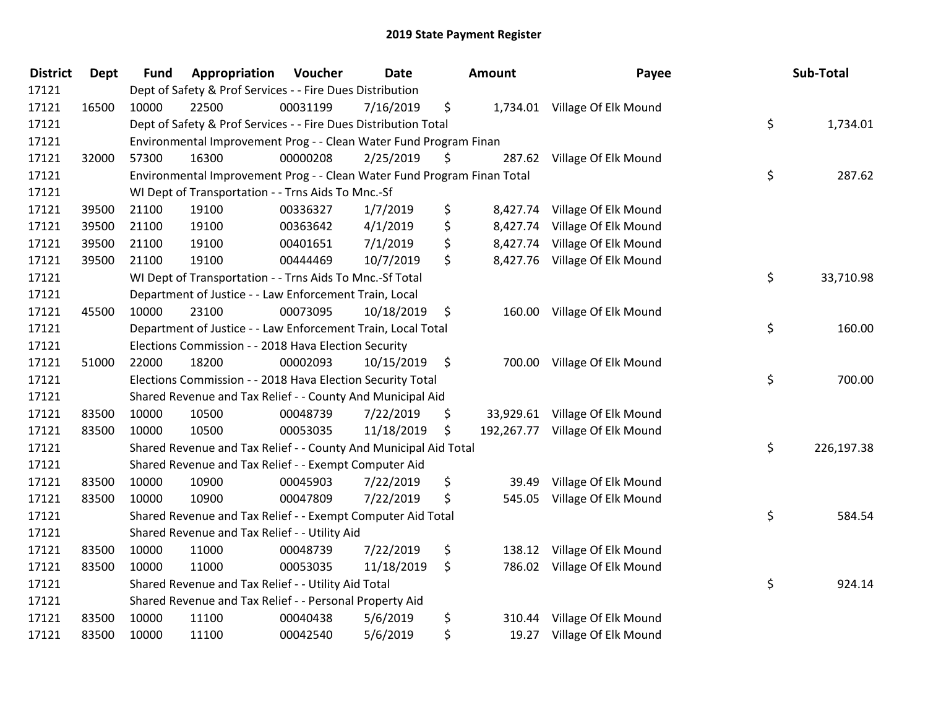| <b>District</b> | Dept  | <b>Fund</b> | Appropriation                                                           | Voucher  | Date       | Amount         | Payee                           | Sub-Total        |
|-----------------|-------|-------------|-------------------------------------------------------------------------|----------|------------|----------------|---------------------------------|------------------|
| 17121           |       |             | Dept of Safety & Prof Services - - Fire Dues Distribution               |          |            |                |                                 |                  |
| 17121           | 16500 | 10000       | 22500                                                                   | 00031199 | 7/16/2019  | \$             | 1,734.01 Village Of Elk Mound   |                  |
| 17121           |       |             | Dept of Safety & Prof Services - - Fire Dues Distribution Total         |          |            |                |                                 | \$<br>1,734.01   |
| 17121           |       |             | Environmental Improvement Prog - - Clean Water Fund Program Finan       |          |            |                |                                 |                  |
| 17121           | 32000 | 57300       | 16300                                                                   | 00000208 | 2/25/2019  | \$<br>287.62   | Village Of Elk Mound            |                  |
| 17121           |       |             | Environmental Improvement Prog - - Clean Water Fund Program Finan Total |          |            |                |                                 | \$<br>287.62     |
| 17121           |       |             | WI Dept of Transportation - - Trns Aids To Mnc.-Sf                      |          |            |                |                                 |                  |
| 17121           | 39500 | 21100       | 19100                                                                   | 00336327 | 1/7/2019   | \$<br>8,427.74 | Village Of Elk Mound            |                  |
| 17121           | 39500 | 21100       | 19100                                                                   | 00363642 | 4/1/2019   | \$             | 8,427.74 Village Of Elk Mound   |                  |
| 17121           | 39500 | 21100       | 19100                                                                   | 00401651 | 7/1/2019   | \$             | 8,427.74 Village Of Elk Mound   |                  |
| 17121           | 39500 | 21100       | 19100                                                                   | 00444469 | 10/7/2019  | \$             | 8,427.76 Village Of Elk Mound   |                  |
| 17121           |       |             | WI Dept of Transportation - - Trns Aids To Mnc.-Sf Total                |          |            |                |                                 | \$<br>33,710.98  |
| 17121           |       |             | Department of Justice - - Law Enforcement Train, Local                  |          |            |                |                                 |                  |
| 17121           | 45500 | 10000       | 23100                                                                   | 00073095 | 10/18/2019 | \$             | 160.00 Village Of Elk Mound     |                  |
| 17121           |       |             | Department of Justice - - Law Enforcement Train, Local Total            |          |            |                |                                 | \$<br>160.00     |
| 17121           |       |             | Elections Commission - - 2018 Hava Election Security                    |          |            |                |                                 |                  |
| 17121           | 51000 | 22000       | 18200                                                                   | 00002093 | 10/15/2019 | \$<br>700.00   | Village Of Elk Mound            |                  |
| 17121           |       |             | Elections Commission - - 2018 Hava Election Security Total              |          |            |                |                                 | \$<br>700.00     |
| 17121           |       |             | Shared Revenue and Tax Relief - - County And Municipal Aid              |          |            |                |                                 |                  |
| 17121           | 83500 | 10000       | 10500                                                                   | 00048739 | 7/22/2019  | \$             | 33,929.61 Village Of Elk Mound  |                  |
| 17121           | 83500 | 10000       | 10500                                                                   | 00053035 | 11/18/2019 | \$             | 192,267.77 Village Of Elk Mound |                  |
| 17121           |       |             | Shared Revenue and Tax Relief - - County And Municipal Aid Total        |          |            |                |                                 | \$<br>226,197.38 |
| 17121           |       |             | Shared Revenue and Tax Relief - - Exempt Computer Aid                   |          |            |                |                                 |                  |
| 17121           | 83500 | 10000       | 10900                                                                   | 00045903 | 7/22/2019  | \$<br>39.49    | Village Of Elk Mound            |                  |
| 17121           | 83500 | 10000       | 10900                                                                   | 00047809 | 7/22/2019  | \$<br>545.05   | Village Of Elk Mound            |                  |
| 17121           |       |             | Shared Revenue and Tax Relief - - Exempt Computer Aid Total             |          |            |                |                                 | \$<br>584.54     |
| 17121           |       |             | Shared Revenue and Tax Relief - - Utility Aid                           |          |            |                |                                 |                  |
| 17121           | 83500 | 10000       | 11000                                                                   | 00048739 | 7/22/2019  | \$<br>138.12   | Village Of Elk Mound            |                  |
| 17121           | 83500 | 10000       | 11000                                                                   | 00053035 | 11/18/2019 | \$<br>786.02   | Village Of Elk Mound            |                  |
| 17121           |       |             | Shared Revenue and Tax Relief - - Utility Aid Total                     |          |            |                |                                 | \$<br>924.14     |
| 17121           |       |             | Shared Revenue and Tax Relief - - Personal Property Aid                 |          |            |                |                                 |                  |
| 17121           | 83500 | 10000       | 11100                                                                   | 00040438 | 5/6/2019   | \$<br>310.44   | Village Of Elk Mound            |                  |
| 17121           | 83500 | 10000       | 11100                                                                   | 00042540 | 5/6/2019   | \$<br>19.27    | Village Of Elk Mound            |                  |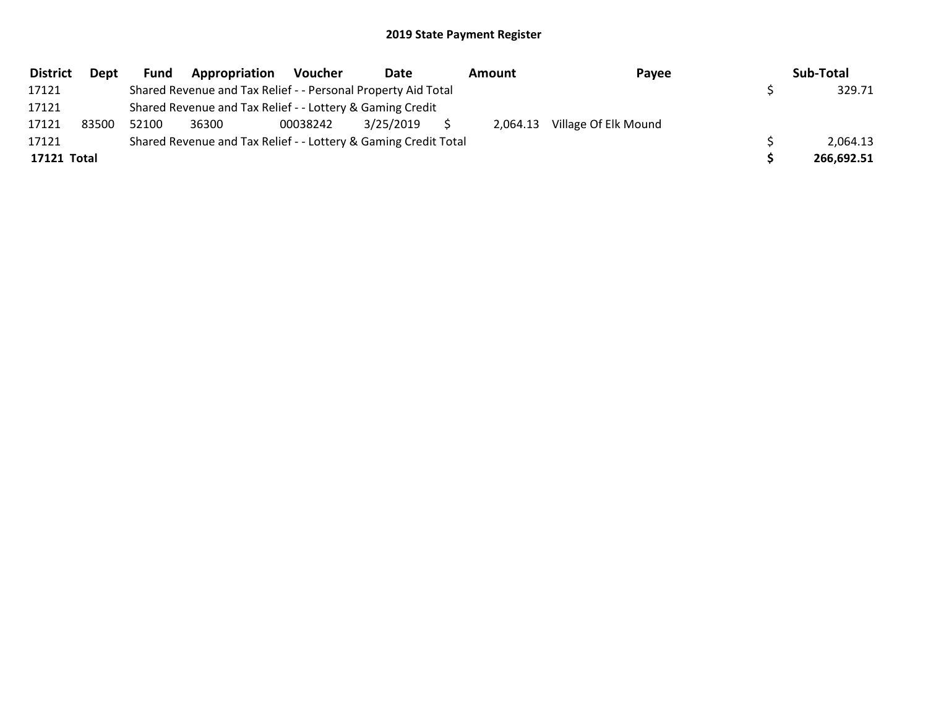| <b>District</b> | Dept  | Fund  | Appropriation                                                   | <b>Voucher</b> | Date      | Amount   | Payee                | Sub-Total  |
|-----------------|-------|-------|-----------------------------------------------------------------|----------------|-----------|----------|----------------------|------------|
| 17121           |       |       | Shared Revenue and Tax Relief - - Personal Property Aid Total   |                |           |          |                      | 329.71     |
| 17121           |       |       | Shared Revenue and Tax Relief - - Lottery & Gaming Credit       |                |           |          |                      |            |
| 17121           | 83500 | 52100 | 36300                                                           | 00038242       | 3/25/2019 | 2.064.13 | Village Of Elk Mound |            |
| 17121           |       |       | Shared Revenue and Tax Relief - - Lottery & Gaming Credit Total |                |           |          |                      | 2,064.13   |
| 17121 Total     |       |       |                                                                 |                |           |          |                      | 266,692.51 |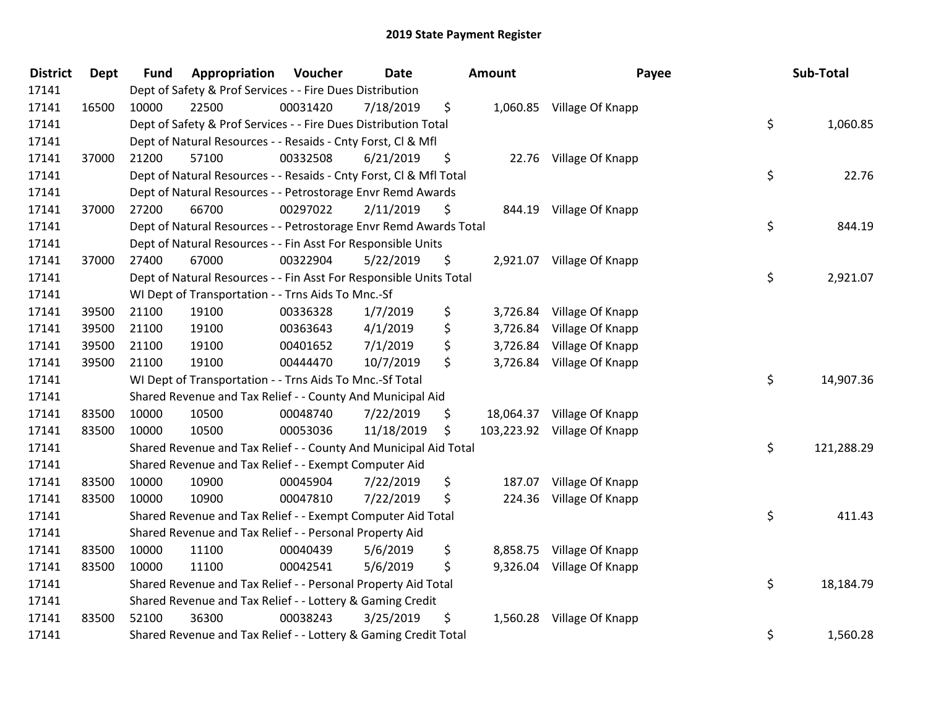| <b>District</b> | <b>Dept</b> | <b>Fund</b>                                                 | Appropriation                                                      | Voucher  | Date       |    | <b>Amount</b> | Payee                       | Sub-Total        |
|-----------------|-------------|-------------------------------------------------------------|--------------------------------------------------------------------|----------|------------|----|---------------|-----------------------------|------------------|
| 17141           |             |                                                             | Dept of Safety & Prof Services - - Fire Dues Distribution          |          |            |    |               |                             |                  |
| 17141           | 16500       | 10000                                                       | 22500                                                              | 00031420 | 7/18/2019  | \$ |               | 1,060.85 Village Of Knapp   |                  |
| 17141           |             |                                                             | Dept of Safety & Prof Services - - Fire Dues Distribution Total    |          |            |    |               |                             | \$<br>1,060.85   |
| 17141           |             |                                                             | Dept of Natural Resources - - Resaids - Cnty Forst, Cl & Mfl       |          |            |    |               |                             |                  |
| 17141           | 37000       | 21200                                                       | 57100                                                              | 00332508 | 6/21/2019  | \$ |               | 22.76 Village Of Knapp      |                  |
| 17141           |             |                                                             | Dept of Natural Resources - - Resaids - Cnty Forst, Cl & Mfl Total |          |            |    |               |                             | \$<br>22.76      |
| 17141           |             | Dept of Natural Resources - - Petrostorage Envr Remd Awards |                                                                    |          |            |    |               |                             |                  |
| 17141           | 37000       | 27200                                                       | 66700                                                              | 00297022 | 2/11/2019  | \$ |               | 844.19 Village Of Knapp     |                  |
| 17141           |             |                                                             | Dept of Natural Resources - - Petrostorage Envr Remd Awards Total  |          |            |    |               |                             | \$<br>844.19     |
| 17141           |             |                                                             | Dept of Natural Resources - - Fin Asst For Responsible Units       |          |            |    |               |                             |                  |
| 17141           | 37000       | 27400                                                       | 67000                                                              | 00322904 | 5/22/2019  | \$ |               | 2,921.07 Village Of Knapp   |                  |
| 17141           |             |                                                             | Dept of Natural Resources - - Fin Asst For Responsible Units Total |          |            |    |               |                             | \$<br>2,921.07   |
| 17141           |             |                                                             | WI Dept of Transportation - - Trns Aids To Mnc.-Sf                 |          |            |    |               |                             |                  |
| 17141           | 39500       | 21100                                                       | 19100                                                              | 00336328 | 1/7/2019   | \$ |               | 3,726.84 Village Of Knapp   |                  |
| 17141           | 39500       | 21100                                                       | 19100                                                              | 00363643 | 4/1/2019   | \$ | 3,726.84      | Village Of Knapp            |                  |
| 17141           | 39500       | 21100                                                       | 19100                                                              | 00401652 | 7/1/2019   | \$ | 3,726.84      | Village Of Knapp            |                  |
| 17141           | 39500       | 21100                                                       | 19100                                                              | 00444470 | 10/7/2019  | \$ |               | 3,726.84 Village Of Knapp   |                  |
| 17141           |             |                                                             | WI Dept of Transportation - - Trns Aids To Mnc.-Sf Total           |          |            |    |               |                             | \$<br>14,907.36  |
| 17141           |             |                                                             | Shared Revenue and Tax Relief - - County And Municipal Aid         |          |            |    |               |                             |                  |
| 17141           | 83500       | 10000                                                       | 10500                                                              | 00048740 | 7/22/2019  | \$ |               | 18,064.37 Village Of Knapp  |                  |
| 17141           | 83500       | 10000                                                       | 10500                                                              | 00053036 | 11/18/2019 | \$ |               | 103,223.92 Village Of Knapp |                  |
| 17141           |             |                                                             | Shared Revenue and Tax Relief - - County And Municipal Aid Total   |          |            |    |               |                             | \$<br>121,288.29 |
| 17141           |             |                                                             | Shared Revenue and Tax Relief - - Exempt Computer Aid              |          |            |    |               |                             |                  |
| 17141           | 83500       | 10000                                                       | 10900                                                              | 00045904 | 7/22/2019  | \$ |               | 187.07 Village Of Knapp     |                  |
| 17141           | 83500       | 10000                                                       | 10900                                                              | 00047810 | 7/22/2019  | \$ |               | 224.36 Village Of Knapp     |                  |
| 17141           |             |                                                             | Shared Revenue and Tax Relief - - Exempt Computer Aid Total        |          |            |    |               |                             | \$<br>411.43     |
| 17141           |             |                                                             | Shared Revenue and Tax Relief - - Personal Property Aid            |          |            |    |               |                             |                  |
| 17141           | 83500       | 10000                                                       | 11100                                                              | 00040439 | 5/6/2019   | \$ |               | 8,858.75 Village Of Knapp   |                  |
| 17141           | 83500       | 10000                                                       | 11100                                                              | 00042541 | 5/6/2019   | \$ |               | 9,326.04 Village Of Knapp   |                  |
| 17141           |             |                                                             | Shared Revenue and Tax Relief - - Personal Property Aid Total      |          |            |    |               |                             | \$<br>18,184.79  |
| 17141           |             |                                                             | Shared Revenue and Tax Relief - - Lottery & Gaming Credit          |          |            |    |               |                             |                  |
| 17141           | 83500       | 52100                                                       | 36300                                                              | 00038243 | 3/25/2019  | \$ |               | 1,560.28 Village Of Knapp   |                  |
| 17141           |             |                                                             | Shared Revenue and Tax Relief - - Lottery & Gaming Credit Total    |          |            |    |               |                             | \$<br>1,560.28   |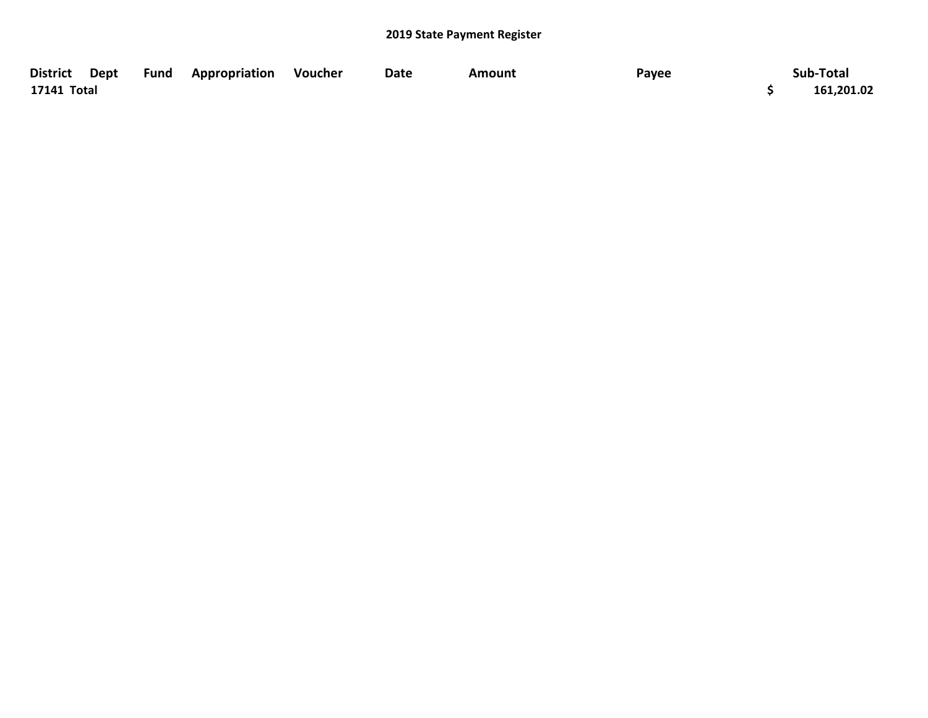| District Dept Fund Appropriation Voucher |  | Date | <b>Amount</b> | Payee | Sub-Total  |
|------------------------------------------|--|------|---------------|-------|------------|
| 17141 Total                              |  |      |               |       | 161,201.02 |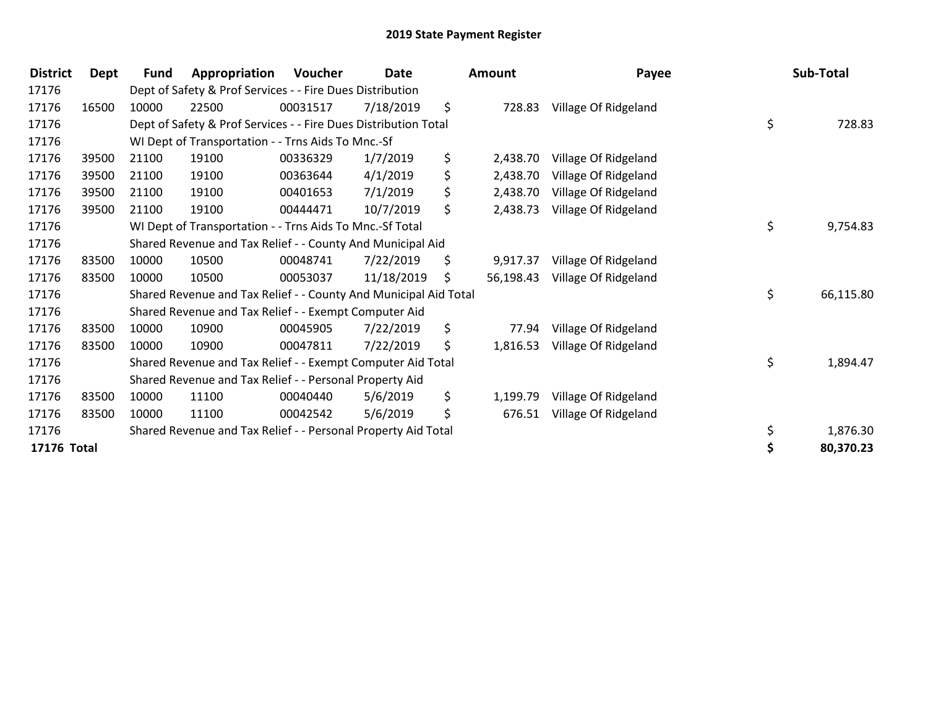| <b>District</b> | Dept  | Fund      | Appropriation                                                    | Voucher        | Date         | <b>Amount</b>   | Payee                | Sub-Total       |
|-----------------|-------|-----------|------------------------------------------------------------------|----------------|--------------|-----------------|----------------------|-----------------|
| 17176           |       |           | Dept of Safety & Prof Services - - Fire Dues Distribution        |                |              |                 |                      |                 |
| 17176           | 16500 | 10000     | 22500                                                            | 00031517       | 7/18/2019    | \$<br>728.83    | Village Of Ridgeland |                 |
| 17176           |       |           | Dept of Safety & Prof Services - - Fire Dues Distribution Total  |                | \$<br>728.83 |                 |                      |                 |
| 17176           |       |           | WI Dept of Transportation - - Trns Aids To Mnc.-Sf               |                |              |                 |                      |                 |
| 17176           | 39500 | 21100     | 19100                                                            | 00336329       | 1/7/2019     | \$<br>2,438.70  | Village Of Ridgeland |                 |
| 17176           | 39500 | 21100     | 19100                                                            | 00363644       | 4/1/2019     | \$<br>2,438.70  | Village Of Ridgeland |                 |
| 17176           | 39500 | 21100     | 19100                                                            | 00401653       | 7/1/2019     | \$<br>2,438.70  | Village Of Ridgeland |                 |
| 17176           | 39500 | 21100     | 19100                                                            | 00444471       | 10/7/2019    | \$<br>2,438.73  | Village Of Ridgeland |                 |
| 17176           |       |           | WI Dept of Transportation - - Trns Aids To Mnc.-Sf Total         | \$<br>9,754.83 |              |                 |                      |                 |
| 17176           |       |           | Shared Revenue and Tax Relief - - County And Municipal Aid       |                |              |                 |                      |                 |
| 17176           | 83500 | 10000     | 10500                                                            | 00048741       | 7/22/2019    | \$<br>9,917.37  | Village Of Ridgeland |                 |
| 17176           | 83500 | 10000     | 10500                                                            | 00053037       | 11/18/2019   | \$<br>56,198.43 | Village Of Ridgeland |                 |
| 17176           |       |           | Shared Revenue and Tax Relief - - County And Municipal Aid Total |                |              |                 |                      | \$<br>66,115.80 |
| 17176           |       |           | Shared Revenue and Tax Relief - - Exempt Computer Aid            |                |              |                 |                      |                 |
| 17176           | 83500 | 10000     | 10900                                                            | 00045905       | 7/22/2019    | \$<br>77.94     | Village Of Ridgeland |                 |
| 17176           | 83500 | 10000     | 10900                                                            | 00047811       | 7/22/2019    | \$<br>1,816.53  | Village Of Ridgeland |                 |
| 17176           |       |           | Shared Revenue and Tax Relief - - Exempt Computer Aid Total      |                |              |                 |                      | \$<br>1,894.47  |
| 17176           |       |           | Shared Revenue and Tax Relief - - Personal Property Aid          |                |              |                 |                      |                 |
| 17176           | 83500 | 10000     | 11100                                                            | 00040440       | 5/6/2019     | \$<br>1,199.79  | Village Of Ridgeland |                 |
| 17176           | 83500 | 10000     | 11100                                                            | 00042542       | 5/6/2019     | \$<br>676.51    | Village Of Ridgeland |                 |
| 17176           |       |           | Shared Revenue and Tax Relief - - Personal Property Aid Total    |                |              |                 |                      | \$<br>1,876.30  |
| 17176 Total     |       | 80,370.23 |                                                                  |                |              |                 |                      |                 |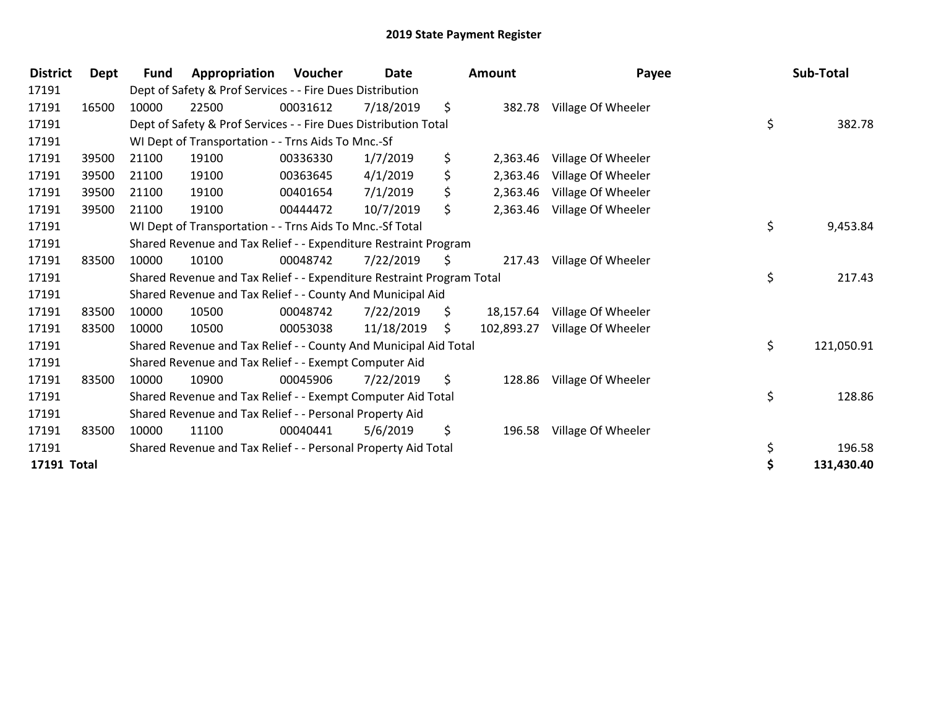| <b>District</b> | Dept  | Fund                                                                  | Appropriation                                                    | Voucher  | <b>Date</b> |    | <b>Amount</b> | Payee              |    | Sub-Total  |
|-----------------|-------|-----------------------------------------------------------------------|------------------------------------------------------------------|----------|-------------|----|---------------|--------------------|----|------------|
| 17191           |       |                                                                       | Dept of Safety & Prof Services - - Fire Dues Distribution        |          |             |    |               |                    |    |            |
| 17191           | 16500 | 10000                                                                 | 22500                                                            | 00031612 | 7/18/2019   | \$ | 382.78        | Village Of Wheeler |    |            |
| 17191           |       |                                                                       | Dept of Safety & Prof Services - - Fire Dues Distribution Total  |          |             |    |               |                    | \$ | 382.78     |
| 17191           |       |                                                                       | WI Dept of Transportation - - Trns Aids To Mnc.-Sf               |          |             |    |               |                    |    |            |
| 17191           | 39500 | 21100                                                                 | 19100                                                            | 00336330 | 1/7/2019    | \$ | 2,363.46      | Village Of Wheeler |    |            |
| 17191           | 39500 | 21100                                                                 | 19100                                                            | 00363645 | 4/1/2019    | \$ | 2,363.46      | Village Of Wheeler |    |            |
| 17191           | 39500 | 21100                                                                 | 19100                                                            | 00401654 | 7/1/2019    | \$ | 2,363.46      | Village Of Wheeler |    |            |
| 17191           | 39500 | 21100                                                                 | 19100                                                            | 00444472 | 10/7/2019   | \$ | 2,363.46      | Village Of Wheeler |    |            |
| 17191           |       |                                                                       | WI Dept of Transportation - - Trns Aids To Mnc.-Sf Total         | \$       | 9,453.84    |    |               |                    |    |            |
| 17191           |       |                                                                       | Shared Revenue and Tax Relief - - Expenditure Restraint Program  |          |             |    |               |                    |    |            |
| 17191           | 83500 | 10000                                                                 | 10100                                                            | 00048742 | 7/22/2019   | \$ | 217.43        | Village Of Wheeler |    |            |
| 17191           |       | Shared Revenue and Tax Relief - - Expenditure Restraint Program Total |                                                                  |          |             |    |               |                    |    | 217.43     |
| 17191           |       |                                                                       | Shared Revenue and Tax Relief - - County And Municipal Aid       |          |             |    |               |                    |    |            |
| 17191           | 83500 | 10000                                                                 | 10500                                                            | 00048742 | 7/22/2019   | \$ | 18,157.64     | Village Of Wheeler |    |            |
| 17191           | 83500 | 10000                                                                 | 10500                                                            | 00053038 | 11/18/2019  | S  | 102,893.27    | Village Of Wheeler |    |            |
| 17191           |       |                                                                       | Shared Revenue and Tax Relief - - County And Municipal Aid Total |          |             |    |               |                    | \$ | 121,050.91 |
| 17191           |       |                                                                       | Shared Revenue and Tax Relief - - Exempt Computer Aid            |          |             |    |               |                    |    |            |
| 17191           | 83500 | 10000                                                                 | 10900                                                            | 00045906 | 7/22/2019   | \$ | 128.86        | Village Of Wheeler |    |            |
| 17191           |       |                                                                       | Shared Revenue and Tax Relief - - Exempt Computer Aid Total      |          |             |    |               |                    | \$ | 128.86     |
| 17191           |       |                                                                       | Shared Revenue and Tax Relief - - Personal Property Aid          |          |             |    |               |                    |    |            |
| 17191           | 83500 | 10000                                                                 | 11100                                                            | 00040441 | 5/6/2019    | \$ | 196.58        | Village Of Wheeler |    |            |
| 17191           |       |                                                                       | Shared Revenue and Tax Relief - - Personal Property Aid Total    |          |             |    |               |                    | \$ | 196.58     |
| 17191 Total     |       |                                                                       |                                                                  |          |             |    |               |                    |    | 131,430.40 |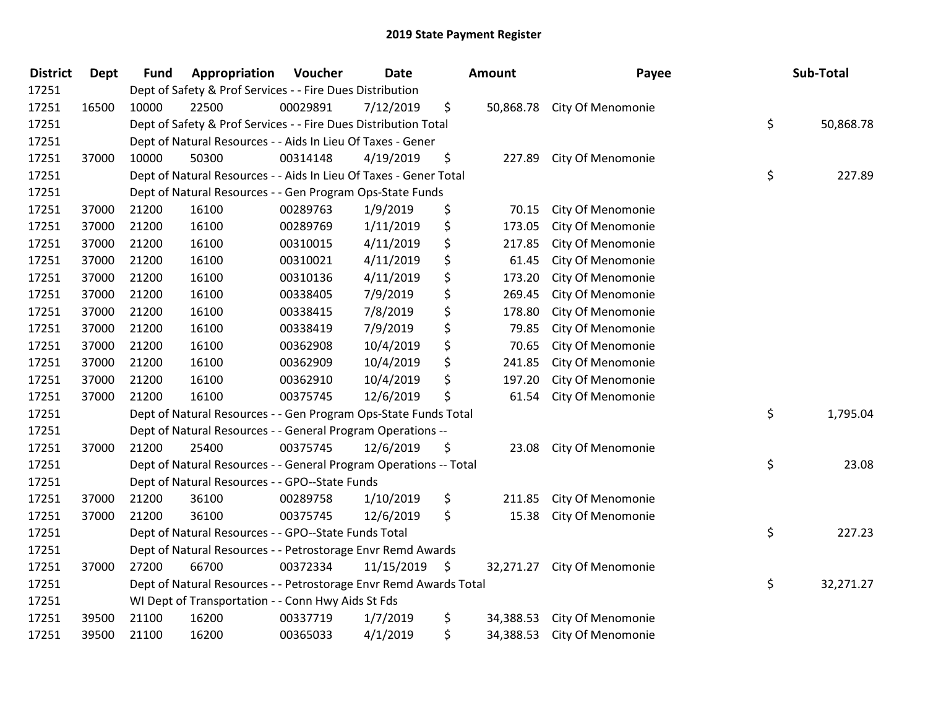| <b>District</b> | <b>Dept</b> | <b>Fund</b> | Appropriation                                                     | Voucher  | Date       |      | Amount    | Payee                       | Sub-Total       |
|-----------------|-------------|-------------|-------------------------------------------------------------------|----------|------------|------|-----------|-----------------------------|-----------------|
| 17251           |             |             | Dept of Safety & Prof Services - - Fire Dues Distribution         |          |            |      |           |                             |                 |
| 17251           | 16500       | 10000       | 22500                                                             | 00029891 | 7/12/2019  | \$   |           | 50,868.78 City Of Menomonie |                 |
| 17251           |             |             | Dept of Safety & Prof Services - - Fire Dues Distribution Total   |          |            |      |           |                             | \$<br>50,868.78 |
| 17251           |             |             | Dept of Natural Resources - - Aids In Lieu Of Taxes - Gener       |          |            |      |           |                             |                 |
| 17251           | 37000       | 10000       | 50300                                                             | 00314148 | 4/19/2019  | \$   | 227.89    | City Of Menomonie           |                 |
| 17251           |             |             | Dept of Natural Resources - - Aids In Lieu Of Taxes - Gener Total |          |            |      |           |                             | \$<br>227.89    |
| 17251           |             |             | Dept of Natural Resources - - Gen Program Ops-State Funds         |          |            |      |           |                             |                 |
| 17251           | 37000       | 21200       | 16100                                                             | 00289763 | 1/9/2019   | \$   | 70.15     | City Of Menomonie           |                 |
| 17251           | 37000       | 21200       | 16100                                                             | 00289769 | 1/11/2019  | \$   | 173.05    | City Of Menomonie           |                 |
| 17251           | 37000       | 21200       | 16100                                                             | 00310015 | 4/11/2019  | \$   | 217.85    | City Of Menomonie           |                 |
| 17251           | 37000       | 21200       | 16100                                                             | 00310021 | 4/11/2019  | \$   | 61.45     | City Of Menomonie           |                 |
| 17251           | 37000       | 21200       | 16100                                                             | 00310136 | 4/11/2019  | \$   | 173.20    | City Of Menomonie           |                 |
| 17251           | 37000       | 21200       | 16100                                                             | 00338405 | 7/9/2019   | \$   | 269.45    | City Of Menomonie           |                 |
| 17251           | 37000       | 21200       | 16100                                                             | 00338415 | 7/8/2019   | \$   | 178.80    | City Of Menomonie           |                 |
| 17251           | 37000       | 21200       | 16100                                                             | 00338419 | 7/9/2019   | \$   | 79.85     | City Of Menomonie           |                 |
| 17251           | 37000       | 21200       | 16100                                                             | 00362908 | 10/4/2019  | \$   | 70.65     | City Of Menomonie           |                 |
| 17251           | 37000       | 21200       | 16100                                                             | 00362909 | 10/4/2019  | \$   | 241.85    | City Of Menomonie           |                 |
| 17251           | 37000       | 21200       | 16100                                                             | 00362910 | 10/4/2019  | \$   | 197.20    | City Of Menomonie           |                 |
| 17251           | 37000       | 21200       | 16100                                                             | 00375745 | 12/6/2019  | \$   | 61.54     | City Of Menomonie           |                 |
| 17251           |             |             | Dept of Natural Resources - - Gen Program Ops-State Funds Total   |          |            |      |           |                             | \$<br>1,795.04  |
| 17251           |             |             | Dept of Natural Resources - - General Program Operations --       |          |            |      |           |                             |                 |
| 17251           | 37000       | 21200       | 25400                                                             | 00375745 | 12/6/2019  | \$   | 23.08     | City Of Menomonie           |                 |
| 17251           |             |             | Dept of Natural Resources - - General Program Operations -- Total |          |            |      |           |                             | \$<br>23.08     |
| 17251           |             |             | Dept of Natural Resources - - GPO--State Funds                    |          |            |      |           |                             |                 |
| 17251           | 37000       | 21200       | 36100                                                             | 00289758 | 1/10/2019  | \$   | 211.85    | City Of Menomonie           |                 |
| 17251           | 37000       | 21200       | 36100                                                             | 00375745 | 12/6/2019  | \$   | 15.38     | City Of Menomonie           |                 |
| 17251           |             |             | Dept of Natural Resources - - GPO--State Funds Total              |          |            |      |           |                             | \$<br>227.23    |
| 17251           |             |             | Dept of Natural Resources - - Petrostorage Envr Remd Awards       |          |            |      |           |                             |                 |
| 17251           | 37000       | 27200       | 66700                                                             | 00372334 | 11/15/2019 | - \$ | 32,271.27 | City Of Menomonie           |                 |
| 17251           |             |             | Dept of Natural Resources - - Petrostorage Envr Remd Awards Total |          |            |      |           |                             | \$<br>32,271.27 |
| 17251           |             |             | WI Dept of Transportation - - Conn Hwy Aids St Fds                |          |            |      |           |                             |                 |
| 17251           | 39500       | 21100       | 16200                                                             | 00337719 | 1/7/2019   | \$   | 34,388.53 | City Of Menomonie           |                 |
| 17251           | 39500       | 21100       | 16200                                                             | 00365033 | 4/1/2019   | \$   | 34,388.53 | City Of Menomonie           |                 |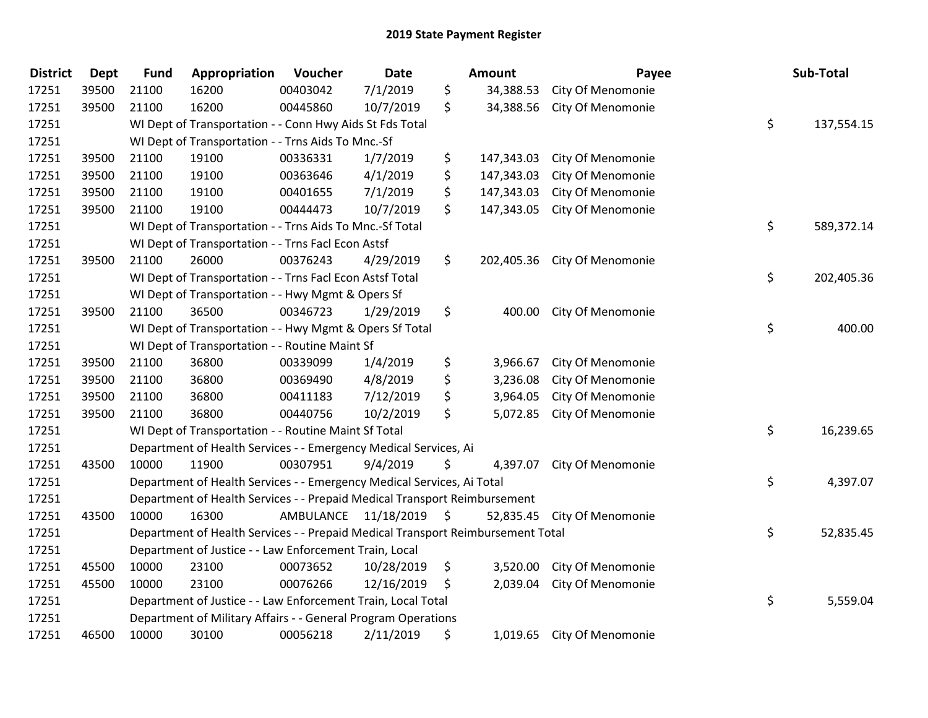| <b>District</b> | <b>Dept</b> | <b>Fund</b>                                       | Appropriation                                                                   | Voucher      | Date       | <b>Amount</b>    | Payee                        | Sub-Total        |
|-----------------|-------------|---------------------------------------------------|---------------------------------------------------------------------------------|--------------|------------|------------------|------------------------------|------------------|
| 17251           | 39500       | 21100                                             | 16200                                                                           | 00403042     | 7/1/2019   | \$<br>34,388.53  | City Of Menomonie            |                  |
| 17251           | 39500       | 21100                                             | 16200                                                                           | 00445860     | 10/7/2019  | \$               | 34,388.56 City Of Menomonie  |                  |
| 17251           |             |                                                   | WI Dept of Transportation - - Conn Hwy Aids St Fds Total                        |              |            |                  |                              | \$<br>137,554.15 |
| 17251           |             |                                                   | WI Dept of Transportation - - Trns Aids To Mnc.-Sf                              |              |            |                  |                              |                  |
| 17251           | 39500       | 21100                                             | 19100                                                                           | 00336331     | 1/7/2019   | \$<br>147,343.03 | City Of Menomonie            |                  |
| 17251           | 39500       | 21100                                             | 19100                                                                           | 00363646     | 4/1/2019   | \$<br>147,343.03 | City Of Menomonie            |                  |
| 17251           | 39500       | 21100                                             | 19100                                                                           | 00401655     | 7/1/2019   | \$<br>147,343.03 | City Of Menomonie            |                  |
| 17251           | 39500       | 21100                                             | 19100                                                                           | 00444473     | 10/7/2019  | \$<br>147,343.05 | City Of Menomonie            |                  |
| 17251           |             |                                                   | WI Dept of Transportation - - Trns Aids To Mnc.-Sf Total                        |              |            |                  |                              | \$<br>589,372.14 |
| 17251           |             |                                                   | WI Dept of Transportation - - Trns Facl Econ Astsf                              |              |            |                  |                              |                  |
| 17251           | 39500       | 21100                                             | 26000                                                                           | 00376243     | 4/29/2019  | \$               | 202,405.36 City Of Menomonie |                  |
| 17251           |             |                                                   | WI Dept of Transportation - - Trns Facl Econ Astsf Total                        |              |            |                  |                              | \$<br>202,405.36 |
| 17251           |             | WI Dept of Transportation - - Hwy Mgmt & Opers Sf |                                                                                 |              |            |                  |                              |                  |
| 17251           | 39500       | 21100                                             | 36500                                                                           | 00346723     | 1/29/2019  | \$               | 400.00 City Of Menomonie     |                  |
| 17251           |             |                                                   | WI Dept of Transportation - - Hwy Mgmt & Opers Sf Total                         | \$<br>400.00 |            |                  |                              |                  |
| 17251           |             |                                                   | WI Dept of Transportation - - Routine Maint Sf                                  |              |            |                  |                              |                  |
| 17251           | 39500       | 21100                                             | 36800                                                                           | 00339099     | 1/4/2019   | \$<br>3,966.67   | City Of Menomonie            |                  |
| 17251           | 39500       | 21100                                             | 36800                                                                           | 00369490     | 4/8/2019   | \$<br>3,236.08   | City Of Menomonie            |                  |
| 17251           | 39500       | 21100                                             | 36800                                                                           | 00411183     | 7/12/2019  | \$<br>3,964.05   | City Of Menomonie            |                  |
| 17251           | 39500       | 21100                                             | 36800                                                                           | 00440756     | 10/2/2019  | \$<br>5,072.85   | City Of Menomonie            |                  |
| 17251           |             |                                                   | WI Dept of Transportation - - Routine Maint Sf Total                            |              |            |                  |                              | \$<br>16,239.65  |
| 17251           |             |                                                   | Department of Health Services - - Emergency Medical Services, Ai                |              |            |                  |                              |                  |
| 17251           | 43500       | 10000                                             | 11900                                                                           | 00307951     | 9/4/2019   | \$<br>4,397.07   | City Of Menomonie            |                  |
| 17251           |             |                                                   | Department of Health Services - - Emergency Medical Services, Ai Total          |              |            |                  |                              | \$<br>4,397.07   |
| 17251           |             |                                                   | Department of Health Services - - Prepaid Medical Transport Reimbursement       |              |            |                  |                              |                  |
| 17251           | 43500       | 10000                                             | 16300                                                                           | AMBULANCE    | 11/18/2019 | \$<br>52,835.45  | City Of Menomonie            |                  |
| 17251           |             |                                                   | Department of Health Services - - Prepaid Medical Transport Reimbursement Total |              |            |                  |                              | \$<br>52,835.45  |
| 17251           |             |                                                   | Department of Justice - - Law Enforcement Train, Local                          |              |            |                  |                              |                  |
| 17251           | 45500       | 10000                                             | 23100                                                                           | 00073652     | 10/28/2019 | \$               | 3,520.00 City Of Menomonie   |                  |
| 17251           | 45500       | 10000                                             | 23100                                                                           | 00076266     | 12/16/2019 | \$<br>2,039.04   | City Of Menomonie            |                  |
| 17251           |             |                                                   | Department of Justice - - Law Enforcement Train, Local Total                    |              |            |                  |                              | \$<br>5,559.04   |
| 17251           |             |                                                   | Department of Military Affairs - - General Program Operations                   |              |            |                  |                              |                  |
| 17251           | 46500       | 10000                                             | 30100                                                                           | 00056218     | 2/11/2019  | \$               | 1,019.65 City Of Menomonie   |                  |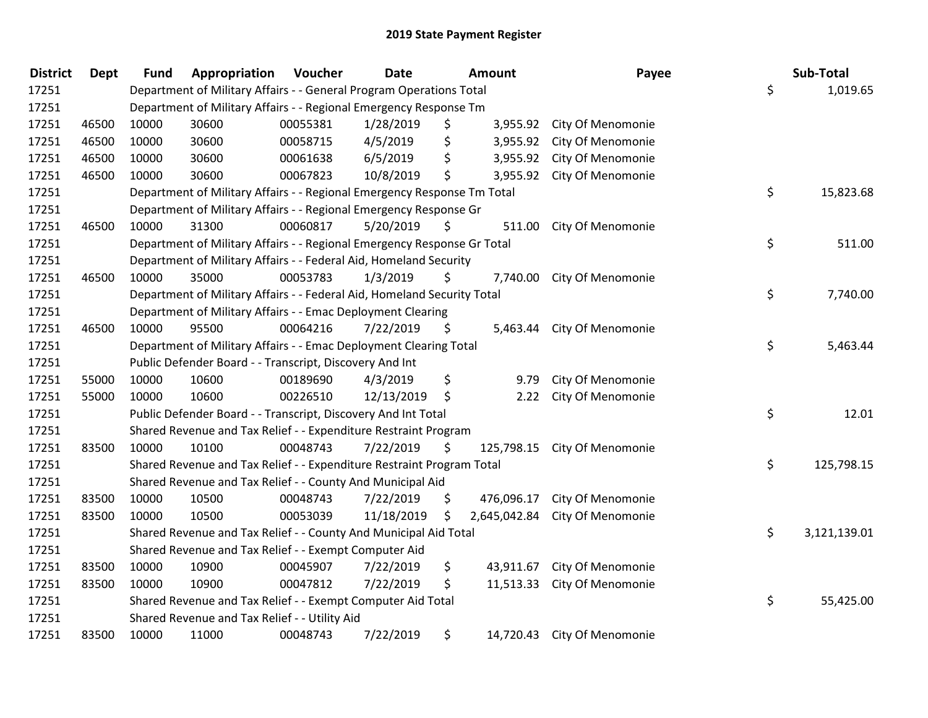| <b>District</b> | Dept  | <b>Fund</b>                                                             | Appropriation                                                           | Voucher  | <b>Date</b> | <b>Amount</b> |              | Payee                       |    | Sub-Total    |
|-----------------|-------|-------------------------------------------------------------------------|-------------------------------------------------------------------------|----------|-------------|---------------|--------------|-----------------------------|----|--------------|
| 17251           |       |                                                                         | Department of Military Affairs - - General Program Operations Total     |          |             |               |              |                             | \$ | 1,019.65     |
| 17251           |       |                                                                         | Department of Military Affairs - - Regional Emergency Response Tm       |          |             |               |              |                             |    |              |
| 17251           | 46500 | 10000                                                                   | 30600                                                                   | 00055381 | 1/28/2019   | \$            |              | 3,955.92 City Of Menomonie  |    |              |
| 17251           | 46500 | 10000                                                                   | 30600                                                                   | 00058715 | 4/5/2019    | \$            |              | 3,955.92 City Of Menomonie  |    |              |
| 17251           | 46500 | 10000                                                                   | 30600                                                                   | 00061638 | 6/5/2019    | \$            | 3,955.92     | City Of Menomonie           |    |              |
| 17251           | 46500 | 10000                                                                   | 30600                                                                   | 00067823 | 10/8/2019   | \$            | 3,955.92     | City Of Menomonie           |    |              |
| 17251           |       |                                                                         | Department of Military Affairs - - Regional Emergency Response Tm Total |          |             |               |              |                             | \$ | 15,823.68    |
| 17251           |       | Department of Military Affairs - - Regional Emergency Response Gr       |                                                                         |          |             |               |              |                             |    |              |
| 17251           | 46500 | 10000                                                                   | 31300                                                                   | 00060817 | 5/20/2019   | \$            | 511.00       | City Of Menomonie           |    |              |
| 17251           |       | Department of Military Affairs - - Regional Emergency Response Gr Total |                                                                         |          |             |               |              |                             | \$ | 511.00       |
| 17251           |       | Department of Military Affairs - - Federal Aid, Homeland Security       |                                                                         |          |             |               |              |                             |    |              |
| 17251           | 46500 | 10000                                                                   | 35000                                                                   | 00053783 | 1/3/2019    | \$            |              | 7,740.00 City Of Menomonie  |    |              |
| 17251           |       |                                                                         | Department of Military Affairs - - Federal Aid, Homeland Security Total |          |             |               |              |                             | \$ | 7,740.00     |
| 17251           |       | Department of Military Affairs - - Emac Deployment Clearing             |                                                                         |          |             |               |              |                             |    |              |
| 17251           | 46500 | 10000                                                                   | 95500                                                                   | 00064216 | 7/22/2019   | \$            | 5,463.44     | City Of Menomonie           |    |              |
| 17251           |       |                                                                         | Department of Military Affairs - - Emac Deployment Clearing Total       |          |             |               |              |                             | \$ | 5,463.44     |
| 17251           |       |                                                                         | Public Defender Board - - Transcript, Discovery And Int                 |          |             |               |              |                             |    |              |
| 17251           | 55000 | 10000                                                                   | 10600                                                                   | 00189690 | 4/3/2019    | \$            | 9.79         | City Of Menomonie           |    |              |
| 17251           | 55000 | 10000                                                                   | 10600                                                                   | 00226510 | 12/13/2019  | \$            | 2.22         | City Of Menomonie           |    |              |
| 17251           |       |                                                                         | Public Defender Board - - Transcript, Discovery And Int Total           |          |             |               |              |                             | \$ | 12.01        |
| 17251           |       |                                                                         | Shared Revenue and Tax Relief - - Expenditure Restraint Program         |          |             |               |              |                             |    |              |
| 17251           | 83500 | 10000                                                                   | 10100                                                                   | 00048743 | 7/22/2019   | \$            | 125,798.15   | City Of Menomonie           |    |              |
| 17251           |       |                                                                         | Shared Revenue and Tax Relief - - Expenditure Restraint Program Total   |          |             |               |              |                             | \$ | 125,798.15   |
| 17251           |       |                                                                         | Shared Revenue and Tax Relief - - County And Municipal Aid              |          |             |               |              |                             |    |              |
| 17251           | 83500 | 10000                                                                   | 10500                                                                   | 00048743 | 7/22/2019   | \$            | 476,096.17   | City Of Menomonie           |    |              |
| 17251           | 83500 | 10000                                                                   | 10500                                                                   | 00053039 | 11/18/2019  | \$            | 2,645,042.84 | City Of Menomonie           |    |              |
| 17251           |       |                                                                         | Shared Revenue and Tax Relief - - County And Municipal Aid Total        |          |             |               |              |                             | \$ | 3,121,139.01 |
| 17251           |       |                                                                         | Shared Revenue and Tax Relief - - Exempt Computer Aid                   |          |             |               |              |                             |    |              |
| 17251           | 83500 | 10000                                                                   | 10900                                                                   | 00045907 | 7/22/2019   | \$            | 43,911.67    | City Of Menomonie           |    |              |
| 17251           | 83500 | 10000                                                                   | 10900                                                                   | 00047812 | 7/22/2019   | \$            | 11,513.33    | City Of Menomonie           |    |              |
| 17251           |       |                                                                         | Shared Revenue and Tax Relief - - Exempt Computer Aid Total             |          |             |               |              |                             | \$ | 55,425.00    |
| 17251           |       |                                                                         | Shared Revenue and Tax Relief - - Utility Aid                           |          |             |               |              |                             |    |              |
| 17251           | 83500 | 10000                                                                   | 11000                                                                   | 00048743 | 7/22/2019   | \$            |              | 14,720.43 City Of Menomonie |    |              |